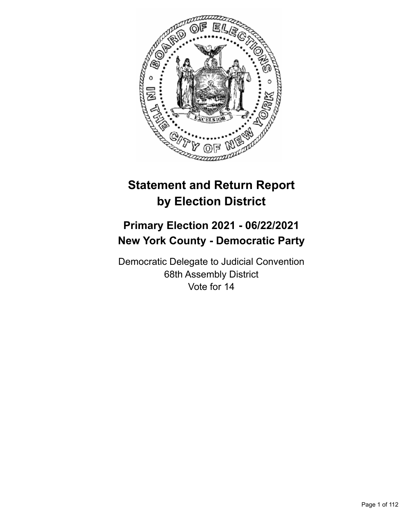

# **Statement and Return Report by Election District**

## **Primary Election 2021 - 06/22/2021 New York County - Democratic Party**

Democratic Delegate to Judicial Convention 68th Assembly District Vote for 14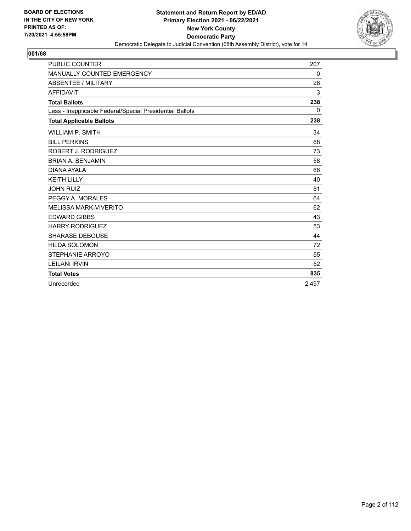

| <b>PUBLIC COUNTER</b>                                    | 207      |
|----------------------------------------------------------|----------|
| MANUALLY COUNTED EMERGENCY                               | 0        |
| <b>ABSENTEE / MILITARY</b>                               | 28       |
| <b>AFFIDAVIT</b>                                         | 3        |
| <b>Total Ballots</b>                                     | 238      |
| Less - Inapplicable Federal/Special Presidential Ballots | $\Omega$ |
| <b>Total Applicable Ballots</b>                          | 238      |
| <b>WILLIAM P. SMITH</b>                                  | 34       |
| <b>BILL PERKINS</b>                                      | 68       |
| ROBERT J. RODRIGUEZ                                      | 73       |
| <b>BRIAN A. BENJAMIN</b>                                 | 58       |
| DIANA AYALA                                              | 66       |
| <b>KEITH LILLY</b>                                       | 40       |
| <b>JOHN RUIZ</b>                                         | 51       |
| PEGGY A. MORALES                                         | 64       |
| <b>MELISSA MARK-VIVERITO</b>                             | 62       |
| <b>EDWARD GIBBS</b>                                      | 43       |
| <b>HARRY RODRIGUEZ</b>                                   | 53       |
| <b>SHARASE DEBOUSE</b>                                   | 44       |
| <b>HILDA SOLOMON</b>                                     | 72       |
| STEPHANIE ARROYO                                         | 55       |
| <b>LEILANI IRVIN</b>                                     | 52       |
| <b>Total Votes</b>                                       | 835      |
| Unrecorded                                               | 2.497    |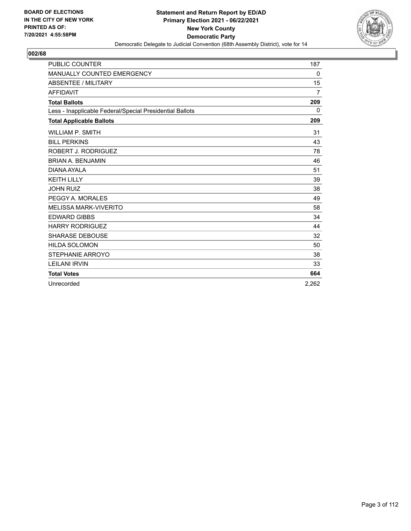

| <b>PUBLIC COUNTER</b>                                    | 187            |
|----------------------------------------------------------|----------------|
| MANUALLY COUNTED EMERGENCY                               | 0              |
| <b>ABSENTEE / MILITARY</b>                               | 15             |
| <b>AFFIDAVIT</b>                                         | $\overline{7}$ |
| <b>Total Ballots</b>                                     | 209            |
| Less - Inapplicable Federal/Special Presidential Ballots | $\Omega$       |
| <b>Total Applicable Ballots</b>                          | 209            |
| <b>WILLIAM P. SMITH</b>                                  | 31             |
| <b>BILL PERKINS</b>                                      | 43             |
| ROBERT J. RODRIGUEZ                                      | 78             |
| <b>BRIAN A. BENJAMIN</b>                                 | 46             |
| DIANA AYALA                                              | 51             |
| <b>KEITH LILLY</b>                                       | 39             |
| <b>JOHN RUIZ</b>                                         | 38             |
| PEGGY A. MORALES                                         | 49             |
| <b>MELISSA MARK-VIVERITO</b>                             | 58             |
| <b>EDWARD GIBBS</b>                                      | 34             |
| <b>HARRY RODRIGUEZ</b>                                   | 44             |
| <b>SHARASE DEBOUSE</b>                                   | 32             |
| <b>HILDA SOLOMON</b>                                     | 50             |
| STEPHANIE ARROYO                                         | 38             |
| <b>LEILANI IRVIN</b>                                     | 33             |
| <b>Total Votes</b>                                       | 664            |
| Unrecorded                                               | 2.262          |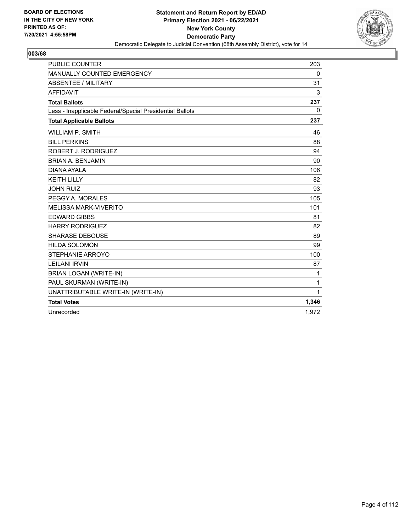

| <b>PUBLIC COUNTER</b>                                    | 203      |
|----------------------------------------------------------|----------|
| MANUALLY COUNTED EMERGENCY                               | 0        |
| <b>ABSENTEE / MILITARY</b>                               | 31       |
| <b>AFFIDAVIT</b>                                         | 3        |
| <b>Total Ballots</b>                                     | 237      |
| Less - Inapplicable Federal/Special Presidential Ballots | $\Omega$ |
| <b>Total Applicable Ballots</b>                          | 237      |
| <b>WILLIAM P. SMITH</b>                                  | 46       |
| <b>BILL PERKINS</b>                                      | 88       |
| ROBERT J. RODRIGUEZ                                      | 94       |
| <b>BRIAN A. BENJAMIN</b>                                 | 90       |
| DIANA AYALA                                              | 106      |
| <b>KEITH LILLY</b>                                       | 82       |
| <b>JOHN RUIZ</b>                                         | 93       |
| PEGGY A. MORALES                                         | 105      |
| <b>MELISSA MARK-VIVERITO</b>                             | 101      |
| <b>EDWARD GIBBS</b>                                      | 81       |
| <b>HARRY RODRIGUEZ</b>                                   | 82       |
| <b>SHARASE DEBOUSE</b>                                   | 89       |
| <b>HILDA SOLOMON</b>                                     | 99       |
| STEPHANIE ARROYO                                         | 100      |
| <b>LEILANI IRVIN</b>                                     | 87       |
| <b>BRIAN LOGAN (WRITE-IN)</b>                            | 1        |
| PAUL SKURMAN (WRITE-IN)                                  | 1        |
| UNATTRIBUTABLE WRITE-IN (WRITE-IN)                       | 1        |
| <b>Total Votes</b>                                       | 1,346    |
| Unrecorded                                               | 1.972    |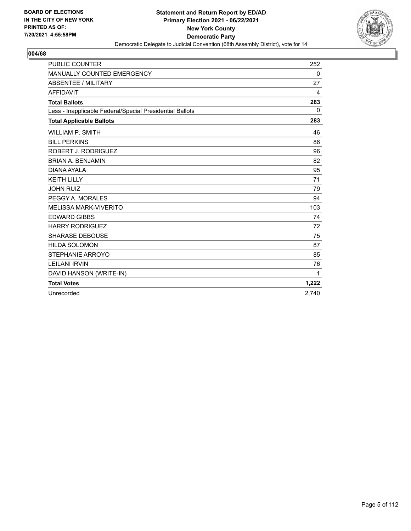

| <b>PUBLIC COUNTER</b>                                    | 252         |
|----------------------------------------------------------|-------------|
| MANUALLY COUNTED EMERGENCY                               | 0           |
| ABSENTEE / MILITARY                                      | 27          |
| <b>AFFIDAVIT</b>                                         | 4           |
| <b>Total Ballots</b>                                     | 283         |
| Less - Inapplicable Federal/Special Presidential Ballots | $\mathbf 0$ |
| <b>Total Applicable Ballots</b>                          | 283         |
| <b>WILLIAM P. SMITH</b>                                  | 46          |
| <b>BILL PERKINS</b>                                      | 86          |
| ROBERT J. RODRIGUEZ                                      | 96          |
| <b>BRIAN A. BENJAMIN</b>                                 | 82          |
| DIANA AYAI A                                             | 95          |
| <b>KEITH LILLY</b>                                       | 71          |
| <b>JOHN RUIZ</b>                                         | 79          |
| PEGGY A. MORALES                                         | 94          |
| <b>MELISSA MARK-VIVERITO</b>                             | 103         |
| <b>EDWARD GIBBS</b>                                      | 74          |
| <b>HARRY RODRIGUEZ</b>                                   | 72          |
| <b>SHARASE DEBOUSE</b>                                   | 75          |
| <b>HILDA SOLOMON</b>                                     | 87          |
| STEPHANIE ARROYO                                         | 85          |
| <b>LEILANI IRVIN</b>                                     | 76          |
| DAVID HANSON (WRITE-IN)                                  | 1           |
| <b>Total Votes</b>                                       | 1,222       |
| Unrecorded                                               | 2.740       |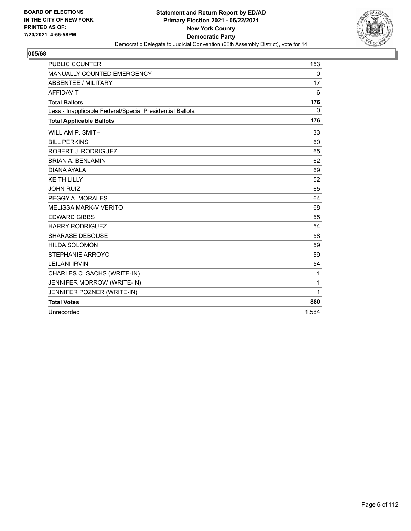

| <b>PUBLIC COUNTER</b>                                    | 153          |
|----------------------------------------------------------|--------------|
| MANUALLY COUNTED EMERGENCY                               | 0            |
| <b>ABSENTEE / MILITARY</b>                               | 17           |
| <b>AFFIDAVIT</b>                                         | 6            |
| <b>Total Ballots</b>                                     | 176          |
| Less - Inapplicable Federal/Special Presidential Ballots | 0            |
| <b>Total Applicable Ballots</b>                          | 176          |
| <b>WILLIAM P. SMITH</b>                                  | 33           |
| <b>BILL PERKINS</b>                                      | 60           |
| ROBERT J. RODRIGUEZ                                      | 65           |
| <b>BRIAN A. BENJAMIN</b>                                 | 62           |
| DIANA AYALA                                              | 69           |
| <b>KEITH LILLY</b>                                       | 52           |
| <b>JOHN RUIZ</b>                                         | 65           |
| PEGGY A. MORALES                                         | 64           |
| <b>MELISSA MARK-VIVERITO</b>                             | 68           |
| <b>EDWARD GIBBS</b>                                      | 55           |
| <b>HARRY RODRIGUEZ</b>                                   | 54           |
| <b>SHARASE DEBOUSE</b>                                   | 58           |
| <b>HILDA SOLOMON</b>                                     | 59           |
| STEPHANIE ARROYO                                         | 59           |
| <b>LEILANI IRVIN</b>                                     | 54           |
| CHARLES C. SACHS (WRITE-IN)                              | 1            |
| JENNIFER MORROW (WRITE-IN)                               | $\mathbf{1}$ |
| JENNIFER POZNER (WRITE-IN)                               | $\mathbf{1}$ |
| <b>Total Votes</b>                                       | 880          |
| Unrecorded                                               | 1.584        |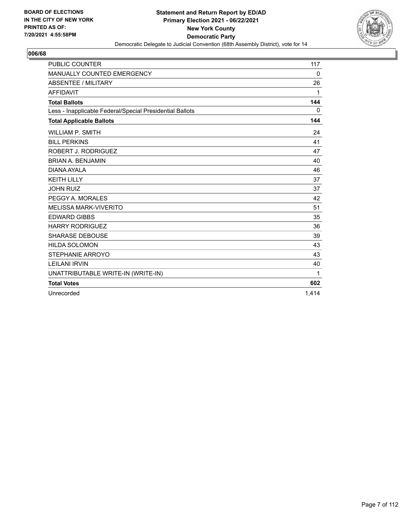

| <b>PUBLIC COUNTER</b>                                    | 117   |
|----------------------------------------------------------|-------|
| MANUALLY COUNTED EMERGENCY                               | 0     |
| ABSENTEE / MILITARY                                      | 26    |
| <b>AFFIDAVIT</b>                                         | 1     |
| <b>Total Ballots</b>                                     | 144   |
| Less - Inapplicable Federal/Special Presidential Ballots | 0     |
| <b>Total Applicable Ballots</b>                          | 144   |
| <b>WILLIAM P. SMITH</b>                                  | 24    |
| <b>BILL PERKINS</b>                                      | 41    |
| ROBERT J. RODRIGUEZ                                      | 47    |
| <b>BRIAN A. BENJAMIN</b>                                 | 40    |
| DIANA AYAI A                                             | 46    |
| <b>KEITH LILLY</b>                                       | 37    |
| <b>JOHN RUIZ</b>                                         | 37    |
| PEGGY A. MORALES                                         | 42    |
| <b>MELISSA MARK-VIVERITO</b>                             | 51    |
| <b>EDWARD GIBBS</b>                                      | 35    |
| <b>HARRY RODRIGUEZ</b>                                   | 36    |
| <b>SHARASE DEBOUSE</b>                                   | 39    |
| <b>HILDA SOLOMON</b>                                     | 43    |
| STEPHANIE ARROYO                                         | 43    |
| <b>LEILANI IRVIN</b>                                     | 40    |
| UNATTRIBUTABLE WRITE-IN (WRITE-IN)                       | 1     |
| <b>Total Votes</b>                                       | 602   |
| Unrecorded                                               | 1.414 |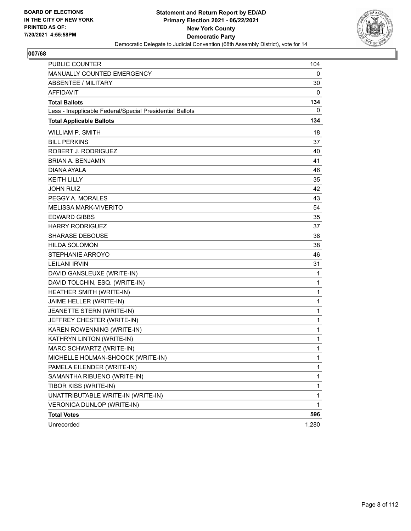

| PUBLIC COUNTER                                           | 104          |
|----------------------------------------------------------|--------------|
| MANUALLY COUNTED EMERGENCY                               | 0            |
| <b>ABSENTEE / MILITARY</b>                               | 30           |
| <b>AFFIDAVIT</b>                                         | 0            |
| <b>Total Ballots</b>                                     | 134          |
| Less - Inapplicable Federal/Special Presidential Ballots | 0            |
| <b>Total Applicable Ballots</b>                          | 134          |
| <b>WILLIAM P. SMITH</b>                                  | 18           |
| <b>BILL PERKINS</b>                                      | 37           |
| <b>ROBERT J. RODRIGUEZ</b>                               | 40           |
| <b>BRIAN A. BENJAMIN</b>                                 | 41           |
| DIANA AYALA                                              | 46           |
| <b>KEITH LILLY</b>                                       | 35           |
| <b>JOHN RUIZ</b>                                         | 42           |
| PEGGY A. MORALES                                         | 43           |
| <b>MELISSA MARK-VIVERITO</b>                             | 54           |
| <b>EDWARD GIBBS</b>                                      | 35           |
| <b>HARRY RODRIGUEZ</b>                                   | 37           |
| SHARASE DEBOUSE                                          | 38           |
| <b>HILDA SOLOMON</b>                                     | 38           |
| STEPHANIE ARROYO                                         | 46           |
| <b>LEILANI IRVIN</b>                                     | 31           |
| DAVID GANSLEUXE (WRITE-IN)                               | 1            |
| DAVID TOLCHIN, ESQ. (WRITE-IN)                           | 1            |
| HEATHER SMITH (WRITE-IN)                                 | 1            |
| JAIME HELLER (WRITE-IN)                                  | $\mathbf{1}$ |
| JEANETTE STERN (WRITE-IN)                                | 1            |
| JEFFREY CHESTER (WRITE-IN)                               | 1            |
| KAREN ROWENNING (WRITE-IN)                               | $\mathbf{1}$ |
| KATHRYN LINTON (WRITE-IN)                                | 1            |
| MARC SCHWARTZ (WRITE-IN)                                 | 1            |
| MICHELLE HOLMAN-SHOOCK (WRITE-IN)                        | 1            |
| PAMELA EILENDER (WRITE-IN)                               | 1            |
| SAMANTHA RIBUENO (WRITE-IN)                              | $\mathbf{1}$ |
| TIBOR KISS (WRITE-IN)                                    | 1            |
| UNATTRIBUTABLE WRITE-IN (WRITE-IN)                       | 1            |
| VERONICA DUNLOP (WRITE-IN)                               | 1            |
| <b>Total Votes</b>                                       | 596          |
| Unrecorded                                               | 1,280        |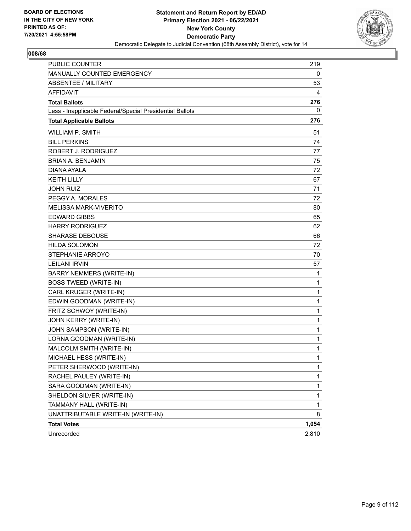

| <b>PUBLIC COUNTER</b>                                    | 219          |
|----------------------------------------------------------|--------------|
| MANUALLY COUNTED EMERGENCY                               | 0            |
| ABSENTEE / MILITARY                                      | 53           |
| <b>AFFIDAVIT</b>                                         | 4            |
| <b>Total Ballots</b>                                     | 276          |
| Less - Inapplicable Federal/Special Presidential Ballots | 0            |
| <b>Total Applicable Ballots</b>                          | 276          |
| <b>WILLIAM P. SMITH</b>                                  | 51           |
| <b>BILL PERKINS</b>                                      | 74           |
| ROBERT J. RODRIGUEZ                                      | 77           |
| <b>BRIAN A. BENJAMIN</b>                                 | 75           |
| DIANA AYALA                                              | 72           |
| <b>KEITH LILLY</b>                                       | 67           |
| <b>JOHN RUIZ</b>                                         | 71           |
| PEGGY A. MORALES                                         | 72           |
| <b>MELISSA MARK-VIVERITO</b>                             | 80           |
| <b>EDWARD GIBBS</b>                                      | 65           |
| <b>HARRY RODRIGUEZ</b>                                   | 62           |
| <b>SHARASE DEBOUSE</b>                                   | 66           |
| <b>HILDA SOLOMON</b>                                     | 72           |
| STEPHANIE ARROYO                                         | 70           |
| <b>LEILANI IRVIN</b>                                     | 57           |
| <b>BARRY NEMMERS (WRITE-IN)</b>                          | 1            |
| <b>BOSS TWEED (WRITE-IN)</b>                             | 1            |
| CARL KRUGER (WRITE-IN)                                   | $\mathbf{1}$ |
| EDWIN GOODMAN (WRITE-IN)                                 | 1            |
| FRITZ SCHWOY (WRITE-IN)                                  | 1            |
| JOHN KERRY (WRITE-IN)                                    | 1            |
| JOHN SAMPSON (WRITE-IN)                                  | 1            |
| LORNA GOODMAN (WRITE-IN)                                 | 1            |
| MALCOLM SMITH (WRITE-IN)                                 | 1            |
| MICHAEL HESS (WRITE-IN)                                  | 1            |
| PETER SHERWOOD (WRITE-IN)                                | 1            |
| RACHEL PAULEY (WRITE-IN)                                 | 1            |
| SARA GOODMAN (WRITE-IN)                                  | 1            |
| SHELDON SILVER (WRITE-IN)                                | 1            |
| TAMMANY HALL (WRITE-IN)                                  | 1            |
| UNATTRIBUTABLE WRITE-IN (WRITE-IN)                       | 8            |
| <b>Total Votes</b>                                       | 1,054        |
| Unrecorded                                               | 2,810        |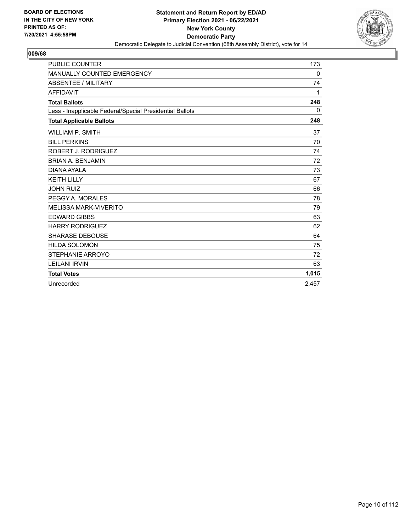

| <b>PUBLIC COUNTER</b>                                    | 173      |
|----------------------------------------------------------|----------|
| <b>MANUALLY COUNTED EMERGENCY</b>                        | $\Omega$ |
| ABSENTEE / MILITARY                                      | 74       |
| <b>AFFIDAVIT</b>                                         | 1        |
| <b>Total Ballots</b>                                     | 248      |
| Less - Inapplicable Federal/Special Presidential Ballots | 0        |
| <b>Total Applicable Ballots</b>                          | 248      |
| <b>WILLIAM P. SMITH</b>                                  | 37       |
| <b>BILL PERKINS</b>                                      | 70       |
| ROBERT J. RODRIGUEZ                                      | 74       |
| <b>BRIAN A. BENJAMIN</b>                                 | 72       |
| DIANA AYALA                                              | 73       |
| <b>KEITH LILLY</b>                                       | 67       |
| <b>JOHN RUIZ</b>                                         | 66       |
| PEGGY A. MORALES                                         | 78       |
| <b>MELISSA MARK-VIVERITO</b>                             | 79       |
| <b>EDWARD GIBBS</b>                                      | 63       |
| <b>HARRY RODRIGUEZ</b>                                   | 62       |
| <b>SHARASE DEBOUSE</b>                                   | 64       |
| <b>HILDA SOLOMON</b>                                     | 75       |
| STEPHANIE ARROYO                                         | 72       |
| <b>LEILANI IRVIN</b>                                     | 63       |
| <b>Total Votes</b>                                       | 1,015    |
| Unrecorded                                               | 2.457    |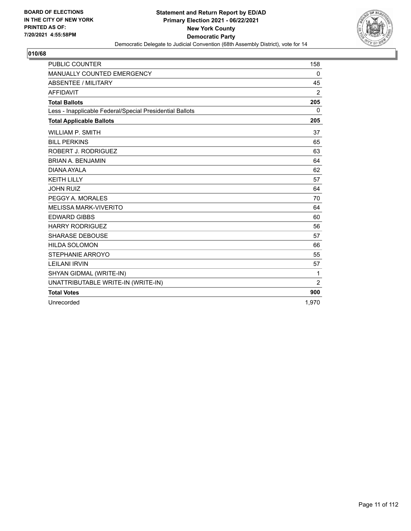

| <b>PUBLIC COUNTER</b>                                    | 158            |
|----------------------------------------------------------|----------------|
| MANUALLY COUNTED EMERGENCY                               | 0              |
| <b>ABSENTEE / MILITARY</b>                               | 45             |
| <b>AFFIDAVIT</b>                                         | $\overline{2}$ |
| <b>Total Ballots</b>                                     | 205            |
| Less - Inapplicable Federal/Special Presidential Ballots | $\Omega$       |
| <b>Total Applicable Ballots</b>                          | 205            |
| <b>WILLIAM P. SMITH</b>                                  | 37             |
| <b>BILL PERKINS</b>                                      | 65             |
| ROBERT J. RODRIGUEZ                                      | 63             |
| <b>BRIAN A. BENJAMIN</b>                                 | 64             |
| DIANA AYALA                                              | 62             |
| <b>KEITH LILLY</b>                                       | 57             |
| <b>JOHN RUIZ</b>                                         | 64             |
| PEGGY A. MORALES                                         | 70             |
| <b>MELISSA MARK-VIVERITO</b>                             | 64             |
| <b>EDWARD GIBBS</b>                                      | 60             |
| <b>HARRY RODRIGUEZ</b>                                   | 56             |
| <b>SHARASE DEBOUSE</b>                                   | 57             |
| <b>HILDA SOLOMON</b>                                     | 66             |
| STEPHANIE ARROYO                                         | 55             |
| <b>LEILANI IRVIN</b>                                     | 57             |
| SHYAN GIDMAL (WRITE-IN)                                  | 1              |
| UNATTRIBUTABLE WRITE-IN (WRITE-IN)                       | $\overline{2}$ |
| <b>Total Votes</b>                                       | 900            |
| Unrecorded                                               | 1,970          |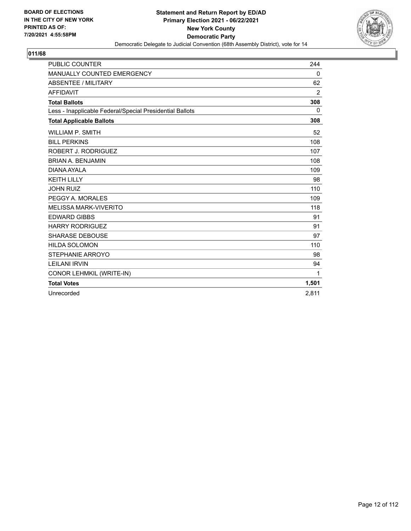

| <b>PUBLIC COUNTER</b>                                    | 244            |
|----------------------------------------------------------|----------------|
| MANUALLY COUNTED EMERGENCY                               | 0              |
| <b>ABSENTEE / MILITARY</b>                               | 62             |
| <b>AFFIDAVIT</b>                                         | $\overline{2}$ |
| <b>Total Ballots</b>                                     | 308            |
| Less - Inapplicable Federal/Special Presidential Ballots | 0              |
| <b>Total Applicable Ballots</b>                          | 308            |
| WILLIAM P. SMITH                                         | 52             |
| <b>BILL PERKINS</b>                                      | 108            |
| ROBERT J. RODRIGUEZ                                      | 107            |
| <b>BRIAN A. BENJAMIN</b>                                 | 108            |
| DIANA AYALA                                              | 109            |
| <b>KEITH LILLY</b>                                       | 98             |
| <b>JOHN RUIZ</b>                                         | 110            |
| PEGGY A. MORALES                                         | 109            |
| <b>MELISSA MARK-VIVERITO</b>                             | 118            |
| <b>EDWARD GIBBS</b>                                      | 91             |
| <b>HARRY RODRIGUEZ</b>                                   | 91             |
| <b>SHARASE DEBOUSE</b>                                   | 97             |
| <b>HILDA SOLOMON</b>                                     | 110            |
| STEPHANIE ARROYO                                         | 98             |
| <b>LEILANI IRVIN</b>                                     | 94             |
| CONOR LEHMKIL (WRITE-IN)                                 | 1              |
| <b>Total Votes</b>                                       | 1,501          |
| Unrecorded                                               | 2.811          |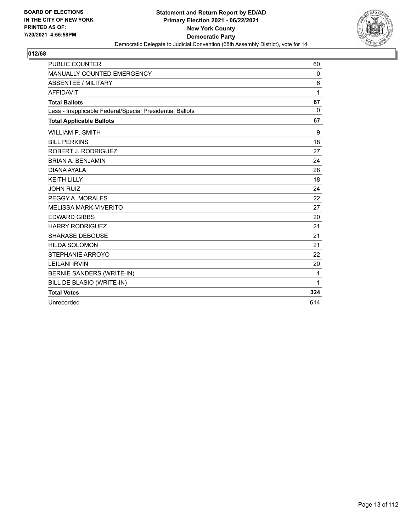

| <b>PUBLIC COUNTER</b>                                    | 60       |
|----------------------------------------------------------|----------|
| MANUALLY COUNTED EMERGENCY                               | 0        |
| ABSENTEE / MILITARY                                      | 6        |
| <b>AFFIDAVIT</b>                                         | 1        |
| <b>Total Ballots</b>                                     | 67       |
| Less - Inapplicable Federal/Special Presidential Ballots | $\Omega$ |
| <b>Total Applicable Ballots</b>                          | 67       |
| <b>WILLIAM P. SMITH</b>                                  | 9        |
| <b>BILL PERKINS</b>                                      | 18       |
| ROBERT J. RODRIGUEZ                                      | 27       |
| <b>BRIAN A. BENJAMIN</b>                                 | 24       |
| DIANA AYALA                                              | 28       |
| <b>KEITH LILLY</b>                                       | 18       |
| <b>JOHN RUIZ</b>                                         | 24       |
| PEGGY A. MORALES                                         | 22       |
| <b>MELISSA MARK-VIVERITO</b>                             | 27       |
| <b>EDWARD GIBBS</b>                                      | 20       |
| <b>HARRY RODRIGUEZ</b>                                   | 21       |
| <b>SHARASE DEBOUSE</b>                                   | 21       |
| <b>HILDA SOLOMON</b>                                     | 21       |
| STEPHANIE ARROYO                                         | 22       |
| <b>LEILANI IRVIN</b>                                     | 20       |
| BERNIE SANDERS (WRITE-IN)                                | 1        |
| BILL DE BLASIO (WRITE-IN)                                | 1        |
| <b>Total Votes</b>                                       | 324      |
| Unrecorded                                               | 614      |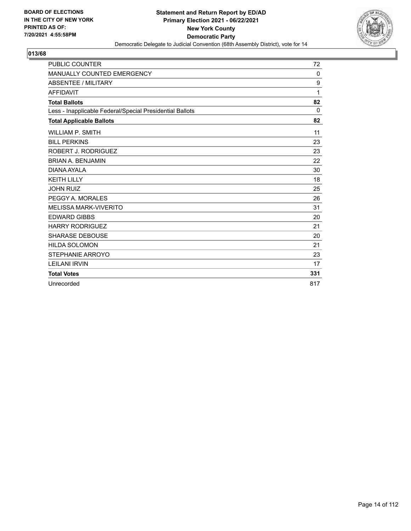

| <b>PUBLIC COUNTER</b>                                    | 72       |
|----------------------------------------------------------|----------|
| <b>MANUALLY COUNTED EMERGENCY</b>                        | $\Omega$ |
| <b>ABSENTEE / MILITARY</b>                               | 9        |
| <b>AFFIDAVIT</b>                                         | 1        |
| <b>Total Ballots</b>                                     | 82       |
| Less - Inapplicable Federal/Special Presidential Ballots | $\Omega$ |
| <b>Total Applicable Ballots</b>                          | 82       |
| <b>WILLIAM P. SMITH</b>                                  | 11       |
| <b>BILL PERKINS</b>                                      | 23       |
| ROBERT J. RODRIGUEZ                                      | 23       |
| <b>BRIAN A. BENJAMIN</b>                                 | 22       |
| DIANA AYALA                                              | 30       |
| <b>KEITH LILLY</b>                                       | 18       |
| <b>JOHN RUIZ</b>                                         | 25       |
| PEGGY A. MORALES                                         | 26       |
| <b>MELISSA MARK-VIVERITO</b>                             | 31       |
| <b>EDWARD GIBBS</b>                                      | 20       |
| <b>HARRY RODRIGUEZ</b>                                   | 21       |
| <b>SHARASE DEBOUSE</b>                                   | 20       |
| <b>HILDA SOLOMON</b>                                     | 21       |
| STEPHANIE ARROYO                                         | 23       |
| <b>LEILANI IRVIN</b>                                     | 17       |
| <b>Total Votes</b>                                       | 331      |
| Unrecorded                                               | 817      |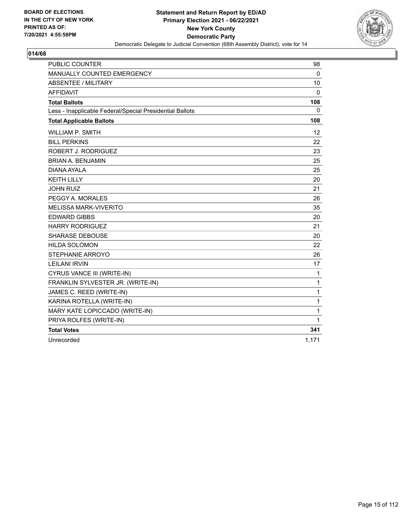

| <b>PUBLIC COUNTER</b>                                    | 98       |
|----------------------------------------------------------|----------|
| MANUALLY COUNTED EMERGENCY                               | 0        |
| <b>ABSENTEE / MILITARY</b>                               | 10       |
| <b>AFFIDAVIT</b>                                         | $\Omega$ |
| <b>Total Ballots</b>                                     | 108      |
| Less - Inapplicable Federal/Special Presidential Ballots | 0        |
| <b>Total Applicable Ballots</b>                          | 108      |
| <b>WILLIAM P. SMITH</b>                                  | 12       |
| <b>BILL PERKINS</b>                                      | 22       |
| ROBERT J. RODRIGUEZ                                      | 23       |
| <b>BRIAN A. BENJAMIN</b>                                 | 25       |
| DIANA AYAI A                                             | 25       |
| <b>KEITH LILLY</b>                                       | 20       |
| <b>JOHN RUIZ</b>                                         | 21       |
| PEGGY A. MORALES                                         | 26       |
| <b>MELISSA MARK-VIVERITO</b>                             | 35       |
| <b>EDWARD GIBBS</b>                                      | 20       |
| <b>HARRY RODRIGUEZ</b>                                   | 21       |
| <b>SHARASE DEBOUSE</b>                                   | 20       |
| <b>HILDA SOLOMON</b>                                     | 22       |
| STEPHANIE ARROYO                                         | 26       |
| <b>LEILANI IRVIN</b>                                     | 17       |
| CYRUS VANCE III (WRITE-IN)                               | 1        |
| FRANKLIN SYLVESTER JR. (WRITE-IN)                        | 1        |
| JAMES C. REED (WRITE-IN)                                 | 1        |
| KARINA ROTELLA (WRITE-IN)                                | 1        |
| MARY KATE LOPICCADO (WRITE-IN)                           | 1        |
| PRIYA ROLFES (WRITE-IN)                                  | 1        |
| <b>Total Votes</b>                                       | 341      |
| Unrecorded                                               | 1,171    |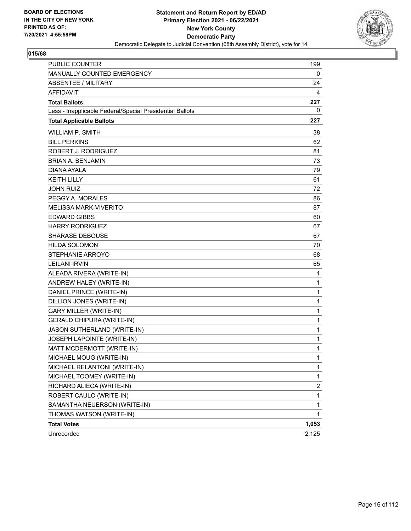

| <b>PUBLIC COUNTER</b>                                    | 199          |
|----------------------------------------------------------|--------------|
| MANUALLY COUNTED EMERGENCY                               | 0            |
| <b>ABSENTEE / MILITARY</b>                               | 24           |
| <b>AFFIDAVIT</b>                                         | 4            |
| <b>Total Ballots</b>                                     | 227          |
| Less - Inapplicable Federal/Special Presidential Ballots | 0            |
| <b>Total Applicable Ballots</b>                          | 227          |
| <b>WILLIAM P. SMITH</b>                                  | 38           |
| <b>BILL PERKINS</b>                                      | 62           |
| ROBERT J. RODRIGUEZ                                      | 81           |
| <b>BRIAN A. BENJAMIN</b>                                 | 73           |
| DIANA AYALA                                              | 79           |
| <b>KEITH LILLY</b>                                       | 61           |
| <b>JOHN RUIZ</b>                                         | 72           |
| PEGGY A. MORALES                                         | 86           |
| <b>MELISSA MARK-VIVERITO</b>                             | 87           |
| <b>EDWARD GIBBS</b>                                      | 60           |
| <b>HARRY RODRIGUEZ</b>                                   | 67           |
| SHARASE DEBOUSE                                          | 67           |
| <b>HILDA SOLOMON</b>                                     | 70           |
| <b>STEPHANIE ARROYO</b>                                  | 68           |
| <b>LEILANI IRVIN</b>                                     | 65           |
| ALEADA RIVERA (WRITE-IN)                                 | 1            |
| ANDREW HALEY (WRITE-IN)                                  | 1            |
| DANIEL PRINCE (WRITE-IN)                                 | 1            |
| DILLION JONES (WRITE-IN)                                 | $\mathbf{1}$ |
| <b>GARY MILLER (WRITE-IN)</b>                            | 1            |
| <b>GERALD CHIPURA (WRITE-IN)</b>                         | 1            |
| JASON SUTHERLAND (WRITE-IN)                              | 1            |
| JOSEPH LAPOINTE (WRITE-IN)                               | 1            |
| MATT MCDERMOTT (WRITE-IN)                                | 1            |
| MICHAEL MOUG (WRITE-IN)                                  | 1            |
| MICHAEL RELANTONI (WRITE-IN)                             | 1            |
| MICHAEL TOOMEY (WRITE-IN)                                | 1            |
| RICHARD ALIECA (WRITE-IN)                                | 2            |
| ROBERT CAULO (WRITE-IN)                                  | 1            |
| SAMANTHA NEUERSON (WRITE-IN)                             | 1            |
| THOMAS WATSON (WRITE-IN)                                 | 1            |
| <b>Total Votes</b>                                       | 1,053        |
| Unrecorded                                               | 2,125        |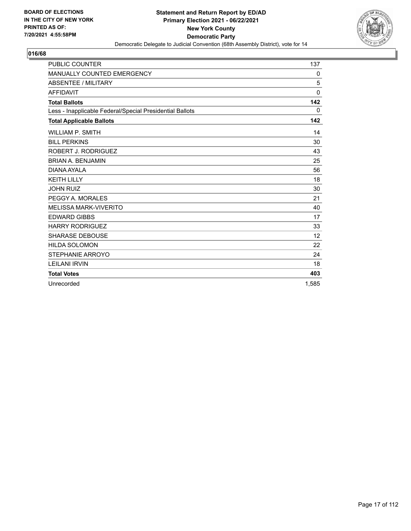

| <b>PUBLIC COUNTER</b>                                    | 137      |
|----------------------------------------------------------|----------|
| <b>MANUALLY COUNTED EMERGENCY</b>                        | 0        |
| <b>ABSENTEE / MILITARY</b>                               | 5        |
| <b>AFFIDAVIT</b>                                         | $\Omega$ |
| <b>Total Ballots</b>                                     | 142      |
| Less - Inapplicable Federal/Special Presidential Ballots | 0        |
| <b>Total Applicable Ballots</b>                          | 142      |
| <b>WILLIAM P. SMITH</b>                                  | 14       |
| <b>BILL PERKINS</b>                                      | 30       |
| ROBERT J. RODRIGUEZ                                      | 43       |
| <b>BRIAN A. BENJAMIN</b>                                 | 25       |
| DIANA AYALA                                              | 56       |
| <b>KEITH LILLY</b>                                       | 18       |
| <b>JOHN RUIZ</b>                                         | 30       |
| PEGGY A. MORALES                                         | 21       |
| <b>MELISSA MARK-VIVERITO</b>                             | 40       |
| <b>EDWARD GIBBS</b>                                      | 17       |
| <b>HARRY RODRIGUEZ</b>                                   | 33       |
| <b>SHARASE DEBOUSE</b>                                   | 12       |
| <b>HILDA SOLOMON</b>                                     | 22       |
| STEPHANIE ARROYO                                         | 24       |
| <b>LEILANI IRVIN</b>                                     | 18       |
| <b>Total Votes</b>                                       | 403      |
| Unrecorded                                               | 1.585    |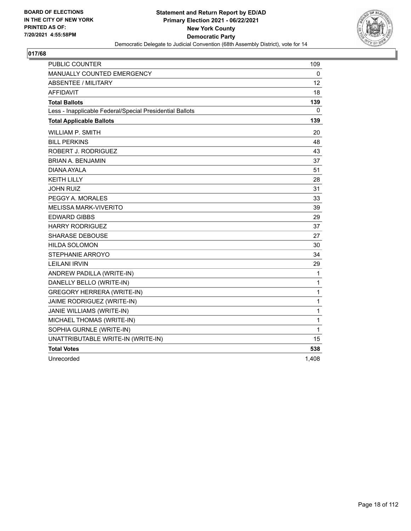

| <b>PUBLIC COUNTER</b>                                    | 109   |
|----------------------------------------------------------|-------|
| <b>MANUALLY COUNTED EMERGENCY</b>                        | 0     |
| ABSENTEE / MILITARY                                      | 12    |
| <b>AFFIDAVIT</b>                                         | 18    |
| <b>Total Ballots</b>                                     | 139   |
| Less - Inapplicable Federal/Special Presidential Ballots | 0     |
| <b>Total Applicable Ballots</b>                          | 139   |
| <b>WILLIAM P. SMITH</b>                                  | 20    |
| <b>BILL PERKINS</b>                                      | 48    |
| ROBERT J. RODRIGUEZ                                      | 43    |
| <b>BRIAN A. BENJAMIN</b>                                 | 37    |
| DIANA AYALA                                              | 51    |
| <b>KEITH LILLY</b>                                       | 28    |
| <b>JOHN RUIZ</b>                                         | 31    |
| PEGGY A. MORALES                                         | 33    |
| <b>MELISSA MARK-VIVERITO</b>                             | 39    |
| <b>EDWARD GIBBS</b>                                      | 29    |
| <b>HARRY RODRIGUEZ</b>                                   | 37    |
| <b>SHARASE DEBOUSE</b>                                   | 27    |
| <b>HILDA SOLOMON</b>                                     | 30    |
| STEPHANIE ARROYO                                         | 34    |
| <b>LEILANI IRVIN</b>                                     | 29    |
| ANDREW PADILLA (WRITE-IN)                                | 1     |
| DANELLY BELLO (WRITE-IN)                                 | 1     |
| <b>GREGORY HERRERA (WRITE-IN)</b>                        | 1     |
| JAIME RODRIGUEZ (WRITE-IN)                               | 1     |
| JANIE WILLIAMS (WRITE-IN)                                | 1     |
| MICHAEL THOMAS (WRITE-IN)                                | 1     |
| SOPHIA GURNLE (WRITE-IN)                                 | 1     |
| UNATTRIBUTABLE WRITE-IN (WRITE-IN)                       | 15    |
| <b>Total Votes</b>                                       | 538   |
| Unrecorded                                               | 1,408 |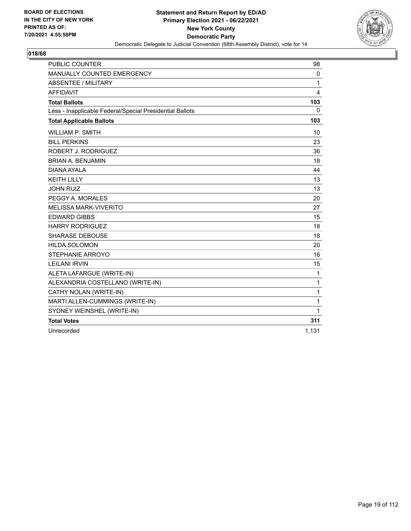

| <b>PUBLIC COUNTER</b>                                    | 98           |
|----------------------------------------------------------|--------------|
| MANUALLY COUNTED EMERGENCY                               | 0            |
| ABSENTEE / MILITARY                                      | 1            |
| <b>AFFIDAVIT</b>                                         | 4            |
| <b>Total Ballots</b>                                     | 103          |
| Less - Inapplicable Federal/Special Presidential Ballots | 0            |
| <b>Total Applicable Ballots</b>                          | 103          |
| WILLIAM P. SMITH                                         | 10           |
| <b>BILL PERKINS</b>                                      | 23           |
| <b>ROBERT J. RODRIGUEZ</b>                               | 36           |
| <b>BRIAN A. BENJAMIN</b>                                 | 18           |
| DIANA AYALA                                              | 44           |
| <b>KEITH LILLY</b>                                       | 13           |
| <b>JOHN RUIZ</b>                                         | 13           |
| PEGGY A. MORALES                                         | 20           |
| <b>MELISSA MARK-VIVERITO</b>                             | 27           |
| <b>EDWARD GIBBS</b>                                      | 15           |
| <b>HARRY RODRIGUEZ</b>                                   | 18           |
| <b>SHARASE DEBOUSE</b>                                   | 18           |
| <b>HILDA SOLOMON</b>                                     | 20           |
| STEPHANIE ARROYO                                         | 16           |
| <b>LEILANI IRVIN</b>                                     | 15           |
| ALETA LAFARGUE (WRITE-IN)                                | $\mathbf{1}$ |
| ALEXANDRIA COSTELLANO (WRITE-IN)                         | 1            |
| CATHY NOLAN (WRITE-IN)                                   | 1            |
| MARTI ALLEN-CUMMINGS (WRITE-IN)                          | 1            |
| SYDNEY WEINSHEL (WRITE-IN)                               | 1            |
| <b>Total Votes</b>                                       | 311          |
| Unrecorded                                               | 1,131        |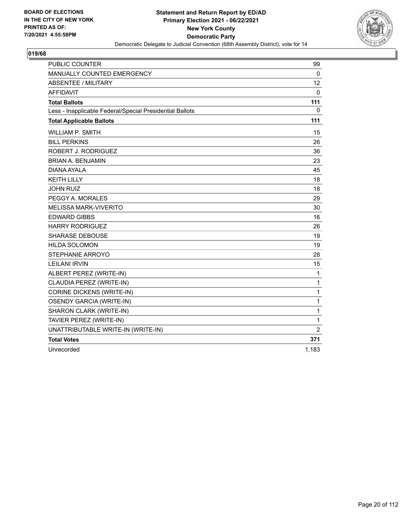

| <b>PUBLIC COUNTER</b>                                    | 99              |
|----------------------------------------------------------|-----------------|
| <b>MANUALLY COUNTED EMERGENCY</b>                        | 0               |
| ABSENTEE / MILITARY                                      | 12 <sup>2</sup> |
| <b>AFFIDAVIT</b>                                         | $\mathbf 0$     |
| <b>Total Ballots</b>                                     | 111             |
| Less - Inapplicable Federal/Special Presidential Ballots | 0               |
| <b>Total Applicable Ballots</b>                          | 111             |
| <b>WILLIAM P. SMITH</b>                                  | 15              |
| <b>BILL PERKINS</b>                                      | 26              |
| ROBERT J. RODRIGUEZ                                      | 36              |
| <b>BRIAN A. BENJAMIN</b>                                 | 23              |
| DIANA AYALA                                              | 45              |
| <b>KEITH LILLY</b>                                       | 18              |
| <b>JOHN RUIZ</b>                                         | 18              |
| PEGGY A. MORALES                                         | 29              |
| <b>MELISSA MARK-VIVERITO</b>                             | 30              |
| <b>EDWARD GIBBS</b>                                      | 16              |
| <b>HARRY RODRIGUEZ</b>                                   | 26              |
| <b>SHARASE DEBOUSE</b>                                   | 19              |
| <b>HILDA SOLOMON</b>                                     | 19              |
| STEPHANIE ARROYO                                         | 28              |
| <b>LEILANI IRVIN</b>                                     | 15              |
| ALBERT PEREZ (WRITE-IN)                                  | 1               |
| CLAUDIA PEREZ (WRITE-IN)                                 | 1               |
| <b>CORINE DICKENS (WRITE-IN)</b>                         | 1               |
| <b>OSENDY GARCIA (WRITE-IN)</b>                          | 1               |
| SHARON CLARK (WRITE-IN)                                  | 1               |
| TAVIER PEREZ (WRITE-IN)                                  | 1               |
| UNATTRIBUTABLE WRITE-IN (WRITE-IN)                       | $\overline{2}$  |
| <b>Total Votes</b>                                       | 371             |
| Unrecorded                                               | 1,183           |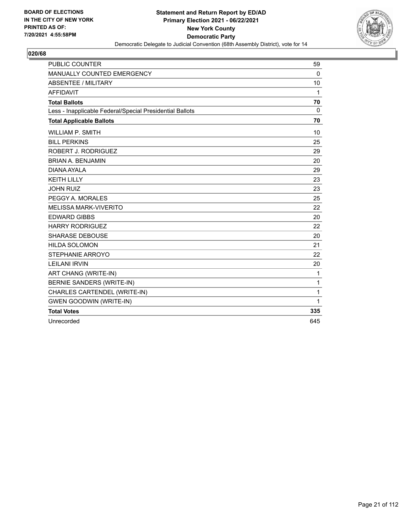

| <b>PUBLIC COUNTER</b>                                    | 59           |
|----------------------------------------------------------|--------------|
| MANUALLY COUNTED EMERGENCY                               | $\mathbf{0}$ |
| ABSENTEE / MILITARY                                      | 10           |
| <b>AFFIDAVIT</b>                                         | 1            |
| <b>Total Ballots</b>                                     | 70           |
| Less - Inapplicable Federal/Special Presidential Ballots | $\Omega$     |
| <b>Total Applicable Ballots</b>                          | 70           |
| <b>WILLIAM P. SMITH</b>                                  | 10           |
| <b>BILL PERKINS</b>                                      | 25           |
| ROBERT J. RODRIGUEZ                                      | 29           |
| <b>BRIAN A. BENJAMIN</b>                                 | 20           |
| DIANA AYALA                                              | 29           |
| <b>KEITH LILLY</b>                                       | 23           |
| <b>JOHN RUIZ</b>                                         | 23           |
| PEGGY A. MORALES                                         | 25           |
| <b>MELISSA MARK-VIVERITO</b>                             | 22           |
| <b>EDWARD GIBBS</b>                                      | 20           |
| <b>HARRY RODRIGUEZ</b>                                   | 22           |
| <b>SHARASE DEBOUSE</b>                                   | 20           |
| <b>HILDA SOLOMON</b>                                     | 21           |
| STEPHANIE ARROYO                                         | 22           |
| <b>LEILANI IRVIN</b>                                     | 20           |
| ART CHANG (WRITE-IN)                                     | 1            |
| <b>BERNIE SANDERS (WRITE-IN)</b>                         | 1            |
| CHARLES CARTENDEL (WRITE-IN)                             | 1            |
| <b>GWEN GOODWIN (WRITE-IN)</b>                           | 1            |
| <b>Total Votes</b>                                       | 335          |
| Unrecorded                                               | 645          |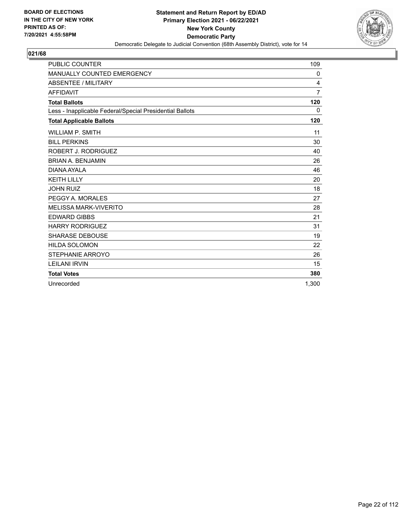

| <b>PUBLIC COUNTER</b>                                    | 109            |
|----------------------------------------------------------|----------------|
| MANUALLY COUNTED EMERGENCY                               | 0              |
| ABSENTEE / MILITARY                                      | 4              |
| <b>AFFIDAVIT</b>                                         | $\overline{7}$ |
| <b>Total Ballots</b>                                     | 120            |
| Less - Inapplicable Federal/Special Presidential Ballots | $\Omega$       |
| <b>Total Applicable Ballots</b>                          | 120            |
| <b>WILLIAM P. SMITH</b>                                  | 11             |
| <b>BILL PERKINS</b>                                      | 30             |
| ROBERT J. RODRIGUEZ                                      | 40             |
| <b>BRIAN A. BENJAMIN</b>                                 | 26             |
| DIANA AYAI A                                             | 46             |
| <b>KEITH LILLY</b>                                       | 20             |
| <b>JOHN RUIZ</b>                                         | 18             |
| PEGGY A. MORALES                                         | 27             |
| <b>MELISSA MARK-VIVERITO</b>                             | 28             |
| <b>EDWARD GIBBS</b>                                      | 21             |
| <b>HARRY RODRIGUEZ</b>                                   | 31             |
| <b>SHARASE DEBOUSE</b>                                   | 19             |
| <b>HILDA SOLOMON</b>                                     | 22             |
| STEPHANIE ARROYO                                         | 26             |
| <b>LEILANI IRVIN</b>                                     | 15             |
| <b>Total Votes</b>                                       | 380            |
| Unrecorded                                               | 1.300          |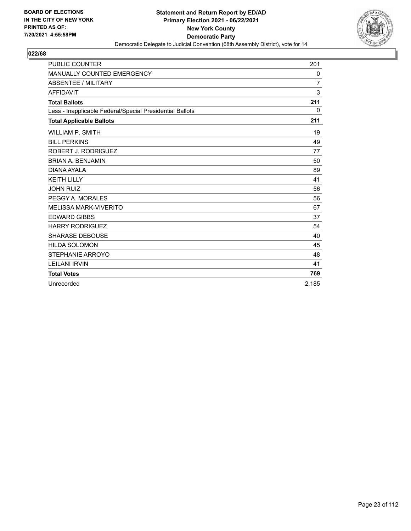

| <b>PUBLIC COUNTER</b>                                    | 201            |
|----------------------------------------------------------|----------------|
| MANUALLY COUNTED EMERGENCY                               | 0              |
| <b>ABSENTEE / MILITARY</b>                               | $\overline{7}$ |
| <b>AFFIDAVIT</b>                                         | 3              |
| <b>Total Ballots</b>                                     | 211            |
| Less - Inapplicable Federal/Special Presidential Ballots | $\Omega$       |
| <b>Total Applicable Ballots</b>                          | 211            |
| <b>WILLIAM P. SMITH</b>                                  | 19             |
| <b>BILL PERKINS</b>                                      | 49             |
| ROBERT J. RODRIGUEZ                                      | 77             |
| <b>BRIAN A. BENJAMIN</b>                                 | 50             |
| <b>DIANA AYALA</b>                                       | 89             |
| <b>KEITH LILLY</b>                                       | 41             |
| <b>JOHN RUIZ</b>                                         | 56             |
| PEGGY A. MORALES                                         | 56             |
| MELISSA MARK-VIVERITO                                    | 67             |
| <b>EDWARD GIBBS</b>                                      | 37             |
| <b>HARRY RODRIGUEZ</b>                                   | 54             |
| <b>SHARASE DEBOUSE</b>                                   | 40             |
| <b>HILDA SOLOMON</b>                                     | 45             |
| STEPHANIE ARROYO                                         | 48             |
| <b>LEILANI IRVIN</b>                                     | 41             |
| <b>Total Votes</b>                                       | 769            |
| Unrecorded                                               | 2,185          |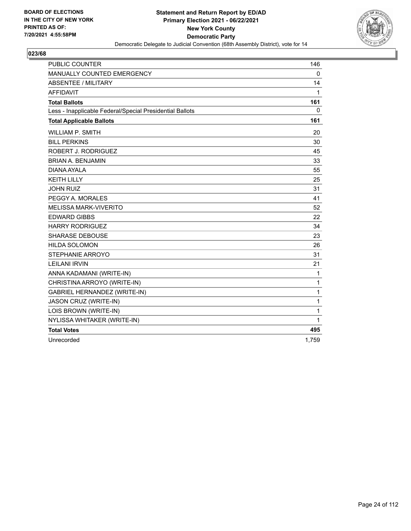

| <b>PUBLIC COUNTER</b>                                    | 146   |
|----------------------------------------------------------|-------|
| MANUALLY COUNTED EMERGENCY                               | 0     |
| <b>ABSENTEE / MILITARY</b>                               | 14    |
| <b>AFFIDAVIT</b>                                         | 1     |
| <b>Total Ballots</b>                                     | 161   |
| Less - Inapplicable Federal/Special Presidential Ballots | 0     |
| <b>Total Applicable Ballots</b>                          | 161   |
| <b>WILLIAM P. SMITH</b>                                  | 20    |
| <b>BILL PERKINS</b>                                      | 30    |
| ROBERT J. RODRIGUEZ                                      | 45    |
| <b>BRIAN A. BENJAMIN</b>                                 | 33    |
| DIANA AYALA                                              | 55    |
| <b>KEITH LILLY</b>                                       | 25    |
| <b>JOHN RUIZ</b>                                         | 31    |
| PEGGY A. MORALES                                         | 41    |
| <b>MELISSA MARK-VIVERITO</b>                             | 52    |
| <b>EDWARD GIBBS</b>                                      | 22    |
| <b>HARRY RODRIGUEZ</b>                                   | 34    |
| <b>SHARASE DEBOUSE</b>                                   | 23    |
| <b>HILDA SOLOMON</b>                                     | 26    |
| STEPHANIE ARROYO                                         | 31    |
| <b>LEILANI IRVIN</b>                                     | 21    |
| ANNA KADAMANI (WRITE-IN)                                 | 1     |
| CHRISTINA ARROYO (WRITE-IN)                              | 1     |
| <b>GABRIEL HERNANDEZ (WRITE-IN)</b>                      | 1     |
| JASON CRUZ (WRITE-IN)                                    | 1     |
| LOIS BROWN (WRITE-IN)                                    | 1     |
| NYLISSA WHITAKER (WRITE-IN)                              | 1     |
| <b>Total Votes</b>                                       | 495   |
| Unrecorded                                               | 1,759 |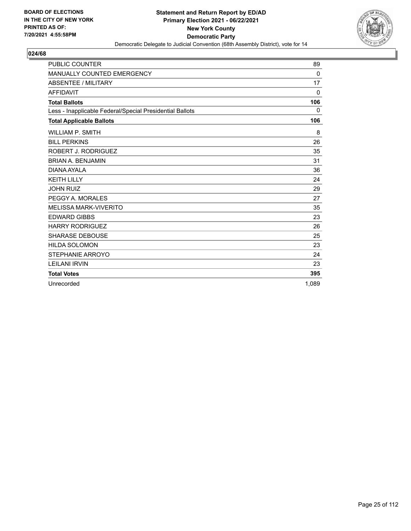

| <b>PUBLIC COUNTER</b>                                    | 89           |
|----------------------------------------------------------|--------------|
| <b>MANUALLY COUNTED EMERGENCY</b>                        | 0            |
| <b>ABSENTEE / MILITARY</b>                               | 17           |
| <b>AFFIDAVIT</b>                                         | $\mathbf{0}$ |
| <b>Total Ballots</b>                                     | 106          |
| Less - Inapplicable Federal/Special Presidential Ballots | 0            |
| <b>Total Applicable Ballots</b>                          | 106          |
| <b>WILLIAM P. SMITH</b>                                  | 8            |
| <b>BILL PERKINS</b>                                      | 26           |
| ROBERT J. RODRIGUEZ                                      | 35           |
| <b>BRIAN A. BENJAMIN</b>                                 | 31           |
| DIANA AYALA                                              | 36           |
| <b>KEITH LILLY</b>                                       | 24           |
| <b>JOHN RUIZ</b>                                         | 29           |
| PEGGY A. MORALES                                         | 27           |
| <b>MELISSA MARK-VIVERITO</b>                             | 35           |
| <b>EDWARD GIBBS</b>                                      | 23           |
| <b>HARRY RODRIGUEZ</b>                                   | 26           |
| <b>SHARASE DEBOUSE</b>                                   | 25           |
| <b>HILDA SOLOMON</b>                                     | 23           |
| <b>STEPHANIE ARROYO</b>                                  | 24           |
| <b>LEILANI IRVIN</b>                                     | 23           |
| <b>Total Votes</b>                                       | 395          |
| Unrecorded                                               | 1.089        |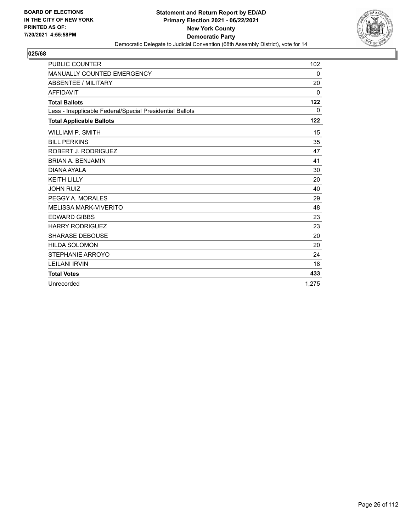

| <b>PUBLIC COUNTER</b>                                    | 102      |
|----------------------------------------------------------|----------|
| MANUALLY COUNTED EMERGENCY                               | 0        |
| <b>ABSENTEE / MILITARY</b>                               | 20       |
| <b>AFFIDAVIT</b>                                         | $\Omega$ |
| <b>Total Ballots</b>                                     | 122      |
| Less - Inapplicable Federal/Special Presidential Ballots | $\Omega$ |
| <b>Total Applicable Ballots</b>                          | 122      |
| <b>WILLIAM P. SMITH</b>                                  | 15       |
| <b>BILL PERKINS</b>                                      | 35       |
| ROBERT J. RODRIGUEZ                                      | 47       |
| <b>BRIAN A. BENJAMIN</b>                                 | 41       |
| <b>DIANA AYALA</b>                                       | 30       |
| <b>KEITH LILLY</b>                                       | 20       |
| <b>JOHN RUIZ</b>                                         | 40       |
| PEGGY A. MORALES                                         | 29       |
| MELISSA MARK-VIVERITO                                    | 48       |
| <b>EDWARD GIBBS</b>                                      | 23       |
| <b>HARRY RODRIGUEZ</b>                                   | 23       |
| <b>SHARASE DEBOUSE</b>                                   | 20       |
| <b>HILDA SOLOMON</b>                                     | 20       |
| STEPHANIE ARROYO                                         | 24       |
| <b>LEILANI IRVIN</b>                                     | 18       |
| <b>Total Votes</b>                                       | 433      |
| Unrecorded                                               | 1.275    |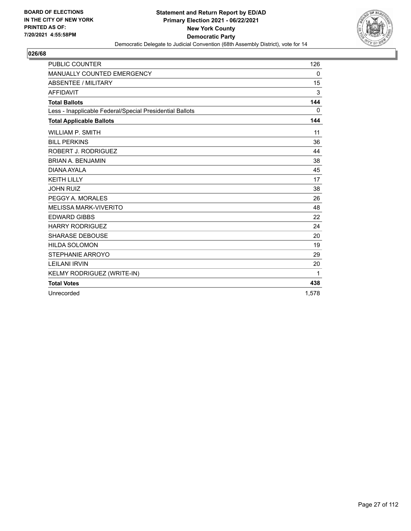

| <b>PUBLIC COUNTER</b>                                    | 126   |
|----------------------------------------------------------|-------|
| <b>MANUALLY COUNTED EMERGENCY</b>                        | 0     |
| ABSENTEE / MILITARY                                      | 15    |
| <b>AFFIDAVIT</b>                                         | 3     |
| <b>Total Ballots</b>                                     | 144   |
| Less - Inapplicable Federal/Special Presidential Ballots | 0     |
| <b>Total Applicable Ballots</b>                          | 144   |
| <b>WILLIAM P. SMITH</b>                                  | 11    |
| <b>BILL PERKINS</b>                                      | 36    |
| ROBERT J. RODRIGUEZ                                      | 44    |
| <b>BRIAN A. BENJAMIN</b>                                 | 38    |
| DIANA AYALA                                              | 45    |
| <b>KEITH LILLY</b>                                       | 17    |
| <b>JOHN RUIZ</b>                                         | 38    |
| PEGGY A. MORALES                                         | 26    |
| <b>MELISSA MARK-VIVERITO</b>                             | 48    |
| <b>EDWARD GIBBS</b>                                      | 22    |
| <b>HARRY RODRIGUEZ</b>                                   | 24    |
| <b>SHARASE DEBOUSE</b>                                   | 20    |
| <b>HILDA SOLOMON</b>                                     | 19    |
| STEPHANIE ARROYO                                         | 29    |
| <b>LEILANI IRVIN</b>                                     | 20    |
| KELMY RODRIGUEZ (WRITE-IN)                               | 1     |
| <b>Total Votes</b>                                       | 438   |
| Unrecorded                                               | 1.578 |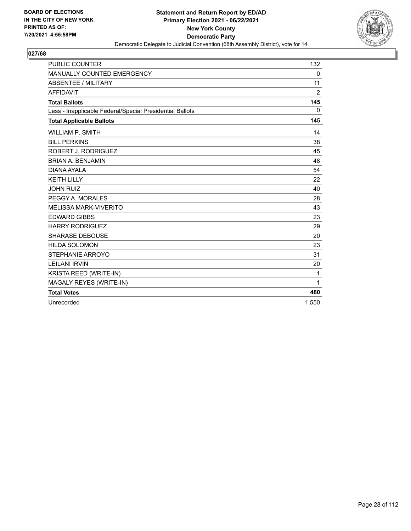

| <b>PUBLIC COUNTER</b>                                    | 132            |
|----------------------------------------------------------|----------------|
| MANUALLY COUNTED EMERGENCY                               | 0              |
| ABSENTEE / MILITARY                                      | 11             |
| <b>AFFIDAVIT</b>                                         | $\overline{2}$ |
| <b>Total Ballots</b>                                     | 145            |
| Less - Inapplicable Federal/Special Presidential Ballots | 0              |
| <b>Total Applicable Ballots</b>                          | 145            |
| <b>WILLIAM P. SMITH</b>                                  | 14             |
| <b>BILL PERKINS</b>                                      | 38             |
| ROBERT J. RODRIGUEZ                                      | 45             |
| <b>BRIAN A. BENJAMIN</b>                                 | 48             |
| DIANA AYALA                                              | 54             |
| <b>KEITH LILLY</b>                                       | 22             |
| <b>JOHN RUIZ</b>                                         | 40             |
| PEGGY A. MORALES                                         | 28             |
| <b>MELISSA MARK-VIVERITO</b>                             | 43             |
| <b>EDWARD GIBBS</b>                                      | 23             |
| <b>HARRY RODRIGUEZ</b>                                   | 29             |
| <b>SHARASE DEBOUSE</b>                                   | 20             |
| <b>HILDA SOLOMON</b>                                     | 23             |
| <b>STEPHANIE ARROYO</b>                                  | 31             |
| <b>LEILANI IRVIN</b>                                     | 20             |
| KRISTA REED (WRITE-IN)                                   | 1              |
| MAGALY REYES (WRITE-IN)                                  | $\mathbf{1}$   |
| <b>Total Votes</b>                                       | 480            |
| Unrecorded                                               | 1,550          |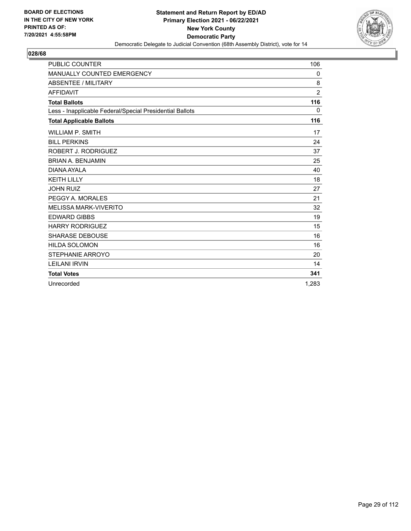

| <b>PUBLIC COUNTER</b>                                    | 106            |
|----------------------------------------------------------|----------------|
| MANUALLY COUNTED EMERGENCY                               | 0              |
| <b>ABSENTEE / MILITARY</b>                               | 8              |
| <b>AFFIDAVIT</b>                                         | $\overline{2}$ |
| <b>Total Ballots</b>                                     | 116            |
| Less - Inapplicable Federal/Special Presidential Ballots | $\mathbf{0}$   |
| <b>Total Applicable Ballots</b>                          | 116            |
| <b>WILLIAM P. SMITH</b>                                  | 17             |
| <b>BILL PERKINS</b>                                      | 24             |
| ROBERT J. RODRIGUEZ                                      | 37             |
| <b>BRIAN A. BENJAMIN</b>                                 | 25             |
| DIANA AYAI A                                             | 40             |
| <b>KEITH LILLY</b>                                       | 18             |
| <b>JOHN RUIZ</b>                                         | 27             |
| PEGGY A. MORALES                                         | 21             |
| <b>MELISSA MARK-VIVERITO</b>                             | 32             |
| <b>EDWARD GIBBS</b>                                      | 19             |
| <b>HARRY RODRIGUEZ</b>                                   | 15             |
| <b>SHARASE DEBOUSE</b>                                   | 16             |
| <b>HILDA SOLOMON</b>                                     | 16             |
| STEPHANIE ARROYO                                         | 20             |
| <b>LEILANI IRVIN</b>                                     | 14             |
| <b>Total Votes</b>                                       | 341            |
| Unrecorded                                               | 1.283          |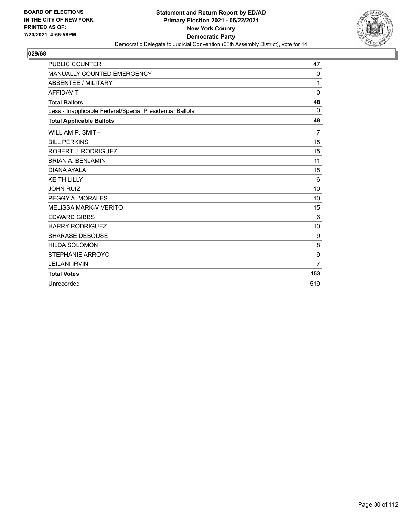

| <b>PUBLIC COUNTER</b>                                    | 47             |
|----------------------------------------------------------|----------------|
| MANUALLY COUNTED EMERGENCY                               | 0              |
| ABSENTEE / MILITARY                                      | 1              |
| <b>AFFIDAVIT</b>                                         | $\mathbf 0$    |
| <b>Total Ballots</b>                                     | 48             |
| Less - Inapplicable Federal/Special Presidential Ballots | $\Omega$       |
| <b>Total Applicable Ballots</b>                          | 48             |
| <b>WILLIAM P. SMITH</b>                                  | $\overline{7}$ |
| <b>BILL PERKINS</b>                                      | 15             |
| ROBERT J. RODRIGUEZ                                      | 15             |
| <b>BRIAN A. BENJAMIN</b>                                 | 11             |
| DIANA AYALA                                              | 15             |
| <b>KEITH LILLY</b>                                       | 6              |
| <b>JOHN RUIZ</b>                                         | 10             |
| PEGGY A. MORALES                                         | 10             |
| <b>MELISSA MARK-VIVERITO</b>                             | 15             |
| <b>EDWARD GIBBS</b>                                      | 6              |
| <b>HARRY RODRIGUEZ</b>                                   | 10             |
| <b>SHARASE DEBOUSE</b>                                   | 9              |
| <b>HILDA SOLOMON</b>                                     | 8              |
| STEPHANIE ARROYO                                         | 9              |
| <b>LEILANI IRVIN</b>                                     | $\overline{7}$ |
| <b>Total Votes</b>                                       | 153            |
| Unrecorded                                               | 519            |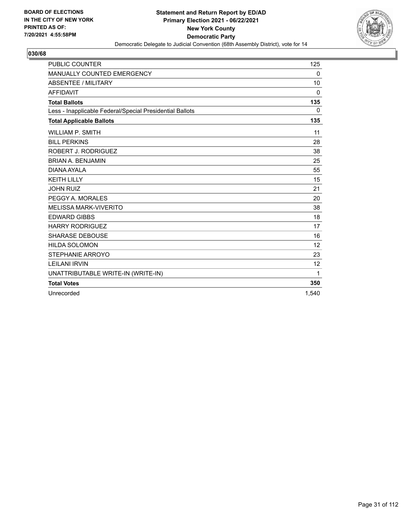

| <b>PUBLIC COUNTER</b>                                    | 125          |
|----------------------------------------------------------|--------------|
| MANUALLY COUNTED EMERGENCY                               | 0            |
| <b>ABSENTEE / MILITARY</b>                               | 10           |
| <b>AFFIDAVIT</b>                                         | $\mathbf{0}$ |
| <b>Total Ballots</b>                                     | 135          |
| Less - Inapplicable Federal/Special Presidential Ballots | 0            |
| <b>Total Applicable Ballots</b>                          | 135          |
| <b>WILLIAM P. SMITH</b>                                  | 11           |
| <b>BILL PERKINS</b>                                      | 28           |
| ROBERT J. RODRIGUEZ                                      | 38           |
| <b>BRIAN A. BENJAMIN</b>                                 | 25           |
| DIANA AYAI A                                             | 55           |
| <b>KEITH LILLY</b>                                       | 15           |
| <b>JOHN RUIZ</b>                                         | 21           |
| PEGGY A. MORALES                                         | 20           |
| <b>MELISSA MARK-VIVERITO</b>                             | 38           |
| <b>EDWARD GIBBS</b>                                      | 18           |
| <b>HARRY RODRIGUEZ</b>                                   | 17           |
| <b>SHARASE DEBOUSE</b>                                   | 16           |
| <b>HILDA SOLOMON</b>                                     | 12           |
| STEPHANIE ARROYO                                         | 23           |
| <b>LEILANI IRVIN</b>                                     | 12           |
| UNATTRIBUTABLE WRITE-IN (WRITE-IN)                       | 1            |
| <b>Total Votes</b>                                       | 350          |
| Unrecorded                                               | 1.540        |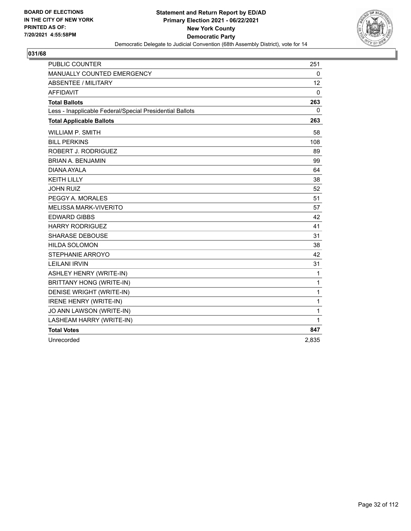

| <b>PUBLIC COUNTER</b>                                    | 251      |
|----------------------------------------------------------|----------|
| MANUALLY COUNTED EMERGENCY                               | 0        |
| <b>ABSENTEE / MILITARY</b>                               | 12       |
| <b>AFFIDAVIT</b>                                         | $\Omega$ |
| <b>Total Ballots</b>                                     | 263      |
| Less - Inapplicable Federal/Special Presidential Ballots | 0        |
| <b>Total Applicable Ballots</b>                          | 263      |
| <b>WILLIAM P. SMITH</b>                                  | 58       |
| <b>BILL PERKINS</b>                                      | 108      |
| ROBERT J. RODRIGUEZ                                      | 89       |
| <b>BRIAN A. BENJAMIN</b>                                 | 99       |
| DIANA AYALA                                              | 64       |
| <b>KEITH LILLY</b>                                       | 38       |
| <b>JOHN RUIZ</b>                                         | 52       |
| PEGGY A. MORALES                                         | 51       |
| <b>MELISSA MARK-VIVERITO</b>                             | 57       |
| <b>EDWARD GIBBS</b>                                      | 42       |
| <b>HARRY RODRIGUEZ</b>                                   | 41       |
| <b>SHARASE DEBOUSE</b>                                   | 31       |
| <b>HILDA SOLOMON</b>                                     | 38       |
| STEPHANIE ARROYO                                         | 42       |
| <b>LEILANI IRVIN</b>                                     | 31       |
| ASHLEY HENRY (WRITE-IN)                                  | 1        |
| <b>BRITTANY HONG (WRITE-IN)</b>                          | 1        |
| DENISE WRIGHT (WRITE-IN)                                 | 1        |
| <b>IRENE HENRY (WRITE-IN)</b>                            | 1        |
| JO ANN LAWSON (WRITE-IN)                                 | 1        |
| LASHEAM HARRY (WRITE-IN)                                 | 1        |
| <b>Total Votes</b>                                       | 847      |
| Unrecorded                                               | 2.835    |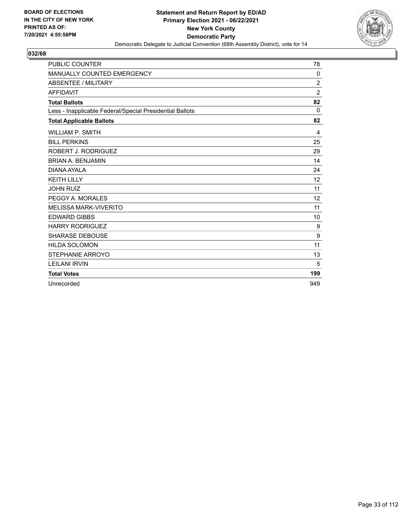

| <b>PUBLIC COUNTER</b>                                    | 78             |
|----------------------------------------------------------|----------------|
| MANUALLY COUNTED EMERGENCY                               | 0              |
| <b>ABSENTEE / MILITARY</b>                               | $\overline{c}$ |
| <b>AFFIDAVIT</b>                                         | $\overline{2}$ |
| <b>Total Ballots</b>                                     | 82             |
| Less - Inapplicable Federal/Special Presidential Ballots | $\Omega$       |
| <b>Total Applicable Ballots</b>                          | 82             |
| <b>WILLIAM P. SMITH</b>                                  | 4              |
| <b>BILL PERKINS</b>                                      | 25             |
| ROBERT J. RODRIGUEZ                                      | 29             |
| <b>BRIAN A. BENJAMIN</b>                                 | 14             |
| DIANA AYAI A                                             | 24             |
| <b>KEITH LILLY</b>                                       | 12             |
| <b>JOHN RUIZ</b>                                         | 11             |
| PEGGY A. MORALES                                         | 12             |
| <b>MELISSA MARK-VIVERITO</b>                             | 11             |
| <b>EDWARD GIBBS</b>                                      | 10             |
| <b>HARRY RODRIGUEZ</b>                                   | 9              |
| <b>SHARASE DEBOUSE</b>                                   | 9              |
| <b>HILDA SOLOMON</b>                                     | 11             |
| STEPHANIE ARROYO                                         | 13             |
| <b>LEILANI IRVIN</b>                                     | 5              |
| <b>Total Votes</b>                                       | 199            |
| Unrecorded                                               | 949            |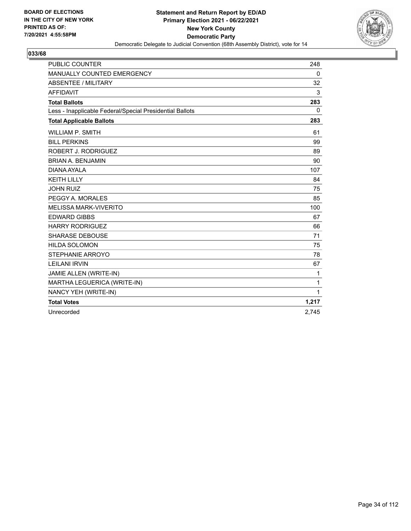

| <b>PUBLIC COUNTER</b>                                    | 248          |
|----------------------------------------------------------|--------------|
| MANUALLY COUNTED EMERGENCY                               | 0            |
| <b>ABSENTEE / MILITARY</b>                               | 32           |
| <b>AFFIDAVIT</b>                                         | 3            |
| <b>Total Ballots</b>                                     | 283          |
| Less - Inapplicable Federal/Special Presidential Ballots | $\mathbf{0}$ |
| <b>Total Applicable Ballots</b>                          | 283          |
| <b>WILLIAM P. SMITH</b>                                  | 61           |
| <b>BILL PERKINS</b>                                      | 99           |
| ROBERT J. RODRIGUEZ                                      | 89           |
| <b>BRIAN A. BENJAMIN</b>                                 | 90           |
| DIANA AYALA                                              | 107          |
| <b>KEITH LILLY</b>                                       | 84           |
| <b>JOHN RUIZ</b>                                         | 75           |
| PEGGY A. MORALES                                         | 85           |
| <b>MELISSA MARK-VIVERITO</b>                             | 100          |
| <b>EDWARD GIBBS</b>                                      | 67           |
| <b>HARRY RODRIGUEZ</b>                                   | 66           |
| <b>SHARASE DEBOUSE</b>                                   | 71           |
| <b>HILDA SOLOMON</b>                                     | 75           |
| STEPHANIE ARROYO                                         | 78           |
| <b>LEILANI IRVIN</b>                                     | 67           |
| JAMIE ALLEN (WRITE-IN)                                   | 1            |
| MARTHA LEGUERICA (WRITE-IN)                              | 1            |
| NANCY YEH (WRITE-IN)                                     | 1            |
| <b>Total Votes</b>                                       | 1,217        |
| Unrecorded                                               | 2.745        |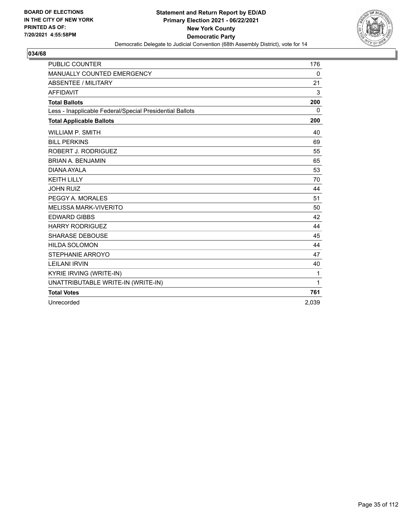

| <b>PUBLIC COUNTER</b>                                    | 176          |
|----------------------------------------------------------|--------------|
| MANUALLY COUNTED EMERGENCY                               | 0            |
| ABSENTEE / MILITARY                                      | 21           |
| <b>AFFIDAVIT</b>                                         | 3            |
| <b>Total Ballots</b>                                     | 200          |
| Less - Inapplicable Federal/Special Presidential Ballots | $\Omega$     |
| <b>Total Applicable Ballots</b>                          | 200          |
| <b>WILLIAM P. SMITH</b>                                  | 40           |
| <b>BILL PERKINS</b>                                      | 69           |
| ROBERT J. RODRIGUEZ                                      | 55           |
| <b>BRIAN A. BENJAMIN</b>                                 | 65           |
| DIANA AYALA                                              | 53           |
| <b>KEITH LILLY</b>                                       | 70           |
| <b>JOHN RUIZ</b>                                         | 44           |
| PEGGY A. MORALES                                         | 51           |
| <b>MELISSA MARK-VIVERITO</b>                             | 50           |
| <b>EDWARD GIBBS</b>                                      | 42           |
| <b>HARRY RODRIGUEZ</b>                                   | 44           |
| <b>SHARASE DEBOUSE</b>                                   | 45           |
| <b>HILDA SOLOMON</b>                                     | 44           |
| STEPHANIE ARROYO                                         | 47           |
| <b>LEILANI IRVIN</b>                                     | 40           |
| <b>KYRIE IRVING (WRITE-IN)</b>                           | 1            |
| UNATTRIBUTABLE WRITE-IN (WRITE-IN)                       | $\mathbf{1}$ |
| <b>Total Votes</b>                                       | 761          |
| Unrecorded                                               | 2,039        |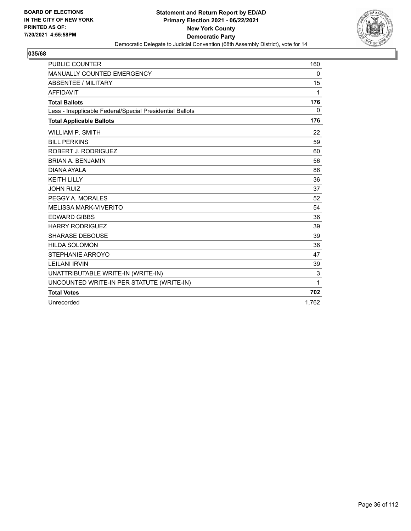

| <b>PUBLIC COUNTER</b>                                    | 160          |
|----------------------------------------------------------|--------------|
| MANUALLY COUNTED EMERGENCY                               | 0            |
| ABSENTEE / MILITARY                                      | 15           |
| <b>AFFIDAVIT</b>                                         | 1            |
| <b>Total Ballots</b>                                     | 176          |
| Less - Inapplicable Federal/Special Presidential Ballots | $\mathbf{0}$ |
| <b>Total Applicable Ballots</b>                          | 176          |
| <b>WILLIAM P. SMITH</b>                                  | 22           |
| <b>BILL PERKINS</b>                                      | 59           |
| ROBERT J. RODRIGUEZ                                      | 60           |
| <b>BRIAN A. BENJAMIN</b>                                 | 56           |
| DIANA AYALA                                              | 86           |
| <b>KEITH LILLY</b>                                       | 36           |
| <b>JOHN RUIZ</b>                                         | 37           |
| PEGGY A. MORALES                                         | 52           |
| <b>MELISSA MARK-VIVERITO</b>                             | 54           |
| <b>EDWARD GIBBS</b>                                      | 36           |
| <b>HARRY RODRIGUEZ</b>                                   | 39           |
| <b>SHARASE DEBOUSE</b>                                   | 39           |
| <b>HILDA SOLOMON</b>                                     | 36           |
| STEPHANIE ARROYO                                         | 47           |
| <b>LEILANI IRVIN</b>                                     | 39           |
| UNATTRIBUTABLE WRITE-IN (WRITE-IN)                       | 3            |
| UNCOUNTED WRITE-IN PER STATUTE (WRITE-IN)                | 1            |
| <b>Total Votes</b>                                       | 702          |
| Unrecorded                                               | 1,762        |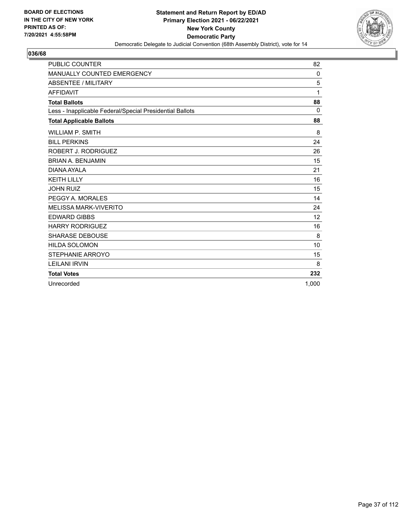

| <b>PUBLIC COUNTER</b>                                    | 82       |
|----------------------------------------------------------|----------|
| MANUALLY COUNTED EMERGENCY                               | 0        |
| ABSENTEE / MILITARY                                      | 5        |
| <b>AFFIDAVIT</b>                                         | 1        |
| <b>Total Ballots</b>                                     | 88       |
| Less - Inapplicable Federal/Special Presidential Ballots | $\Omega$ |
| <b>Total Applicable Ballots</b>                          | 88       |
| <b>WILLIAM P. SMITH</b>                                  | 8        |
| <b>BILL PERKINS</b>                                      | 24       |
| ROBERT J. RODRIGUEZ                                      | 26       |
| <b>BRIAN A. BENJAMIN</b>                                 | 15       |
| DIANA AYALA                                              | 21       |
| <b>KEITH LILLY</b>                                       | 16       |
| <b>JOHN RUIZ</b>                                         | 15       |
| PEGGY A. MORALES                                         | 14       |
| <b>MELISSA MARK-VIVERITO</b>                             | 24       |
| <b>EDWARD GIBBS</b>                                      | 12       |
| <b>HARRY RODRIGUEZ</b>                                   | 16       |
| <b>SHARASE DEBOUSE</b>                                   | 8        |
| <b>HILDA SOLOMON</b>                                     | 10       |
| STEPHANIE ARROYO                                         | 15       |
| <b>LEILANI IRVIN</b>                                     | 8        |
| <b>Total Votes</b>                                       | 232      |
| Unrecorded                                               | 1.000    |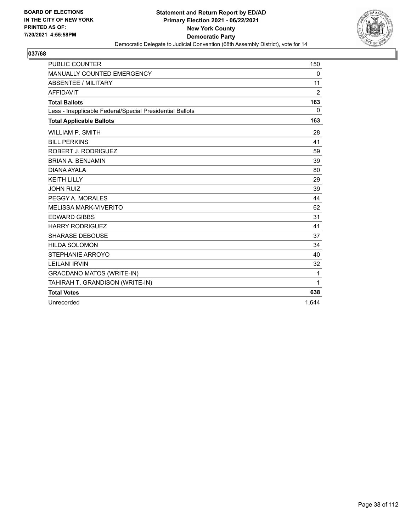

| <b>PUBLIC COUNTER</b>                                    | 150            |
|----------------------------------------------------------|----------------|
| MANUALLY COUNTED EMERGENCY                               | 0              |
| ABSENTEE / MILITARY                                      | 11             |
| <b>AFFIDAVIT</b>                                         | $\overline{2}$ |
| <b>Total Ballots</b>                                     | 163            |
| Less - Inapplicable Federal/Special Presidential Ballots | $\Omega$       |
| <b>Total Applicable Ballots</b>                          | 163            |
| WILLIAM P. SMITH                                         | 28             |
| <b>BILL PERKINS</b>                                      | 41             |
| ROBERT J. RODRIGUEZ                                      | 59             |
| <b>BRIAN A. BENJAMIN</b>                                 | 39             |
| DIANA AYALA                                              | 80             |
| <b>KEITH LILLY</b>                                       | 29             |
| <b>JOHN RUIZ</b>                                         | 39             |
| PEGGY A. MORALES                                         | 44             |
| <b>MELISSA MARK-VIVERITO</b>                             | 62             |
| <b>EDWARD GIBBS</b>                                      | 31             |
| <b>HARRY RODRIGUEZ</b>                                   | 41             |
| <b>SHARASE DEBOUSE</b>                                   | 37             |
| <b>HILDA SOLOMON</b>                                     | 34             |
| STEPHANIE ARROYO                                         | 40             |
| <b>LEILANI IRVIN</b>                                     | 32             |
| <b>GRACDANO MATOS (WRITE-IN)</b>                         | 1              |
| TAHIRAH T. GRANDISON (WRITE-IN)                          | $\mathbf{1}$   |
| <b>Total Votes</b>                                       | 638            |
| Unrecorded                                               | 1.644          |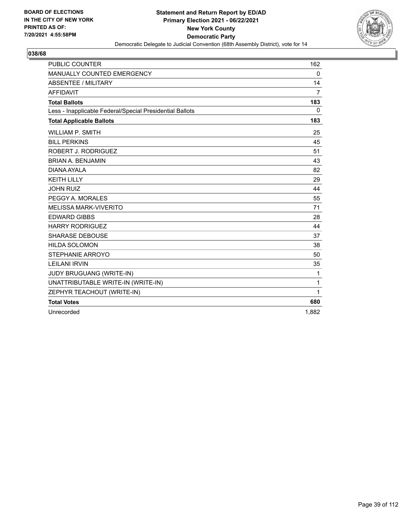

| <b>PUBLIC COUNTER</b>                                    | 162            |
|----------------------------------------------------------|----------------|
| MANUALLY COUNTED EMERGENCY                               | 0              |
| <b>ABSENTEE / MILITARY</b>                               | 14             |
| <b>AFFIDAVIT</b>                                         | $\overline{7}$ |
| <b>Total Ballots</b>                                     | 183            |
| Less - Inapplicable Federal/Special Presidential Ballots | $\mathbf{0}$   |
| <b>Total Applicable Ballots</b>                          | 183            |
| <b>WILLIAM P. SMITH</b>                                  | 25             |
| <b>BILL PERKINS</b>                                      | 45             |
| ROBERT J. RODRIGUEZ                                      | 51             |
| <b>BRIAN A. BENJAMIN</b>                                 | 43             |
| DIANA AYALA                                              | 82             |
| <b>KEITH LILLY</b>                                       | 29             |
| <b>JOHN RUIZ</b>                                         | 44             |
| PEGGY A. MORALES                                         | 55             |
| <b>MELISSA MARK-VIVERITO</b>                             | 71             |
| <b>EDWARD GIBBS</b>                                      | 28             |
| <b>HARRY RODRIGUEZ</b>                                   | 44             |
| <b>SHARASE DEBOUSE</b>                                   | 37             |
| <b>HILDA SOLOMON</b>                                     | 38             |
| STEPHANIE ARROYO                                         | 50             |
| <b>LEILANI IRVIN</b>                                     | 35             |
| JUDY BRUGUANG (WRITE-IN)                                 | 1              |
| UNATTRIBUTABLE WRITE-IN (WRITE-IN)                       | 1              |
| ZEPHYR TEACHOUT (WRITE-IN)                               | 1              |
| <b>Total Votes</b>                                       | 680            |
| Unrecorded                                               | 1.882          |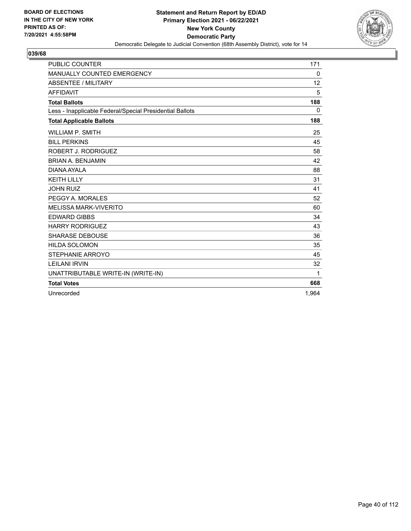

| <b>PUBLIC COUNTER</b>                                    | 171   |
|----------------------------------------------------------|-------|
| MANUALLY COUNTED EMERGENCY                               | 0     |
| ABSENTEE / MILITARY                                      | 12    |
| <b>AFFIDAVIT</b>                                         | 5     |
| <b>Total Ballots</b>                                     | 188   |
| Less - Inapplicable Federal/Special Presidential Ballots | 0     |
| <b>Total Applicable Ballots</b>                          | 188   |
| <b>WILLIAM P. SMITH</b>                                  | 25    |
| <b>BILL PERKINS</b>                                      | 45    |
| ROBERT J. RODRIGUEZ                                      | 58    |
| <b>BRIAN A. BENJAMIN</b>                                 | 42    |
| <b>DIANA AYALA</b>                                       | 88    |
| <b>KEITH LILLY</b>                                       | 31    |
| <b>JOHN RUIZ</b>                                         | 41    |
| PEGGY A. MORALES                                         | 52    |
| <b>MELISSA MARK-VIVERITO</b>                             | 60    |
| <b>EDWARD GIBBS</b>                                      | 34    |
| <b>HARRY RODRIGUEZ</b>                                   | 43    |
| <b>SHARASE DEBOUSE</b>                                   | 36    |
| <b>HILDA SOLOMON</b>                                     | 35    |
| STEPHANIE ARROYO                                         | 45    |
| <b>LEILANI IRVIN</b>                                     | 32    |
| UNATTRIBUTABLE WRITE-IN (WRITE-IN)                       | 1     |
| <b>Total Votes</b>                                       | 668   |
| Unrecorded                                               | 1.964 |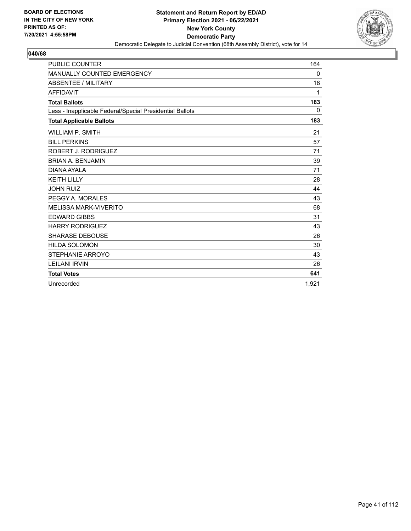

| <b>PUBLIC COUNTER</b>                                    | 164      |
|----------------------------------------------------------|----------|
| MANUALLY COUNTED EMERGENCY                               | 0        |
| <b>ABSENTEE / MILITARY</b>                               | 18       |
| <b>AFFIDAVIT</b>                                         | 1        |
| <b>Total Ballots</b>                                     | 183      |
| Less - Inapplicable Federal/Special Presidential Ballots | $\Omega$ |
| <b>Total Applicable Ballots</b>                          | 183      |
| <b>WILLIAM P. SMITH</b>                                  | 21       |
| <b>BILL PERKINS</b>                                      | 57       |
| ROBERT J. RODRIGUEZ                                      | 71       |
| <b>BRIAN A. BENJAMIN</b>                                 | 39       |
| DIANA AYAI A                                             | 71       |
| <b>KEITH LILLY</b>                                       | 28       |
| <b>JOHN RUIZ</b>                                         | 44       |
| PEGGY A. MORALES                                         | 43       |
| <b>MELISSA MARK-VIVERITO</b>                             | 68       |
| <b>EDWARD GIBBS</b>                                      | 31       |
| <b>HARRY RODRIGUEZ</b>                                   | 43       |
| <b>SHARASE DEBOUSE</b>                                   | 26       |
| <b>HILDA SOLOMON</b>                                     | 30       |
| STEPHANIE ARROYO                                         | 43       |
| <b>LEILANI IRVIN</b>                                     | 26       |
| <b>Total Votes</b>                                       | 641      |
| Unrecorded                                               | 1.921    |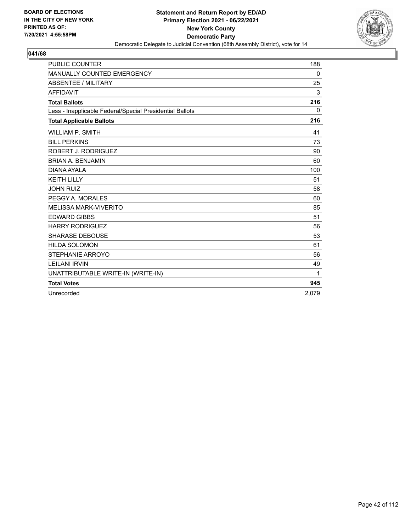

| <b>PUBLIC COUNTER</b>                                    | 188   |
|----------------------------------------------------------|-------|
| MANUALLY COUNTED EMERGENCY                               | 0     |
| <b>ABSENTEE / MILITARY</b>                               | 25    |
| <b>AFFIDAVIT</b>                                         | 3     |
| <b>Total Ballots</b>                                     | 216   |
| Less - Inapplicable Federal/Special Presidential Ballots | 0     |
| <b>Total Applicable Ballots</b>                          | 216   |
| <b>WILLIAM P. SMITH</b>                                  | 41    |
| <b>BILL PERKINS</b>                                      | 73    |
| ROBERT J. RODRIGUEZ                                      | 90    |
| <b>BRIAN A. BENJAMIN</b>                                 | 60    |
| DIANA AYALA                                              | 100   |
| <b>KEITH LILLY</b>                                       | 51    |
| <b>JOHN RUIZ</b>                                         | 58    |
| PEGGY A. MORALES                                         | 60    |
| <b>MELISSA MARK-VIVERITO</b>                             | 85    |
| <b>EDWARD GIBBS</b>                                      | 51    |
| <b>HARRY RODRIGUEZ</b>                                   | 56    |
| <b>SHARASE DEBOUSE</b>                                   | 53    |
| <b>HILDA SOLOMON</b>                                     | 61    |
| STEPHANIE ARROYO                                         | 56    |
| <b>LEILANI IRVIN</b>                                     | 49    |
| UNATTRIBUTABLE WRITE-IN (WRITE-IN)                       | 1     |
| <b>Total Votes</b>                                       | 945   |
| Unrecorded                                               | 2.079 |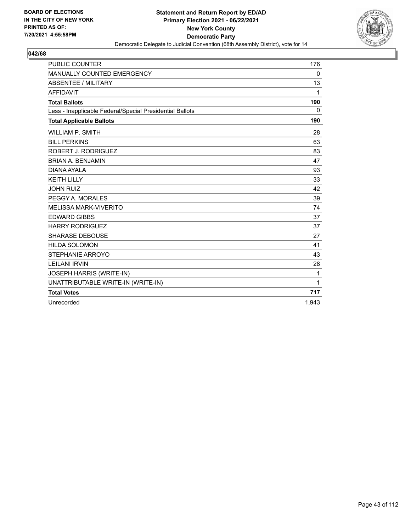

| <b>PUBLIC COUNTER</b>                                    | 176          |
|----------------------------------------------------------|--------------|
| MANUALLY COUNTED EMERGENCY                               | 0            |
| ABSENTEE / MILITARY                                      | 13           |
| <b>AFFIDAVIT</b>                                         | 1            |
| <b>Total Ballots</b>                                     | 190          |
| Less - Inapplicable Federal/Special Presidential Ballots | $\Omega$     |
| <b>Total Applicable Ballots</b>                          | 190          |
| <b>WILLIAM P. SMITH</b>                                  | 28           |
| <b>BILL PERKINS</b>                                      | 63           |
| ROBERT J. RODRIGUEZ                                      | 83           |
| <b>BRIAN A. BENJAMIN</b>                                 | 47           |
| DIANA AYALA                                              | 93           |
| <b>KEITH LILLY</b>                                       | 33           |
| <b>JOHN RUIZ</b>                                         | 42           |
| PEGGY A. MORALES                                         | 39           |
| <b>MELISSA MARK-VIVERITO</b>                             | 74           |
| <b>EDWARD GIBBS</b>                                      | 37           |
| <b>HARRY RODRIGUEZ</b>                                   | 37           |
| <b>SHARASE DEBOUSE</b>                                   | 27           |
| <b>HILDA SOLOMON</b>                                     | 41           |
| STEPHANIE ARROYO                                         | 43           |
| <b>LEILANI IRVIN</b>                                     | 28           |
| JOSEPH HARRIS (WRITE-IN)                                 | $\mathbf 1$  |
| UNATTRIBUTABLE WRITE-IN (WRITE-IN)                       | $\mathbf{1}$ |
| <b>Total Votes</b>                                       | 717          |
| Unrecorded                                               | 1,943        |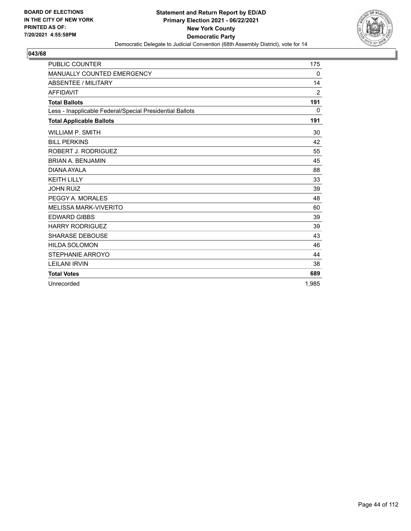

| <b>PUBLIC COUNTER</b>                                    | 175            |
|----------------------------------------------------------|----------------|
| <b>MANUALLY COUNTED EMERGENCY</b>                        | 0              |
| <b>ABSENTEE / MILITARY</b>                               | 14             |
| <b>AFFIDAVIT</b>                                         | $\overline{2}$ |
| <b>Total Ballots</b>                                     | 191            |
| Less - Inapplicable Federal/Special Presidential Ballots | $\Omega$       |
| <b>Total Applicable Ballots</b>                          | 191            |
| <b>WILLIAM P. SMITH</b>                                  | 30             |
| <b>BILL PERKINS</b>                                      | 42             |
| ROBERT J. RODRIGUEZ                                      | 55             |
| <b>BRIAN A. BENJAMIN</b>                                 | 45             |
| DIANA AYALA                                              | 88             |
| <b>KEITH LILLY</b>                                       | 33             |
| <b>JOHN RUIZ</b>                                         | 39             |
| PEGGY A. MORALES                                         | 48             |
| <b>MELISSA MARK-VIVERITO</b>                             | 60             |
| <b>EDWARD GIBBS</b>                                      | 39             |
| <b>HARRY RODRIGUEZ</b>                                   | 39             |
| <b>SHARASE DEBOUSE</b>                                   | 43             |
| <b>HILDA SOLOMON</b>                                     | 46             |
| <b>STEPHANIE ARROYO</b>                                  | 44             |
| <b>LEILANI IRVIN</b>                                     | 38             |
| <b>Total Votes</b>                                       | 689            |
| Unrecorded                                               | 1.985          |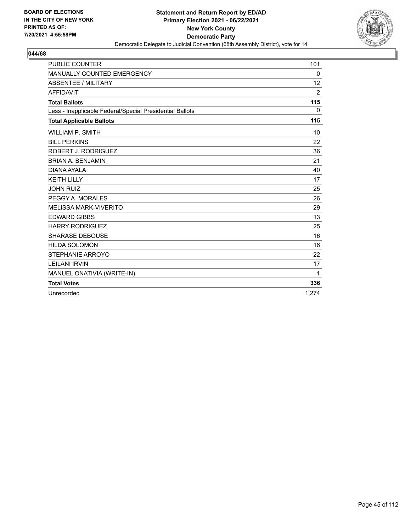

| <b>PUBLIC COUNTER</b>                                    | 101            |
|----------------------------------------------------------|----------------|
| MANUALLY COUNTED EMERGENCY                               | 0              |
| <b>ABSENTEE / MILITARY</b>                               | 12             |
| <b>AFFIDAVIT</b>                                         | $\overline{2}$ |
| <b>Total Ballots</b>                                     | 115            |
| Less - Inapplicable Federal/Special Presidential Ballots | 0              |
| <b>Total Applicable Ballots</b>                          | 115            |
| <b>WILLIAM P. SMITH</b>                                  | 10             |
| <b>BILL PERKINS</b>                                      | 22             |
| ROBERT J. RODRIGUEZ                                      | 36             |
| <b>BRIAN A. BENJAMIN</b>                                 | 21             |
| DIANA AYALA                                              | 40             |
| <b>KEITH LILLY</b>                                       | 17             |
| <b>JOHN RUIZ</b>                                         | 25             |
| PEGGY A. MORALES                                         | 26             |
| <b>MELISSA MARK-VIVERITO</b>                             | 29             |
| <b>EDWARD GIBBS</b>                                      | 13             |
| <b>HARRY RODRIGUEZ</b>                                   | 25             |
| <b>SHARASE DEBOUSE</b>                                   | 16             |
| <b>HILDA SOLOMON</b>                                     | 16             |
| STEPHANIE ARROYO                                         | 22             |
| <b>LEILANI IRVIN</b>                                     | 17             |
| MANUEL ONATIVIA (WRITE-IN)                               | 1              |
| <b>Total Votes</b>                                       | 336            |
| Unrecorded                                               | 1.274          |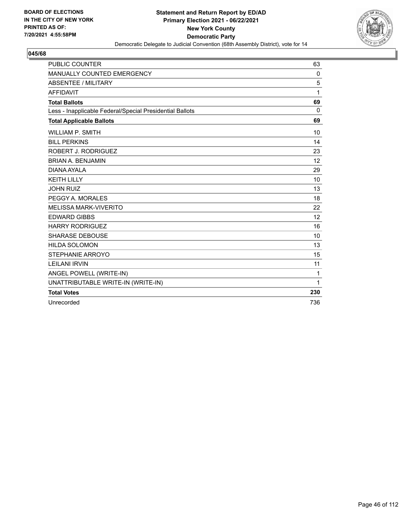

| <b>PUBLIC COUNTER</b>                                    | 63       |
|----------------------------------------------------------|----------|
| <b>MANUALLY COUNTED EMERGENCY</b>                        | 0        |
| <b>ABSENTEE / MILITARY</b>                               | 5        |
| <b>AFFIDAVIT</b>                                         | 1        |
| <b>Total Ballots</b>                                     | 69       |
| Less - Inapplicable Federal/Special Presidential Ballots | $\Omega$ |
| <b>Total Applicable Ballots</b>                          | 69       |
| <b>WILLIAM P. SMITH</b>                                  | 10       |
| <b>BILL PERKINS</b>                                      | 14       |
| ROBERT J. RODRIGUEZ                                      | 23       |
| <b>BRIAN A. BENJAMIN</b>                                 | 12       |
| DIANA AYALA                                              | 29       |
| <b>KEITH LILLY</b>                                       | 10       |
| <b>JOHN RUIZ</b>                                         | 13       |
| PEGGY A. MORALES                                         | 18       |
| <b>MELISSA MARK-VIVERITO</b>                             | 22       |
| <b>EDWARD GIBBS</b>                                      | 12       |
| <b>HARRY RODRIGUEZ</b>                                   | 16       |
| <b>SHARASE DEBOUSE</b>                                   | 10       |
| <b>HILDA SOLOMON</b>                                     | 13       |
| STEPHANIE ARROYO                                         | 15       |
| <b>LEILANI IRVIN</b>                                     | 11       |
| ANGEL POWELL (WRITE-IN)                                  | 1        |
| UNATTRIBUTABLE WRITE-IN (WRITE-IN)                       | 1        |
| <b>Total Votes</b>                                       | 230      |
| Unrecorded                                               | 736      |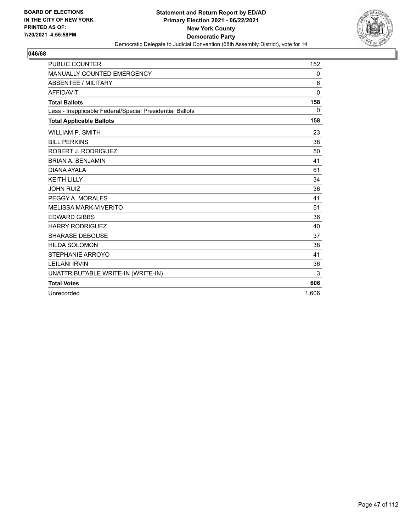

| <b>PUBLIC COUNTER</b>                                    | 152      |
|----------------------------------------------------------|----------|
| MANUALLY COUNTED EMERGENCY                               | 0        |
| ABSENTEE / MILITARY                                      | 6        |
| <b>AFFIDAVIT</b>                                         | $\Omega$ |
| <b>Total Ballots</b>                                     | 158      |
| Less - Inapplicable Federal/Special Presidential Ballots | 0        |
| <b>Total Applicable Ballots</b>                          | 158      |
| <b>WILLIAM P. SMITH</b>                                  | 23       |
| <b>BILL PERKINS</b>                                      | 38       |
| ROBERT J. RODRIGUEZ                                      | 50       |
| <b>BRIAN A. BENJAMIN</b>                                 | 41       |
| DIANA AYALA                                              | 61       |
| <b>KEITH LILLY</b>                                       | 34       |
| <b>JOHN RUIZ</b>                                         | 36       |
| PEGGY A. MORALES                                         | 41       |
| <b>MELISSA MARK-VIVERITO</b>                             | 51       |
| <b>EDWARD GIBBS</b>                                      | 36       |
| <b>HARRY RODRIGUEZ</b>                                   | 40       |
| <b>SHARASE DEBOUSE</b>                                   | 37       |
| <b>HILDA SOLOMON</b>                                     | 38       |
| STEPHANIE ARROYO                                         | 41       |
| <b>LEILANI IRVIN</b>                                     | 36       |
| UNATTRIBUTABLE WRITE-IN (WRITE-IN)                       | 3        |
| <b>Total Votes</b>                                       | 606      |
| Unrecorded                                               | 1.606    |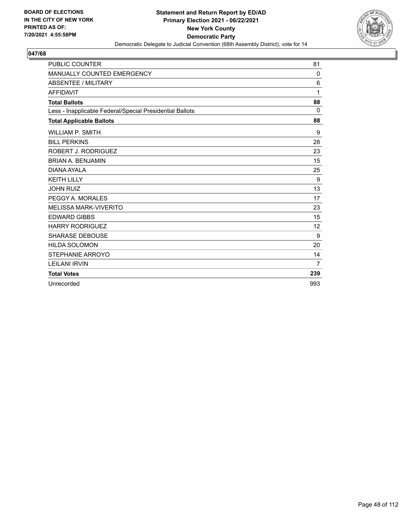

| <b>PUBLIC COUNTER</b>                                    | 81       |
|----------------------------------------------------------|----------|
| <b>MANUALLY COUNTED EMERGENCY</b>                        | 0        |
| <b>ABSENTEE / MILITARY</b>                               | 6        |
| <b>AFFIDAVIT</b>                                         | 1        |
| <b>Total Ballots</b>                                     | 88       |
| Less - Inapplicable Federal/Special Presidential Ballots | $\Omega$ |
| <b>Total Applicable Ballots</b>                          | 88       |
| <b>WILLIAM P. SMITH</b>                                  | 9        |
| <b>BILL PERKINS</b>                                      | 28       |
| ROBERT J. RODRIGUEZ                                      | 23       |
| <b>BRIAN A. BENJAMIN</b>                                 | 15       |
| DIANA AYALA                                              | 25       |
| <b>KEITH LILLY</b>                                       | 9        |
| <b>JOHN RUIZ</b>                                         | 13       |
| PEGGY A. MORALES                                         | 17       |
| <b>MELISSA MARK-VIVERITO</b>                             | 23       |
| <b>EDWARD GIBBS</b>                                      | 15       |
| <b>HARRY RODRIGUEZ</b>                                   | 12       |
| <b>SHARASE DEBOUSE</b>                                   | 9        |
| <b>HILDA SOLOMON</b>                                     | 20       |
| STEPHANIE ARROYO                                         | 14       |
| <b>LEILANI IRVIN</b>                                     | 7        |
| <b>Total Votes</b>                                       | 239      |
| Unrecorded                                               | 993      |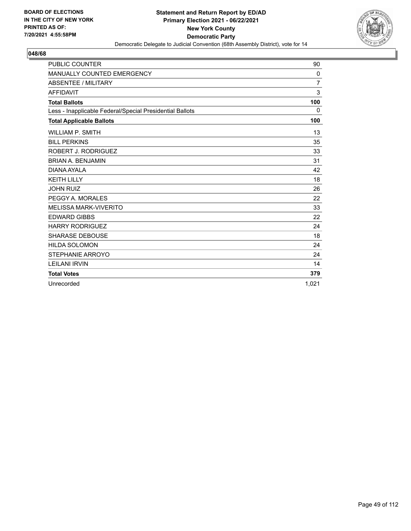

| <b>PUBLIC COUNTER</b>                                    | 90             |
|----------------------------------------------------------|----------------|
| <b>MANUALLY COUNTED EMERGENCY</b>                        | 0              |
| <b>ABSENTEE / MILITARY</b>                               | $\overline{7}$ |
| <b>AFFIDAVIT</b>                                         | 3              |
| <b>Total Ballots</b>                                     | 100            |
| Less - Inapplicable Federal/Special Presidential Ballots | $\Omega$       |
| <b>Total Applicable Ballots</b>                          | 100            |
| <b>WILLIAM P. SMITH</b>                                  | 13             |
| <b>BILL PERKINS</b>                                      | 35             |
| ROBERT J. RODRIGUEZ                                      | 33             |
| <b>BRIAN A. BENJAMIN</b>                                 | 31             |
| DIANA AYALA                                              | 42             |
| <b>KEITH LILLY</b>                                       | 18             |
| <b>JOHN RUIZ</b>                                         | 26             |
| PEGGY A. MORALES                                         | 22             |
| <b>MELISSA MARK-VIVERITO</b>                             | 33             |
| <b>EDWARD GIBBS</b>                                      | 22             |
| <b>HARRY RODRIGUEZ</b>                                   | 24             |
| <b>SHARASE DEBOUSE</b>                                   | 18             |
| <b>HILDA SOLOMON</b>                                     | 24             |
| STEPHANIE ARROYO                                         | 24             |
| <b>LEILANI IRVIN</b>                                     | 14             |
| <b>Total Votes</b>                                       | 379            |
| Unrecorded                                               | 1.021          |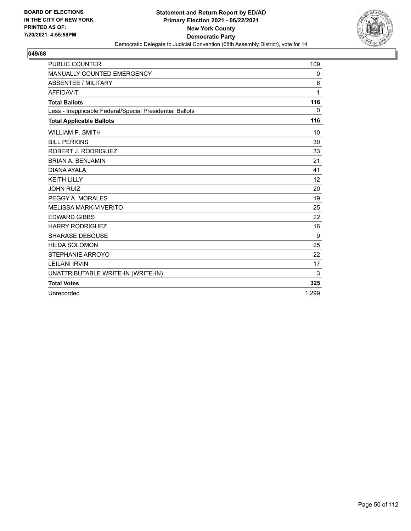

| <b>PUBLIC COUNTER</b>                                    | 109   |
|----------------------------------------------------------|-------|
| MANUALLY COUNTED EMERGENCY                               | 0     |
| ABSENTEE / MILITARY                                      | 6     |
| <b>AFFIDAVIT</b>                                         | 1     |
| <b>Total Ballots</b>                                     | 116   |
| Less - Inapplicable Federal/Special Presidential Ballots | 0     |
| <b>Total Applicable Ballots</b>                          | 116   |
| <b>WILLIAM P. SMITH</b>                                  | 10    |
| <b>BILL PERKINS</b>                                      | 30    |
| ROBERT J. RODRIGUEZ                                      | 33    |
| <b>BRIAN A. BENJAMIN</b>                                 | 21    |
| DIANA AYALA                                              | 41    |
| <b>KEITH LILLY</b>                                       | 12    |
| <b>JOHN RUIZ</b>                                         | 20    |
| PEGGY A. MORALES                                         | 19    |
| <b>MELISSA MARK-VIVERITO</b>                             | 25    |
| <b>EDWARD GIBBS</b>                                      | 22    |
| <b>HARRY RODRIGUEZ</b>                                   | 16    |
| <b>SHARASE DEBOUSE</b>                                   | 9     |
| <b>HILDA SOLOMON</b>                                     | 25    |
| STEPHANIE ARROYO                                         | 22    |
| <b>LEILANI IRVIN</b>                                     | 17    |
| UNATTRIBUTABLE WRITE-IN (WRITE-IN)                       | 3     |
| <b>Total Votes</b>                                       | 325   |
| Unrecorded                                               | 1.299 |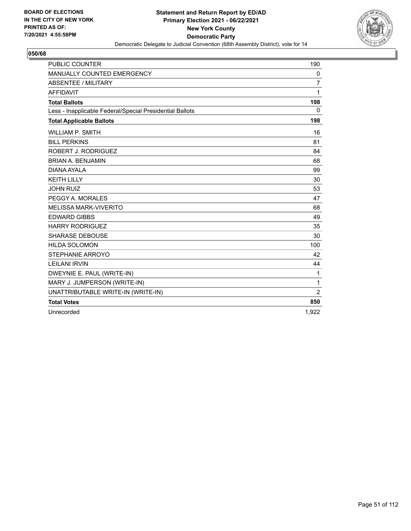

| <b>PUBLIC COUNTER</b>                                    | 190            |
|----------------------------------------------------------|----------------|
| MANUALLY COUNTED EMERGENCY                               | 0              |
| <b>ABSENTEE / MILITARY</b>                               | $\overline{7}$ |
| <b>AFFIDAVIT</b>                                         | $\mathbf{1}$   |
| <b>Total Ballots</b>                                     | 198            |
| Less - Inapplicable Federal/Special Presidential Ballots | $\mathbf{0}$   |
| <b>Total Applicable Ballots</b>                          | 198            |
| <b>WILLIAM P. SMITH</b>                                  | 16             |
| <b>BILL PERKINS</b>                                      | 81             |
| ROBERT J. RODRIGUEZ                                      | 84             |
| <b>BRIAN A. BENJAMIN</b>                                 | 68             |
| DIANA AYALA                                              | 99             |
| <b>KEITH LILLY</b>                                       | 30             |
| <b>JOHN RUIZ</b>                                         | 53             |
| PEGGY A. MORALES                                         | 47             |
| <b>MELISSA MARK-VIVERITO</b>                             | 68             |
| <b>EDWARD GIBBS</b>                                      | 49             |
| <b>HARRY RODRIGUEZ</b>                                   | 35             |
| <b>SHARASE DEBOUSE</b>                                   | 30             |
| <b>HILDA SOLOMON</b>                                     | 100            |
| STEPHANIE ARROYO                                         | 42             |
| <b>LEILANI IRVIN</b>                                     | 44             |
| DWEYNIE E. PAUL (WRITE-IN)                               | 1              |
| MARY J. JUMPERSON (WRITE-IN)                             | $\mathbf{1}$   |
| UNATTRIBUTABLE WRITE-IN (WRITE-IN)                       | $\overline{2}$ |
| <b>Total Votes</b>                                       | 850            |
| Unrecorded                                               | 1.922          |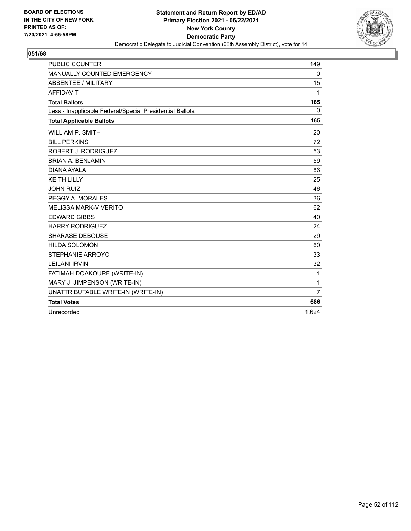

| <b>PUBLIC COUNTER</b>                                    | 149            |
|----------------------------------------------------------|----------------|
| MANUALLY COUNTED EMERGENCY                               | 0              |
| <b>ABSENTEE / MILITARY</b>                               | 15             |
| <b>AFFIDAVIT</b>                                         | 1              |
| <b>Total Ballots</b>                                     | 165            |
| Less - Inapplicable Federal/Special Presidential Ballots | $\mathbf{0}$   |
| <b>Total Applicable Ballots</b>                          | 165            |
| <b>WILLIAM P. SMITH</b>                                  | 20             |
| <b>BILL PERKINS</b>                                      | 72             |
| ROBERT J. RODRIGUEZ                                      | 53             |
| <b>BRIAN A. BENJAMIN</b>                                 | 59             |
| DIANA AYALA                                              | 86             |
| <b>KEITH LILLY</b>                                       | 25             |
| <b>JOHN RUIZ</b>                                         | 46             |
| PEGGY A. MORALES                                         | 36             |
| <b>MELISSA MARK-VIVERITO</b>                             | 62             |
| <b>EDWARD GIBBS</b>                                      | 40             |
| <b>HARRY RODRIGUEZ</b>                                   | 24             |
| <b>SHARASE DEBOUSE</b>                                   | 29             |
| <b>HILDA SOLOMON</b>                                     | 60             |
| STEPHANIE ARROYO                                         | 33             |
| <b>LEILANI IRVIN</b>                                     | 32             |
| FATIMAH DOAKOURE (WRITE-IN)                              | 1              |
| MARY J. JIMPENSON (WRITE-IN)                             | 1              |
| UNATTRIBUTABLE WRITE-IN (WRITE-IN)                       | $\overline{7}$ |
| <b>Total Votes</b>                                       | 686            |
| Unrecorded                                               | 1.624          |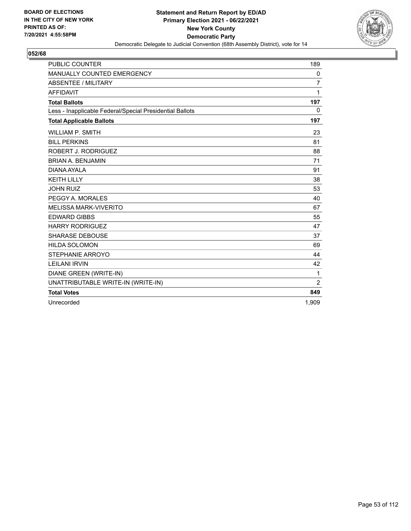

| <b>PUBLIC COUNTER</b>                                    | 189   |
|----------------------------------------------------------|-------|
| MANUALLY COUNTED EMERGENCY                               | 0     |
| ABSENTEE / MILITARY                                      | 7     |
| <b>AFFIDAVIT</b>                                         | 1     |
| <b>Total Ballots</b>                                     | 197   |
| Less - Inapplicable Federal/Special Presidential Ballots | 0     |
| <b>Total Applicable Ballots</b>                          | 197   |
| <b>WILLIAM P. SMITH</b>                                  | 23    |
| <b>BILL PERKINS</b>                                      | 81    |
| ROBERT J. RODRIGUEZ                                      | 88    |
| <b>BRIAN A. BENJAMIN</b>                                 | 71    |
| DIANA AYALA                                              | 91    |
| <b>KEITH LILLY</b>                                       | 38    |
| <b>JOHN RUIZ</b>                                         | 53    |
| PEGGY A. MORALES                                         | 40    |
| <b>MELISSA MARK-VIVERITO</b>                             | 67    |
| <b>EDWARD GIBBS</b>                                      | 55    |
| <b>HARRY RODRIGUEZ</b>                                   | 47    |
| <b>SHARASE DEBOUSE</b>                                   | 37    |
| <b>HILDA SOLOMON</b>                                     | 69    |
| STEPHANIE ARROYO                                         | 44    |
| <b>LEILANI IRVIN</b>                                     | 42    |
| DIANE GREEN (WRITE-IN)                                   | 1     |
| UNATTRIBUTABLE WRITE-IN (WRITE-IN)                       | 2     |
| <b>Total Votes</b>                                       | 849   |
| Unrecorded                                               | 1,909 |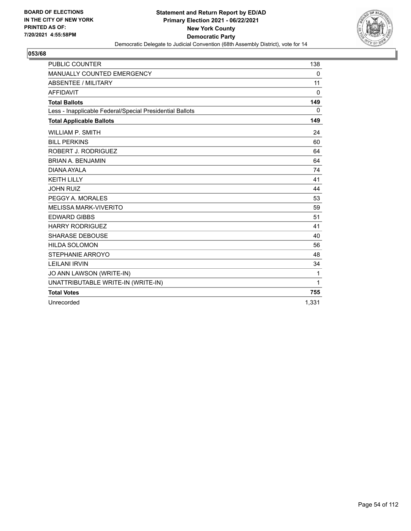

| <b>PUBLIC COUNTER</b>                                    | 138          |
|----------------------------------------------------------|--------------|
| MANUALLY COUNTED EMERGENCY                               | 0            |
| ABSENTEE / MILITARY                                      | 11           |
| <b>AFFIDAVIT</b>                                         | $\mathbf{0}$ |
| <b>Total Ballots</b>                                     | 149          |
| Less - Inapplicable Federal/Special Presidential Ballots | $\mathbf{0}$ |
| <b>Total Applicable Ballots</b>                          | 149          |
| <b>WILLIAM P. SMITH</b>                                  | 24           |
| <b>BILL PERKINS</b>                                      | 60           |
| ROBERT J. RODRIGUEZ                                      | 64           |
| <b>BRIAN A. BENJAMIN</b>                                 | 64           |
| DIANA AYALA                                              | 74           |
| <b>KEITH LILLY</b>                                       | 41           |
| <b>JOHN RUIZ</b>                                         | 44           |
| PEGGY A. MORALES                                         | 53           |
| <b>MELISSA MARK-VIVERITO</b>                             | 59           |
| <b>EDWARD GIBBS</b>                                      | 51           |
| <b>HARRY RODRIGUEZ</b>                                   | 41           |
| <b>SHARASE DEBOUSE</b>                                   | 40           |
| <b>HILDA SOLOMON</b>                                     | 56           |
| STEPHANIE ARROYO                                         | 48           |
| <b>LEILANI IRVIN</b>                                     | 34           |
| JO ANN LAWSON (WRITE-IN)                                 | $\mathbf 1$  |
| UNATTRIBUTABLE WRITE-IN (WRITE-IN)                       | 1            |
| <b>Total Votes</b>                                       | 755          |
| Unrecorded                                               | 1,331        |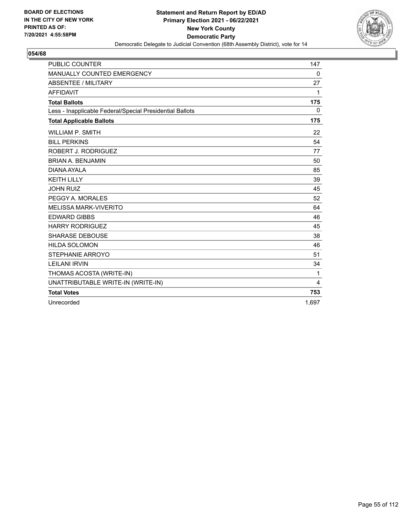

| <b>PUBLIC COUNTER</b>                                    | 147          |
|----------------------------------------------------------|--------------|
| MANUALLY COUNTED EMERGENCY                               | 0            |
| <b>ABSENTEE / MILITARY</b>                               | 27           |
| <b>AFFIDAVIT</b>                                         | 1            |
| <b>Total Ballots</b>                                     | 175          |
| Less - Inapplicable Federal/Special Presidential Ballots | $\mathbf{0}$ |
| <b>Total Applicable Ballots</b>                          | 175          |
| <b>WILLIAM P. SMITH</b>                                  | 22           |
| <b>BILL PERKINS</b>                                      | 54           |
| ROBERT J. RODRIGUEZ                                      | 77           |
| <b>BRIAN A. BENJAMIN</b>                                 | 50           |
| DIANA AYALA                                              | 85           |
| <b>KEITH LILLY</b>                                       | 39           |
| <b>JOHN RUIZ</b>                                         | 45           |
| PEGGY A. MORALES                                         | 52           |
| <b>MELISSA MARK-VIVERITO</b>                             | 64           |
| <b>EDWARD GIBBS</b>                                      | 46           |
| <b>HARRY RODRIGUEZ</b>                                   | 45           |
| <b>SHARASE DEBOUSE</b>                                   | 38           |
| <b>HILDA SOLOMON</b>                                     | 46           |
| STEPHANIE ARROYO                                         | 51           |
| <b>LEILANI IRVIN</b>                                     | 34           |
| THOMAS ACOSTA (WRITE-IN)                                 | $\mathbf{1}$ |
| UNATTRIBUTABLE WRITE-IN (WRITE-IN)                       | 4            |
| <b>Total Votes</b>                                       | 753          |
| Unrecorded                                               | 1.697        |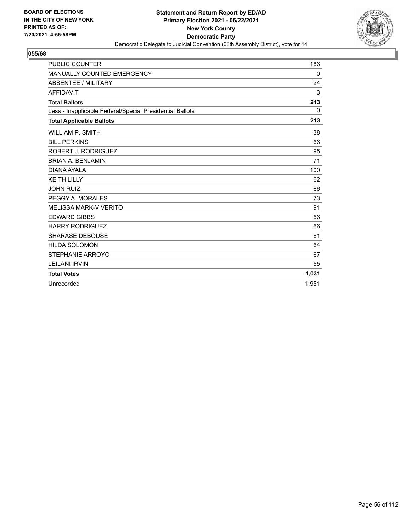

| <b>PUBLIC COUNTER</b>                                    | 186   |
|----------------------------------------------------------|-------|
| <b>MANUALLY COUNTED EMERGENCY</b>                        | 0     |
| <b>ABSENTEE / MILITARY</b>                               | 24    |
| <b>AFFIDAVIT</b>                                         | 3     |
| <b>Total Ballots</b>                                     | 213   |
| Less - Inapplicable Federal/Special Presidential Ballots | 0     |
| <b>Total Applicable Ballots</b>                          | 213   |
| <b>WILLIAM P. SMITH</b>                                  | 38    |
| <b>BILL PERKINS</b>                                      | 66    |
| ROBERT J. RODRIGUEZ                                      | 95    |
| <b>BRIAN A. BENJAMIN</b>                                 | 71    |
| DIANA AYALA                                              | 100   |
| <b>KEITH LILLY</b>                                       | 62    |
| <b>JOHN RUIZ</b>                                         | 66    |
| PEGGY A. MORALES                                         | 73    |
| <b>MELISSA MARK-VIVERITO</b>                             | 91    |
| <b>EDWARD GIBBS</b>                                      | 56    |
| <b>HARRY RODRIGUEZ</b>                                   | 66    |
| <b>SHARASE DEBOUSE</b>                                   | 61    |
| <b>HILDA SOLOMON</b>                                     | 64    |
| <b>STEPHANIE ARROYO</b>                                  | 67    |
| <b>LEILANI IRVIN</b>                                     | 55    |
| <b>Total Votes</b>                                       | 1,031 |
| Unrecorded                                               | 1,951 |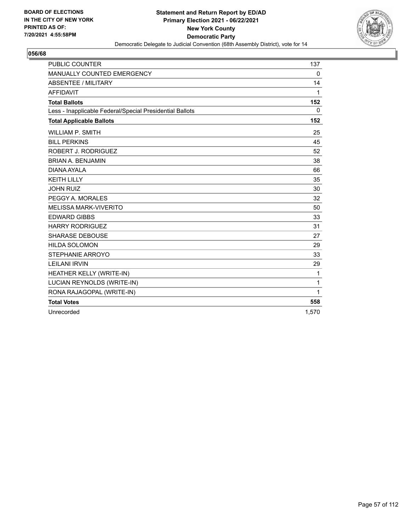

| <b>PUBLIC COUNTER</b>                                    | 137          |
|----------------------------------------------------------|--------------|
| MANUALLY COUNTED EMERGENCY                               | 0            |
| <b>ABSENTEE / MILITARY</b>                               | 14           |
| <b>AFFIDAVIT</b>                                         | 1            |
| <b>Total Ballots</b>                                     | 152          |
| Less - Inapplicable Federal/Special Presidential Ballots | $\mathbf{0}$ |
| <b>Total Applicable Ballots</b>                          | 152          |
| <b>WILLIAM P. SMITH</b>                                  | 25           |
| <b>BILL PERKINS</b>                                      | 45           |
| ROBERT J. RODRIGUEZ                                      | 52           |
| <b>BRIAN A. BENJAMIN</b>                                 | 38           |
| DIANA AYALA                                              | 66           |
| <b>KEITH LILLY</b>                                       | 35           |
| <b>JOHN RUIZ</b>                                         | 30           |
| PEGGY A. MORALES                                         | 32           |
| <b>MELISSA MARK-VIVERITO</b>                             | 50           |
| <b>EDWARD GIBBS</b>                                      | 33           |
| <b>HARRY RODRIGUEZ</b>                                   | 31           |
| <b>SHARASE DEBOUSE</b>                                   | 27           |
| <b>HILDA SOLOMON</b>                                     | 29           |
| STEPHANIE ARROYO                                         | 33           |
| <b>LEILANI IRVIN</b>                                     | 29           |
| HEATHER KELLY (WRITE-IN)                                 | 1            |
| LUCIAN REYNOLDS (WRITE-IN)                               | 1            |
| RONA RAJAGOPAL (WRITE-IN)                                | 1            |
| <b>Total Votes</b>                                       | 558          |
| Unrecorded                                               | 1.570        |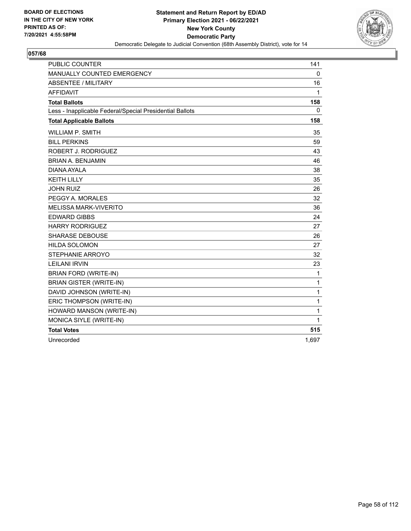

| <b>PUBLIC COUNTER</b>                                    | 141          |
|----------------------------------------------------------|--------------|
| MANUALLY COUNTED EMERGENCY                               | $\mathbf 0$  |
| <b>ABSENTEE / MILITARY</b>                               | 16           |
| <b>AFFIDAVIT</b>                                         | $\mathbf{1}$ |
| <b>Total Ballots</b>                                     | 158          |
| Less - Inapplicable Federal/Special Presidential Ballots | 0            |
| <b>Total Applicable Ballots</b>                          | 158          |
| <b>WILLIAM P. SMITH</b>                                  | 35           |
| <b>BILL PERKINS</b>                                      | 59           |
| ROBERT J. RODRIGUEZ                                      | 43           |
| <b>BRIAN A. BENJAMIN</b>                                 | 46           |
| DIANA AYALA                                              | 38           |
| <b>KEITH LILLY</b>                                       | 35           |
| <b>JOHN RUIZ</b>                                         | 26           |
| PEGGY A. MORALES                                         | 32           |
| <b>MELISSA MARK-VIVERITO</b>                             | 36           |
| <b>EDWARD GIBBS</b>                                      | 24           |
| <b>HARRY RODRIGUEZ</b>                                   | 27           |
| <b>SHARASE DEBOUSE</b>                                   | 26           |
| <b>HILDA SOLOMON</b>                                     | 27           |
| STEPHANIE ARROYO                                         | 32           |
| <b>LEILANI IRVIN</b>                                     | 23           |
| BRIAN FORD (WRITE-IN)                                    | $\mathbf{1}$ |
| <b>BRIAN GISTER (WRITE-IN)</b>                           | 1            |
| DAVID JOHNSON (WRITE-IN)                                 | 1            |
| ERIC THOMPSON (WRITE-IN)                                 | 1            |
| HOWARD MANSON (WRITE-IN)                                 | 1            |
| MONICA SIYLE (WRITE-IN)                                  | 1            |
| <b>Total Votes</b>                                       | 515          |
| Unrecorded                                               | 1,697        |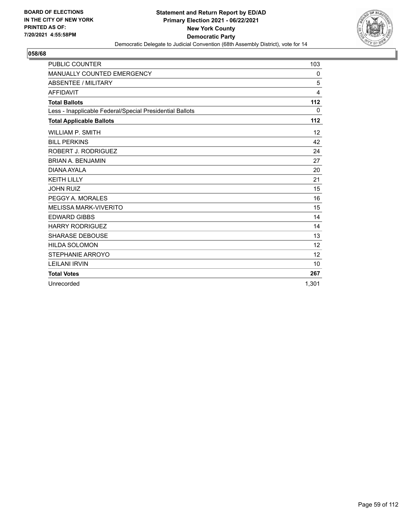

| <b>PUBLIC COUNTER</b>                                    | 103      |
|----------------------------------------------------------|----------|
| MANUALLY COUNTED EMERGENCY                               | 0        |
| ABSENTEE / MILITARY                                      | 5        |
| <b>AFFIDAVIT</b>                                         | 4        |
| <b>Total Ballots</b>                                     | 112      |
| Less - Inapplicable Federal/Special Presidential Ballots | $\Omega$ |
| <b>Total Applicable Ballots</b>                          | 112      |
| <b>WILLIAM P. SMITH</b>                                  | 12       |
| <b>BILL PERKINS</b>                                      | 42       |
| ROBERT J. RODRIGUEZ                                      | 24       |
| <b>BRIAN A. BENJAMIN</b>                                 | 27       |
| DIANA AYAI A                                             | 20       |
| <b>KEITH LILLY</b>                                       | 21       |
| <b>JOHN RUIZ</b>                                         | 15       |
| PEGGY A. MORALES                                         | 16       |
| <b>MELISSA MARK-VIVERITO</b>                             | 15       |
| <b>EDWARD GIBBS</b>                                      | 14       |
| <b>HARRY RODRIGUEZ</b>                                   | 14       |
| <b>SHARASE DEBOUSE</b>                                   | 13       |
| <b>HILDA SOLOMON</b>                                     | 12       |
| STEPHANIE ARROYO                                         | 12       |
| <b>LEILANI IRVIN</b>                                     | 10       |
| <b>Total Votes</b>                                       | 267      |
| Unrecorded                                               | 1.301    |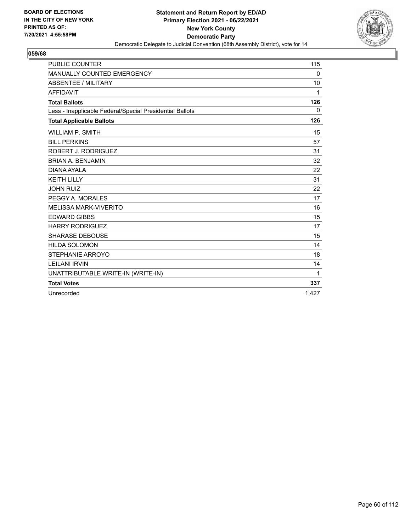

| <b>PUBLIC COUNTER</b>                                    | 115   |
|----------------------------------------------------------|-------|
| MANUALLY COUNTED EMERGENCY                               | 0     |
| <b>ABSENTEE / MILITARY</b>                               | 10    |
| <b>AFFIDAVIT</b>                                         | 1     |
| <b>Total Ballots</b>                                     | 126   |
| Less - Inapplicable Federal/Special Presidential Ballots | 0     |
| <b>Total Applicable Ballots</b>                          | 126   |
| <b>WILLIAM P. SMITH</b>                                  | 15    |
| <b>BILL PERKINS</b>                                      | 57    |
| ROBERT J. RODRIGUEZ                                      | 31    |
| <b>BRIAN A. BENJAMIN</b>                                 | 32    |
| DIANA AYALA                                              | 22    |
| <b>KEITH LILLY</b>                                       | 31    |
| <b>JOHN RUIZ</b>                                         | 22    |
| PEGGY A. MORALES                                         | 17    |
| <b>MELISSA MARK-VIVERITO</b>                             | 16    |
| <b>EDWARD GIBBS</b>                                      | 15    |
| <b>HARRY RODRIGUEZ</b>                                   | 17    |
| <b>SHARASE DEBOUSE</b>                                   | 15    |
| <b>HILDA SOLOMON</b>                                     | 14    |
| STEPHANIE ARROYO                                         | 18    |
| <b>LEILANI IRVIN</b>                                     | 14    |
| UNATTRIBUTABLE WRITE-IN (WRITE-IN)                       | 1     |
| <b>Total Votes</b>                                       | 337   |
| Unrecorded                                               | 1.427 |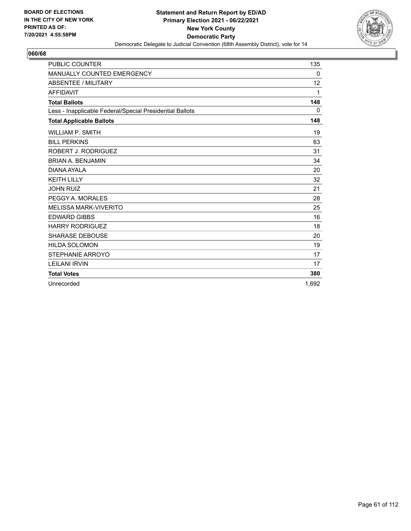

| <b>PUBLIC COUNTER</b>                                    | 135   |
|----------------------------------------------------------|-------|
| <b>MANUALLY COUNTED EMERGENCY</b>                        | 0     |
| <b>ABSENTEE / MILITARY</b>                               | 12    |
| <b>AFFIDAVIT</b>                                         | 1     |
| <b>Total Ballots</b>                                     | 148   |
| Less - Inapplicable Federal/Special Presidential Ballots | 0     |
| <b>Total Applicable Ballots</b>                          | 148   |
| <b>WILLIAM P. SMITH</b>                                  | 19    |
| <b>BILL PERKINS</b>                                      | 63    |
| ROBERT J. RODRIGUEZ                                      | 31    |
| <b>BRIAN A. BENJAMIN</b>                                 | 34    |
| DIANA AYALA                                              | 20    |
| <b>KEITH LILLY</b>                                       | 32    |
| <b>JOHN RUIZ</b>                                         | 21    |
| PEGGY A. MORALES                                         | 28    |
| <b>MELISSA MARK-VIVERITO</b>                             | 25    |
| <b>EDWARD GIBBS</b>                                      | 16    |
| <b>HARRY RODRIGUEZ</b>                                   | 18    |
| <b>SHARASE DEBOUSE</b>                                   | 20    |
| <b>HILDA SOLOMON</b>                                     | 19    |
| <b>STEPHANIE ARROYO</b>                                  | 17    |
| <b>LEILANI IRVIN</b>                                     | 17    |
| <b>Total Votes</b>                                       | 380   |
| Unrecorded                                               | 1.692 |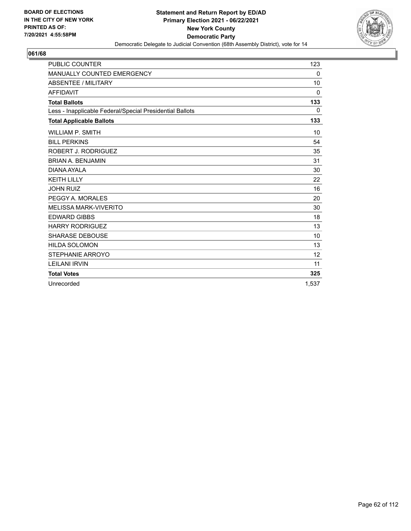

| <b>PUBLIC COUNTER</b>                                    | 123      |
|----------------------------------------------------------|----------|
| MANUALLY COUNTED EMERGENCY                               | 0        |
| <b>ABSENTEE / MILITARY</b>                               | 10       |
| <b>AFFIDAVIT</b>                                         | $\Omega$ |
| <b>Total Ballots</b>                                     | 133      |
| Less - Inapplicable Federal/Special Presidential Ballots | $\Omega$ |
| <b>Total Applicable Ballots</b>                          | 133      |
| <b>WILLIAM P. SMITH</b>                                  | 10       |
| <b>BILL PERKINS</b>                                      | 54       |
| ROBERT J. RODRIGUEZ                                      | 35       |
| <b>BRIAN A. BENJAMIN</b>                                 | 31       |
| DIANA AYAI A                                             | 30       |
| <b>KEITH LILLY</b>                                       | 22       |
| <b>JOHN RUIZ</b>                                         | 16       |
| PEGGY A. MORALES                                         | 20       |
| <b>MELISSA MARK-VIVERITO</b>                             | 30       |
| <b>EDWARD GIBBS</b>                                      | 18       |
| <b>HARRY RODRIGUEZ</b>                                   | 13       |
| <b>SHARASE DEBOUSE</b>                                   | 10       |
| <b>HILDA SOLOMON</b>                                     | 13       |
| STEPHANIE ARROYO                                         | 12       |
| <b>LEILANI IRVIN</b>                                     | 11       |
| <b>Total Votes</b>                                       | 325      |
| Unrecorded                                               | 1,537    |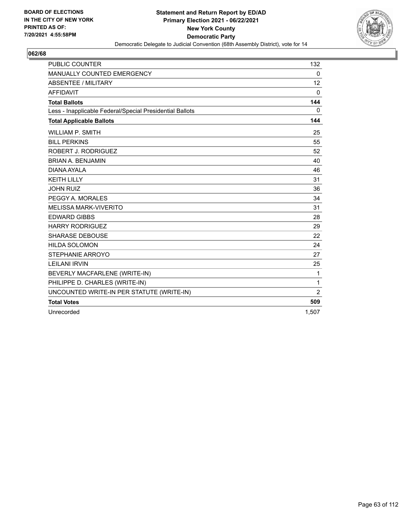

| <b>PUBLIC COUNTER</b>                                    | 132            |
|----------------------------------------------------------|----------------|
| MANUALLY COUNTED EMERGENCY                               | 0              |
| <b>ABSENTEE / MILITARY</b>                               | 12             |
| <b>AFFIDAVIT</b>                                         | $\mathbf{0}$   |
| <b>Total Ballots</b>                                     | 144            |
| Less - Inapplicable Federal/Special Presidential Ballots | 0              |
| <b>Total Applicable Ballots</b>                          | 144            |
| <b>WILLIAM P. SMITH</b>                                  | 25             |
| <b>BILL PERKINS</b>                                      | 55             |
| ROBERT J. RODRIGUEZ                                      | 52             |
| <b>BRIAN A. BENJAMIN</b>                                 | 40             |
| DIANA AYALA                                              | 46             |
| <b>KEITH LILLY</b>                                       | 31             |
| <b>JOHN RUIZ</b>                                         | 36             |
| PEGGY A. MORALES                                         | 34             |
| <b>MELISSA MARK-VIVERITO</b>                             | 31             |
| <b>EDWARD GIBBS</b>                                      | 28             |
| <b>HARRY RODRIGUEZ</b>                                   | 29             |
| <b>SHARASE DEBOUSE</b>                                   | 22             |
| <b>HILDA SOLOMON</b>                                     | 24             |
| STEPHANIE ARROYO                                         | 27             |
| <b>LEILANI IRVIN</b>                                     | 25             |
| BEVERLY MACFARLENE (WRITE-IN)                            | 1              |
| PHILIPPE D. CHARLES (WRITE-IN)                           | $\mathbf{1}$   |
| UNCOUNTED WRITE-IN PER STATUTE (WRITE-IN)                | $\overline{2}$ |
| <b>Total Votes</b>                                       | 509            |
| Unrecorded                                               | 1.507          |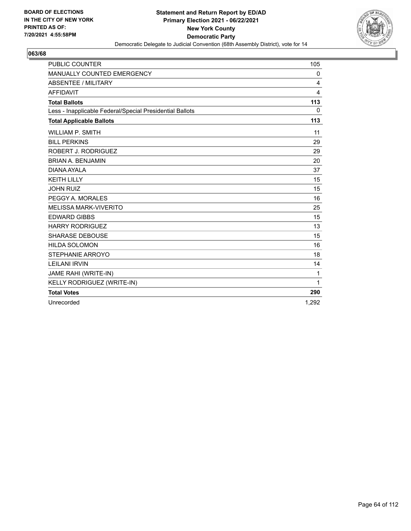

| <b>PUBLIC COUNTER</b>                                    | 105          |
|----------------------------------------------------------|--------------|
| MANUALLY COUNTED EMERGENCY                               | 0            |
| ABSENTEE / MILITARY                                      | 4            |
| <b>AFFIDAVIT</b>                                         | 4            |
| <b>Total Ballots</b>                                     | 113          |
| Less - Inapplicable Federal/Special Presidential Ballots | $\Omega$     |
| <b>Total Applicable Ballots</b>                          | 113          |
| <b>WILLIAM P. SMITH</b>                                  | 11           |
| <b>BILL PERKINS</b>                                      | 29           |
| ROBERT J. RODRIGUEZ                                      | 29           |
| <b>BRIAN A. BENJAMIN</b>                                 | 20           |
| DIANA AYALA                                              | 37           |
| <b>KEITH LILLY</b>                                       | 15           |
| <b>JOHN RUIZ</b>                                         | 15           |
| PEGGY A. MORALES                                         | 16           |
| <b>MELISSA MARK-VIVERITO</b>                             | 25           |
| <b>EDWARD GIBBS</b>                                      | 15           |
| <b>HARRY RODRIGUEZ</b>                                   | 13           |
| <b>SHARASE DEBOUSE</b>                                   | 15           |
| <b>HILDA SOLOMON</b>                                     | 16           |
| STEPHANIE ARROYO                                         | 18           |
| <b>LEILANI IRVIN</b>                                     | 14           |
| JAME RAHI (WRITE-IN)                                     | 1            |
| KELLY RODRIGUEZ (WRITE-IN)                               | $\mathbf{1}$ |
| <b>Total Votes</b>                                       | 290          |
| Unrecorded                                               | 1.292        |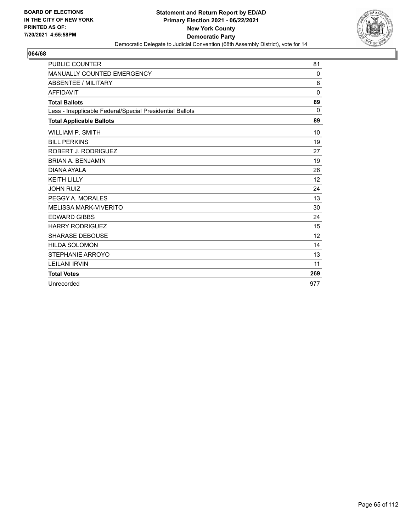

| <b>PUBLIC COUNTER</b>                                    | 81                |
|----------------------------------------------------------|-------------------|
| <b>MANUALLY COUNTED EMERGENCY</b>                        | 0                 |
| <b>ABSENTEE / MILITARY</b>                               | 8                 |
| <b>AFFIDAVIT</b>                                         | 0                 |
| <b>Total Ballots</b>                                     | 89                |
| Less - Inapplicable Federal/Special Presidential Ballots | 0                 |
| <b>Total Applicable Ballots</b>                          | 89                |
| <b>WILLIAM P. SMITH</b>                                  | 10                |
| <b>BILL PERKINS</b>                                      | 19                |
| ROBERT J. RODRIGUEZ                                      | 27                |
| <b>BRIAN A. BENJAMIN</b>                                 | 19                |
| DIANA AYALA                                              | 26                |
| <b>KEITH LILLY</b>                                       | 12                |
| <b>JOHN RUIZ</b>                                         | 24                |
| PEGGY A. MORALES                                         | 13                |
| <b>MELISSA MARK-VIVERITO</b>                             | 30                |
| <b>EDWARD GIBBS</b>                                      | 24                |
| <b>HARRY RODRIGUEZ</b>                                   | 15                |
| <b>SHARASE DEBOUSE</b>                                   | $12 \overline{ }$ |
| <b>HILDA SOLOMON</b>                                     | 14                |
| STEPHANIE ARROYO                                         | 13                |
| <b>LEILANI IRVIN</b>                                     | 11                |
| <b>Total Votes</b>                                       | 269               |
| Unrecorded                                               | 977               |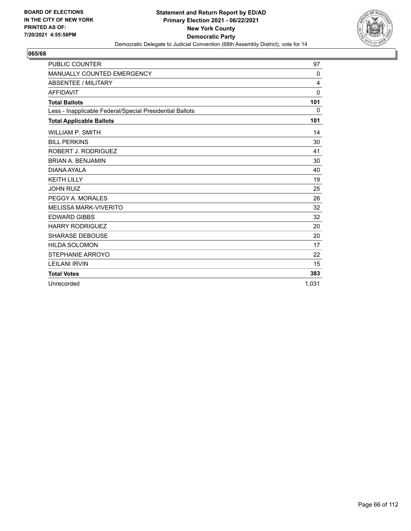

| <b>PUBLIC COUNTER</b>                                    | 97           |
|----------------------------------------------------------|--------------|
| MANUALLY COUNTED EMERGENCY                               | 0            |
| <b>ABSENTEE / MILITARY</b>                               | 4            |
| <b>AFFIDAVIT</b>                                         | $\mathbf{0}$ |
| <b>Total Ballots</b>                                     | 101          |
| Less - Inapplicable Federal/Special Presidential Ballots | $\mathbf{0}$ |
| <b>Total Applicable Ballots</b>                          | 101          |
| <b>WILLIAM P. SMITH</b>                                  | 14           |
| <b>BILL PERKINS</b>                                      | 30           |
| ROBERT J. RODRIGUEZ                                      | 41           |
| <b>BRIAN A. BENJAMIN</b>                                 | 30           |
| DIANA AYAI A                                             | 40           |
| <b>KEITH LILLY</b>                                       | 19           |
| <b>JOHN RUIZ</b>                                         | 25           |
| PEGGY A. MORALES                                         | 26           |
| <b>MELISSA MARK-VIVERITO</b>                             | 32           |
| <b>EDWARD GIBBS</b>                                      | 32           |
| <b>HARRY RODRIGUEZ</b>                                   | 20           |
| <b>SHARASE DEBOUSE</b>                                   | 20           |
| <b>HILDA SOLOMON</b>                                     | 17           |
| STEPHANIE ARROYO                                         | 22           |
| <b>LEILANI IRVIN</b>                                     | 15           |
| <b>Total Votes</b>                                       | 383          |
| Unrecorded                                               | 1.031        |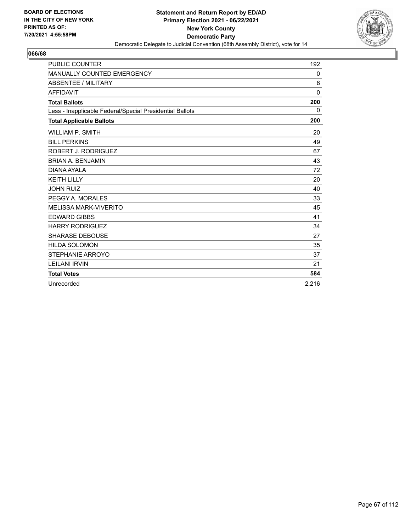

| <b>PUBLIC COUNTER</b>                                    | 192          |
|----------------------------------------------------------|--------------|
| MANUALLY COUNTED EMERGENCY                               | 0            |
| ABSENTEE / MILITARY                                      | 8            |
| <b>AFFIDAVIT</b>                                         | $\mathbf{0}$ |
| <b>Total Ballots</b>                                     | 200          |
| Less - Inapplicable Federal/Special Presidential Ballots | 0            |
| <b>Total Applicable Ballots</b>                          | 200          |
| <b>WILLIAM P. SMITH</b>                                  | 20           |
| <b>BILL PERKINS</b>                                      | 49           |
| ROBERT J. RODRIGUEZ                                      | 67           |
| <b>BRIAN A. BENJAMIN</b>                                 | 43           |
| DIANA AYALA                                              | 72           |
| <b>KEITH LILLY</b>                                       | 20           |
| <b>JOHN RUIZ</b>                                         | 40           |
| PEGGY A. MORALES                                         | 33           |
| <b>MELISSA MARK-VIVERITO</b>                             | 45           |
| <b>EDWARD GIBBS</b>                                      | 41           |
| <b>HARRY RODRIGUEZ</b>                                   | 34           |
| <b>SHARASE DEBOUSE</b>                                   | 27           |
| <b>HILDA SOLOMON</b>                                     | 35           |
| <b>STEPHANIE ARROYO</b>                                  | 37           |
| <b>LEILANI IRVIN</b>                                     | 21           |
| <b>Total Votes</b>                                       | 584          |
| Unrecorded                                               | 2.216        |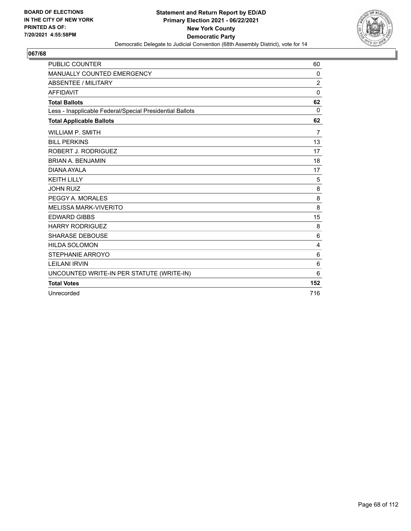

| <b>PUBLIC COUNTER</b>                                    | 60             |
|----------------------------------------------------------|----------------|
| MANUALLY COUNTED EMERGENCY                               | 0              |
| <b>ABSENTEE / MILITARY</b>                               | $\overline{2}$ |
| <b>AFFIDAVIT</b>                                         | $\mathbf 0$    |
| <b>Total Ballots</b>                                     | 62             |
| Less - Inapplicable Federal/Special Presidential Ballots | $\mathbf{0}$   |
| <b>Total Applicable Ballots</b>                          | 62             |
| WILLIAM P. SMITH                                         | $\overline{7}$ |
| <b>BILL PERKINS</b>                                      | 13             |
| ROBERT J. RODRIGUEZ                                      | 17             |
| <b>BRIAN A. BENJAMIN</b>                                 | 18             |
| DIANA AYALA                                              | 17             |
| <b>KEITH LILLY</b>                                       | 5              |
| <b>JOHN RUIZ</b>                                         | 8              |
| PEGGY A. MORALES                                         | 8              |
| <b>MELISSA MARK-VIVERITO</b>                             | 8              |
| <b>EDWARD GIBBS</b>                                      | 15             |
| <b>HARRY RODRIGUEZ</b>                                   | 8              |
| <b>SHARASE DEBOUSE</b>                                   | 6              |
| <b>HILDA SOLOMON</b>                                     | 4              |
| STEPHANIE ARROYO                                         | 6              |
| <b>LEILANI IRVIN</b>                                     | 6              |
| UNCOUNTED WRITE-IN PER STATUTE (WRITE-IN)                | 6              |
| <b>Total Votes</b>                                       | 152            |
| Unrecorded                                               | 716            |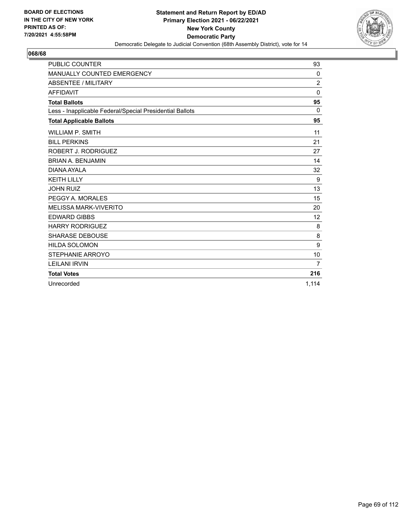

| <b>PUBLIC COUNTER</b>                                    | 93          |
|----------------------------------------------------------|-------------|
| MANUALLY COUNTED EMERGENCY                               | 0           |
| ABSENTEE / MILITARY                                      | 2           |
| <b>AFFIDAVIT</b>                                         | $\mathbf 0$ |
| <b>Total Ballots</b>                                     | 95          |
| Less - Inapplicable Federal/Special Presidential Ballots | $\Omega$    |
| <b>Total Applicable Ballots</b>                          | 95          |
| <b>WILLIAM P. SMITH</b>                                  | 11          |
| <b>BILL PERKINS</b>                                      | 21          |
| ROBERT J. RODRIGUEZ                                      | 27          |
| <b>BRIAN A. BENJAMIN</b>                                 | 14          |
| DIANA AYALA                                              | 32          |
| <b>KEITH LILLY</b>                                       | 9           |
| <b>JOHN RUIZ</b>                                         | 13          |
| PEGGY A. MORALES                                         | 15          |
| <b>MELISSA MARK-VIVERITO</b>                             | 20          |
| <b>EDWARD GIBBS</b>                                      | 12          |
| <b>HARRY RODRIGUEZ</b>                                   | 8           |
| <b>SHARASE DEBOUSE</b>                                   | 8           |
| <b>HILDA SOLOMON</b>                                     | 9           |
| STEPHANIE ARROYO                                         | 10          |
| <b>LEILANI IRVIN</b>                                     | 7           |
| <b>Total Votes</b>                                       | 216         |
| Unrecorded                                               | 1,114       |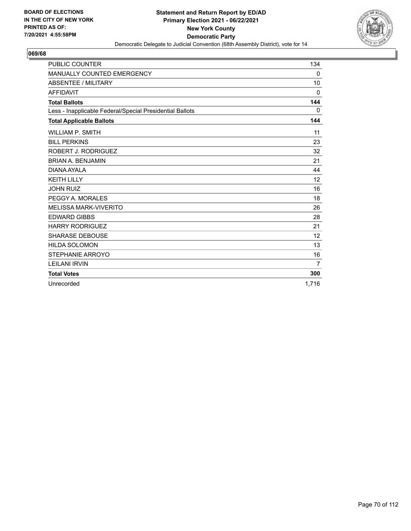

| <b>PUBLIC COUNTER</b>                                    | 134      |
|----------------------------------------------------------|----------|
| MANUALLY COUNTED EMERGENCY                               | 0        |
| ABSENTEE / MILITARY                                      | 10       |
| <b>AFFIDAVIT</b>                                         | $\Omega$ |
| <b>Total Ballots</b>                                     | 144      |
| Less - Inapplicable Federal/Special Presidential Ballots | $\Omega$ |
| <b>Total Applicable Ballots</b>                          | 144      |
| <b>WILLIAM P. SMITH</b>                                  | 11       |
| <b>BILL PERKINS</b>                                      | 23       |
| ROBERT J. RODRIGUEZ                                      | 32       |
| <b>BRIAN A. BENJAMIN</b>                                 | 21       |
| DIANA AYAI A                                             | 44       |
| <b>KEITH LILLY</b>                                       | 12       |
| <b>JOHN RUIZ</b>                                         | 16       |
| PEGGY A. MORALES                                         | 18       |
| <b>MELISSA MARK-VIVERITO</b>                             | 26       |
| <b>EDWARD GIBBS</b>                                      | 28       |
| <b>HARRY RODRIGUEZ</b>                                   | 21       |
| <b>SHARASE DEBOUSE</b>                                   | 12       |
| <b>HILDA SOLOMON</b>                                     | 13       |
| STEPHANIE ARROYO                                         | 16       |
| <b>LEILANI IRVIN</b>                                     | 7        |
| <b>Total Votes</b>                                       | 300      |
| Unrecorded                                               | 1.716    |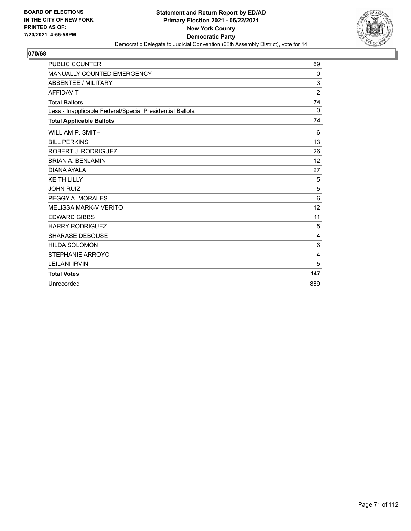

| <b>PUBLIC COUNTER</b>                                    | 69              |
|----------------------------------------------------------|-----------------|
| <b>MANUALLY COUNTED EMERGENCY</b>                        | 0               |
| <b>ABSENTEE / MILITARY</b>                               | 3               |
| <b>AFFIDAVIT</b>                                         | $\overline{2}$  |
| <b>Total Ballots</b>                                     | 74              |
| Less - Inapplicable Federal/Special Presidential Ballots | $\Omega$        |
| <b>Total Applicable Ballots</b>                          | 74              |
| <b>WILLIAM P. SMITH</b>                                  | 6               |
| <b>BILL PERKINS</b>                                      | 13              |
| ROBERT J. RODRIGUEZ                                      | 26              |
| <b>BRIAN A. BENJAMIN</b>                                 | 12              |
| DIANA AYALA                                              | 27              |
| <b>KEITH LILLY</b>                                       | 5               |
| <b>JOHN RUIZ</b>                                         | 5               |
| PEGGY A. MORALES                                         | $6\phantom{1}6$ |
| <b>MELISSA MARK-VIVERITO</b>                             | 12              |
| <b>EDWARD GIBBS</b>                                      | 11              |
| <b>HARRY RODRIGUEZ</b>                                   | 5               |
| <b>SHARASE DEBOUSE</b>                                   | 4               |
| <b>HILDA SOLOMON</b>                                     | 6               |
| STEPHANIE ARROYO                                         | 4               |
| <b>LEILANI IRVIN</b>                                     | 5               |
| <b>Total Votes</b>                                       | 147             |
| Unrecorded                                               | 889             |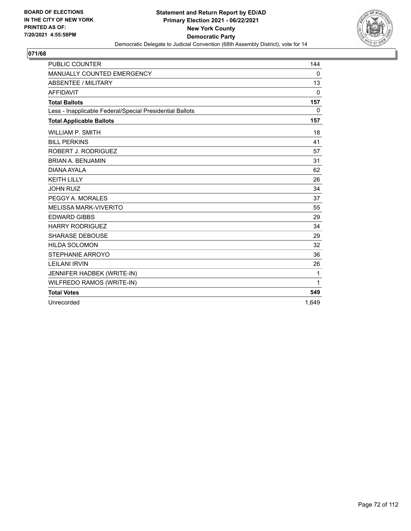

| <b>PUBLIC COUNTER</b>                                    | 144          |
|----------------------------------------------------------|--------------|
| MANUALLY COUNTED EMERGENCY                               | 0            |
| ABSENTEE / MILITARY                                      | 13           |
| <b>AFFIDAVIT</b>                                         | $\mathbf{0}$ |
| <b>Total Ballots</b>                                     | 157          |
| Less - Inapplicable Federal/Special Presidential Ballots | $\mathbf{0}$ |
| <b>Total Applicable Ballots</b>                          | 157          |
| <b>WILLIAM P. SMITH</b>                                  | 18           |
| <b>BILL PERKINS</b>                                      | 41           |
| ROBERT J. RODRIGUEZ                                      | 57           |
| <b>BRIAN A. BENJAMIN</b>                                 | 31           |
| DIANA AYALA                                              | 62           |
| <b>KEITH LILLY</b>                                       | 26           |
| <b>JOHN RUIZ</b>                                         | 34           |
| PEGGY A. MORALES                                         | 37           |
| <b>MELISSA MARK-VIVERITO</b>                             | 55           |
| <b>EDWARD GIBBS</b>                                      | 29           |
| <b>HARRY RODRIGUEZ</b>                                   | 34           |
| <b>SHARASE DEBOUSE</b>                                   | 29           |
| <b>HILDA SOLOMON</b>                                     | 32           |
| <b>STEPHANIE ARROYO</b>                                  | 36           |
| <b>LEILANI IRVIN</b>                                     | 26           |
| JENNIFER HADBEK (WRITE-IN)                               | 1            |
| WILFREDO RAMOS (WRITE-IN)                                | $\mathbf{1}$ |
| <b>Total Votes</b>                                       | 549          |
| Unrecorded                                               | 1,649        |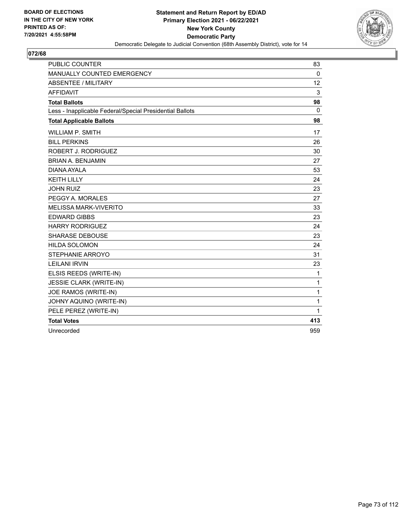

| <b>PUBLIC COUNTER</b>                                    | 83           |
|----------------------------------------------------------|--------------|
| <b>MANUALLY COUNTED EMERGENCY</b>                        | $\Omega$     |
| <b>ABSENTEE / MILITARY</b>                               | 12           |
| <b>AFFIDAVIT</b>                                         | 3            |
| <b>Total Ballots</b>                                     | 98           |
| Less - Inapplicable Federal/Special Presidential Ballots | $\mathbf{0}$ |
| <b>Total Applicable Ballots</b>                          | 98           |
| <b>WILLIAM P. SMITH</b>                                  | 17           |
| <b>BILL PERKINS</b>                                      | 26           |
| ROBERT J. RODRIGUEZ                                      | 30           |
| <b>BRIAN A. BENJAMIN</b>                                 | 27           |
| DIANA AYALA                                              | 53           |
| <b>KEITH LILLY</b>                                       | 24           |
| <b>JOHN RUIZ</b>                                         | 23           |
| PEGGY A. MORALES                                         | 27           |
| <b>MELISSA MARK-VIVERITO</b>                             | 33           |
| <b>EDWARD GIBBS</b>                                      | 23           |
| <b>HARRY RODRIGUEZ</b>                                   | 24           |
| <b>SHARASE DEBOUSE</b>                                   | 23           |
| <b>HILDA SOLOMON</b>                                     | 24           |
| STEPHANIE ARROYO                                         | 31           |
| <b>LEILANI IRVIN</b>                                     | 23           |
| ELSIS REEDS (WRITE-IN)                                   | 1            |
| JESSIE CLARK (WRITE-IN)                                  | 1            |
| JOE RAMOS (WRITE-IN)                                     | $\mathbf{1}$ |
| JOHNY AQUINO (WRITE-IN)                                  | 1            |
| PELE PEREZ (WRITE-IN)                                    | 1            |
| <b>Total Votes</b>                                       | 413          |
| Unrecorded                                               | 959          |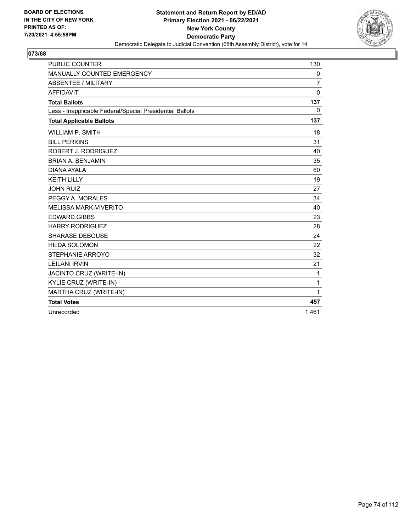

| <b>PUBLIC COUNTER</b>                                    | 130            |
|----------------------------------------------------------|----------------|
| MANUALLY COUNTED EMERGENCY                               | 0              |
| <b>ABSENTEE / MILITARY</b>                               | $\overline{7}$ |
| <b>AFFIDAVIT</b>                                         | $\Omega$       |
| <b>Total Ballots</b>                                     | 137            |
| Less - Inapplicable Federal/Special Presidential Ballots | 0              |
| <b>Total Applicable Ballots</b>                          | 137            |
| <b>WILLIAM P. SMITH</b>                                  | 18             |
| <b>BILL PERKINS</b>                                      | 31             |
| ROBERT J. RODRIGUEZ                                      | 40             |
| <b>BRIAN A. BENJAMIN</b>                                 | 35             |
| DIANA AYALA                                              | 60             |
| <b>KEITH LILLY</b>                                       | 19             |
| <b>JOHN RUIZ</b>                                         | 27             |
| PEGGY A. MORALES                                         | 34             |
| <b>MELISSA MARK-VIVERITO</b>                             | 40             |
| <b>EDWARD GIBBS</b>                                      | 23             |
| <b>HARRY RODRIGUEZ</b>                                   | 28             |
| <b>SHARASE DEBOUSE</b>                                   | 24             |
| <b>HILDA SOLOMON</b>                                     | 22             |
| STEPHANIE ARROYO                                         | 32             |
| <b>LEILANI IRVIN</b>                                     | 21             |
| JACINTO CRUZ (WRITE-IN)                                  | 1              |
| KYLIE CRUZ (WRITE-IN)                                    | 1              |
| MARTHA CRUZ (WRITE-IN)                                   | 1              |
| <b>Total Votes</b>                                       | 457            |
| Unrecorded                                               | 1.461          |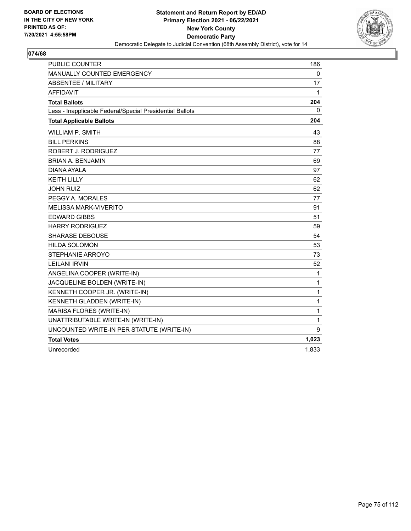

| <b>PUBLIC COUNTER</b>                                    | 186          |
|----------------------------------------------------------|--------------|
| MANUALLY COUNTED EMERGENCY                               | 0            |
| <b>ABSENTEE / MILITARY</b>                               | 17           |
| <b>AFFIDAVIT</b>                                         | 1            |
| <b>Total Ballots</b>                                     | 204          |
| Less - Inapplicable Federal/Special Presidential Ballots | 0            |
| <b>Total Applicable Ballots</b>                          | 204          |
| WILLIAM P. SMITH                                         | 43           |
| <b>BILL PERKINS</b>                                      | 88           |
| ROBERT J. RODRIGUEZ                                      | 77           |
| <b>BRIAN A. BENJAMIN</b>                                 | 69           |
| DIANA AYALA                                              | 97           |
| <b>KEITH LILLY</b>                                       | 62           |
| <b>JOHN RUIZ</b>                                         | 62           |
| PEGGY A. MORALES                                         | 77           |
| <b>MELISSA MARK-VIVERITO</b>                             | 91           |
| <b>EDWARD GIBBS</b>                                      | 51           |
| <b>HARRY RODRIGUEZ</b>                                   | 59           |
| <b>SHARASE DEBOUSE</b>                                   | 54           |
| <b>HILDA SOLOMON</b>                                     | 53           |
| <b>STEPHANIE ARROYO</b>                                  | 73           |
| <b>LEILANI IRVIN</b>                                     | 52           |
| ANGELINA COOPER (WRITE-IN)                               | 1            |
| JACQUELINE BOLDEN (WRITE-IN)                             | 1            |
| KENNETH COOPER JR. (WRITE-IN)                            | 1            |
| KENNETH GLADDEN (WRITE-IN)                               | 1            |
| MARISA FLORES (WRITE-IN)                                 | 1            |
| UNATTRIBUTABLE WRITE-IN (WRITE-IN)                       | $\mathbf{1}$ |
| UNCOUNTED WRITE-IN PER STATUTE (WRITE-IN)                | 9            |
| <b>Total Votes</b>                                       | 1,023        |
| Unrecorded                                               | 1,833        |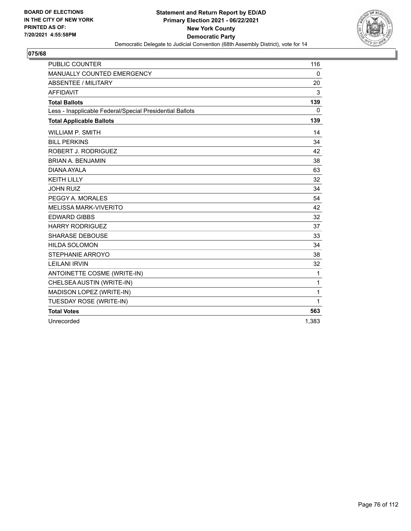

| <b>PUBLIC COUNTER</b>                                    | 116          |
|----------------------------------------------------------|--------------|
| MANUALLY COUNTED EMERGENCY                               | 0            |
| <b>ABSENTEE / MILITARY</b>                               | 20           |
| <b>AFFIDAVIT</b>                                         | 3            |
| <b>Total Ballots</b>                                     | 139          |
| Less - Inapplicable Federal/Special Presidential Ballots | $\mathbf{0}$ |
| <b>Total Applicable Ballots</b>                          | 139          |
| <b>WILLIAM P. SMITH</b>                                  | 14           |
| <b>BILL PERKINS</b>                                      | 34           |
| ROBERT J. RODRIGUEZ                                      | 42           |
| <b>BRIAN A. BENJAMIN</b>                                 | 38           |
| DIANA AYALA                                              | 63           |
| <b>KEITH LILLY</b>                                       | 32           |
| <b>JOHN RUIZ</b>                                         | 34           |
| PEGGY A. MORALES                                         | 54           |
| <b>MELISSA MARK-VIVERITO</b>                             | 42           |
| <b>EDWARD GIBBS</b>                                      | 32           |
| <b>HARRY RODRIGUEZ</b>                                   | 37           |
| <b>SHARASE DEBOUSE</b>                                   | 33           |
| <b>HILDA SOLOMON</b>                                     | 34           |
| STEPHANIE ARROYO                                         | 38           |
| <b>LEILANI IRVIN</b>                                     | 32           |
| ANTOINETTE COSME (WRITE-IN)                              | 1            |
| CHELSEA AUSTIN (WRITE-IN)                                | $\mathbf{1}$ |
| MADISON LOPEZ (WRITE-IN)                                 | 1            |
| TUESDAY ROSE (WRITE-IN)                                  | 1            |
| <b>Total Votes</b>                                       | 563          |
| Unrecorded                                               | 1,383        |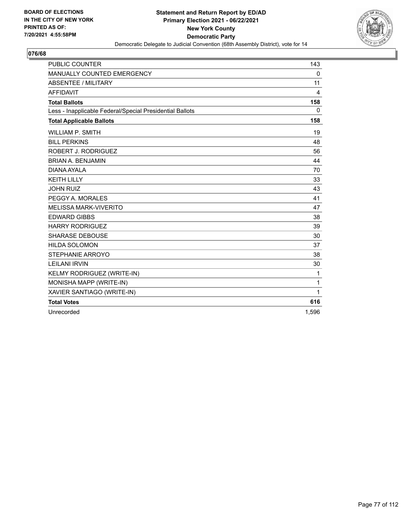

| <b>PUBLIC COUNTER</b>                                    | 143          |
|----------------------------------------------------------|--------------|
| MANUALLY COUNTED EMERGENCY                               | 0            |
| <b>ABSENTEE / MILITARY</b>                               | 11           |
| <b>AFFIDAVIT</b>                                         | 4            |
| <b>Total Ballots</b>                                     | 158          |
| Less - Inapplicable Federal/Special Presidential Ballots | $\mathbf{0}$ |
| <b>Total Applicable Ballots</b>                          | 158          |
| <b>WILLIAM P. SMITH</b>                                  | 19           |
| <b>BILL PERKINS</b>                                      | 48           |
| ROBERT J. RODRIGUEZ                                      | 56           |
| <b>BRIAN A. BENJAMIN</b>                                 | 44           |
| DIANA AYALA                                              | 70           |
| <b>KEITH LILLY</b>                                       | 33           |
| <b>JOHN RUIZ</b>                                         | 43           |
| PEGGY A. MORALES                                         | 41           |
| <b>MELISSA MARK-VIVERITO</b>                             | 47           |
| <b>EDWARD GIBBS</b>                                      | 38           |
| <b>HARRY RODRIGUEZ</b>                                   | 39           |
| <b>SHARASE DEBOUSE</b>                                   | 30           |
| <b>HILDA SOLOMON</b>                                     | 37           |
| STEPHANIE ARROYO                                         | 38           |
| <b>LEILANI IRVIN</b>                                     | 30           |
| KELMY RODRIGUEZ (WRITE-IN)                               | 1            |
| MONISHA MAPP (WRITE-IN)                                  | 1            |
| XAVIER SANTIAGO (WRITE-IN)                               | 1            |
| <b>Total Votes</b>                                       | 616          |
| Unrecorded                                               | 1.596        |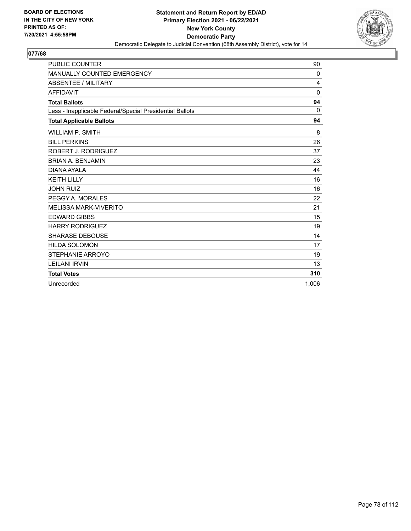

| <b>PUBLIC COUNTER</b>                                    | 90          |
|----------------------------------------------------------|-------------|
| MANUALLY COUNTED EMERGENCY                               | 0           |
| ABSENTEE / MILITARY                                      | 4           |
| <b>AFFIDAVIT</b>                                         | $\mathbf 0$ |
| <b>Total Ballots</b>                                     | 94          |
| Less - Inapplicable Federal/Special Presidential Ballots | $\Omega$    |
| <b>Total Applicable Ballots</b>                          | 94          |
| <b>WILLIAM P. SMITH</b>                                  | 8           |
| <b>BILL PERKINS</b>                                      | 26          |
| ROBERT J. RODRIGUEZ                                      | 37          |
| <b>BRIAN A. BENJAMIN</b>                                 | 23          |
| DIANA AYALA                                              | 44          |
| <b>KEITH LILLY</b>                                       | 16          |
| <b>JOHN RUIZ</b>                                         | 16          |
| PEGGY A. MORALES                                         | 22          |
| <b>MELISSA MARK-VIVERITO</b>                             | 21          |
| <b>EDWARD GIBBS</b>                                      | 15          |
| <b>HARRY RODRIGUEZ</b>                                   | 19          |
| <b>SHARASE DEBOUSE</b>                                   | 14          |
| <b>HILDA SOLOMON</b>                                     | 17          |
| STEPHANIE ARROYO                                         | 19          |
| <b>LEILANI IRVIN</b>                                     | 13          |
| <b>Total Votes</b>                                       | 310         |
| Unrecorded                                               | 1.006       |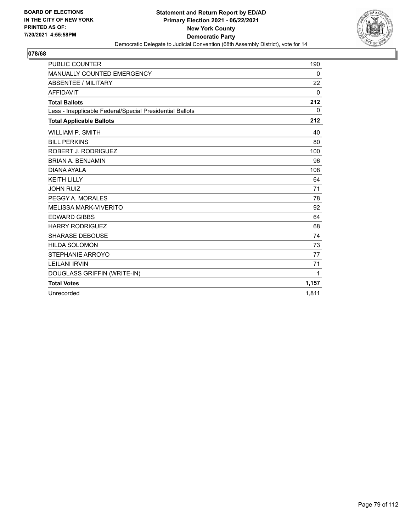

| <b>PUBLIC COUNTER</b>                                    | 190         |
|----------------------------------------------------------|-------------|
| MANUALLY COUNTED EMERGENCY                               | 0           |
| ABSENTEE / MILITARY                                      | 22          |
| <b>AFFIDAVIT</b>                                         | $\Omega$    |
| <b>Total Ballots</b>                                     | 212         |
| Less - Inapplicable Federal/Special Presidential Ballots | $\mathbf 0$ |
| <b>Total Applicable Ballots</b>                          | 212         |
| <b>WILLIAM P. SMITH</b>                                  | 40          |
| <b>BILL PERKINS</b>                                      | 80          |
| ROBERT J. RODRIGUEZ                                      | 100         |
| <b>BRIAN A. BENJAMIN</b>                                 | 96          |
| DIANA AYAI A                                             | 108         |
| <b>KEITH LILLY</b>                                       | 64          |
| <b>JOHN RUIZ</b>                                         | 71          |
| PEGGY A. MORALES                                         | 78          |
| <b>MELISSA MARK-VIVERITO</b>                             | 92          |
| <b>EDWARD GIBBS</b>                                      | 64          |
| <b>HARRY RODRIGUEZ</b>                                   | 68          |
| <b>SHARASE DEBOUSE</b>                                   | 74          |
| <b>HILDA SOLOMON</b>                                     | 73          |
| STEPHANIE ARROYO                                         | 77          |
| <b>LEILANI IRVIN</b>                                     | 71          |
| DOUGLASS GRIFFIN (WRITE-IN)                              | 1           |
| <b>Total Votes</b>                                       | 1,157       |
| Unrecorded                                               | 1.811       |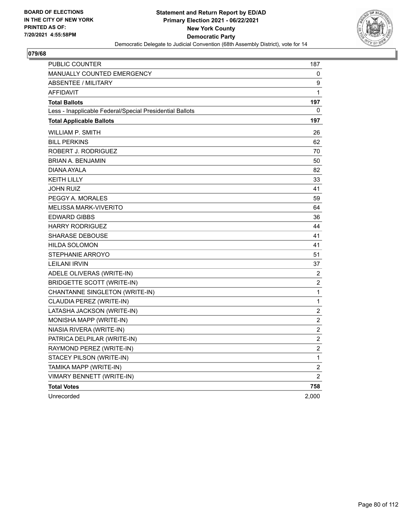

| PUBLIC COUNTER                                           | 187                     |
|----------------------------------------------------------|-------------------------|
| <b>MANUALLY COUNTED EMERGENCY</b>                        | 0                       |
| ABSENTEE / MILITARY                                      | 9                       |
| <b>AFFIDAVIT</b>                                         | 1                       |
| <b>Total Ballots</b>                                     | 197                     |
| Less - Inapplicable Federal/Special Presidential Ballots | 0                       |
| <b>Total Applicable Ballots</b>                          | 197                     |
| WILLIAM P. SMITH                                         | 26                      |
| <b>BILL PERKINS</b>                                      | 62                      |
| ROBERT J. RODRIGUEZ                                      | 70                      |
| BRIAN A. BENJAMIN                                        | 50                      |
| DIANA AYALA                                              | 82                      |
| <b>KEITH LILLY</b>                                       | 33                      |
| JOHN RUIZ                                                | 41                      |
| PEGGY A. MORALES                                         | 59                      |
| <b>MELISSA MARK-VIVERITO</b>                             | 64                      |
| <b>EDWARD GIBBS</b>                                      | 36                      |
| <b>HARRY RODRIGUEZ</b>                                   | 44                      |
| <b>SHARASE DEBOUSE</b>                                   | 41                      |
| <b>HILDA SOLOMON</b>                                     | 41                      |
| STEPHANIE ARROYO                                         | 51                      |
| <b>LEILANI IRVIN</b>                                     | 37                      |
| ADELE OLIVERAS (WRITE-IN)                                | $\overline{c}$          |
| <b>BRIDGETTE SCOTT (WRITE-IN)</b>                        | $\overline{c}$          |
| CHANTANNE SINGLETON (WRITE-IN)                           | 1                       |
| CLAUDIA PEREZ (WRITE-IN)                                 | $\mathbf 1$             |
| LATASHA JACKSON (WRITE-IN)                               | $\boldsymbol{2}$        |
| MONISHA MAPP (WRITE-IN)                                  | $\overline{c}$          |
| NIASIA RIVERA (WRITE-IN)                                 | $\overline{\mathbf{c}}$ |
| PATRICA DELPILAR (WRITE-IN)                              | $\overline{c}$          |
| RAYMOND PEREZ (WRITE-IN)                                 | $\overline{\mathbf{c}}$ |
| STACEY PILSON (WRITE-IN)                                 | $\mathbf{1}$            |
| TAMIKA MAPP (WRITE-IN)                                   | $\overline{c}$          |
| VIMARY BENNETT (WRITE-IN)                                | $\overline{2}$          |
| <b>Total Votes</b>                                       | 758                     |
| Unrecorded                                               | 2,000                   |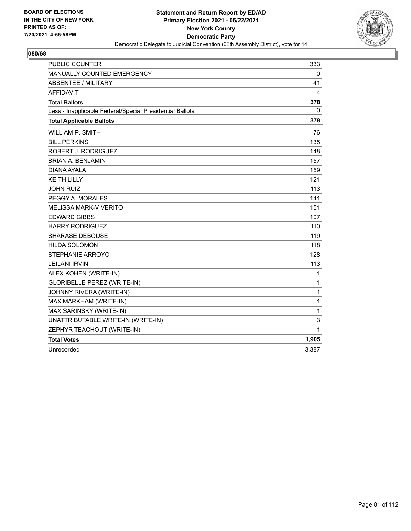

| <b>PUBLIC COUNTER</b>                                    | 333   |
|----------------------------------------------------------|-------|
| MANUALLY COUNTED EMERGENCY                               | 0     |
| ABSENTEE / MILITARY                                      | 41    |
| <b>AFFIDAVIT</b>                                         | 4     |
| <b>Total Ballots</b>                                     | 378   |
| Less - Inapplicable Federal/Special Presidential Ballots | 0     |
| <b>Total Applicable Ballots</b>                          | 378   |
| <b>WILLIAM P. SMITH</b>                                  | 76    |
| <b>BILL PERKINS</b>                                      | 135   |
| ROBERT J. RODRIGUEZ                                      | 148   |
| <b>BRIAN A. BENJAMIN</b>                                 | 157   |
| DIANA AYALA                                              | 159   |
| <b>KEITH LILLY</b>                                       | 121   |
| <b>JOHN RUIZ</b>                                         | 113   |
| PEGGY A. MORALES                                         | 141   |
| <b>MELISSA MARK-VIVERITO</b>                             | 151   |
| <b>EDWARD GIBBS</b>                                      | 107   |
| <b>HARRY RODRIGUEZ</b>                                   | 110   |
| <b>SHARASE DEBOUSE</b>                                   | 119   |
| <b>HILDA SOLOMON</b>                                     | 118   |
| STEPHANIE ARROYO                                         | 128   |
| <b>LEILANI IRVIN</b>                                     | 113   |
| ALEX KOHEN (WRITE-IN)                                    | 1     |
| <b>GLORIBELLE PEREZ (WRITE-IN)</b>                       | 1     |
| JOHNNY RIVERA (WRITE-IN)                                 | 1     |
| MAX MARKHAM (WRITE-IN)                                   | 1     |
| MAX SARINSKY (WRITE-IN)                                  | 1     |
| UNATTRIBUTABLE WRITE-IN (WRITE-IN)                       | 3     |
| ZEPHYR TEACHOUT (WRITE-IN)                               | 1     |
| <b>Total Votes</b>                                       | 1,905 |
| Unrecorded                                               | 3,387 |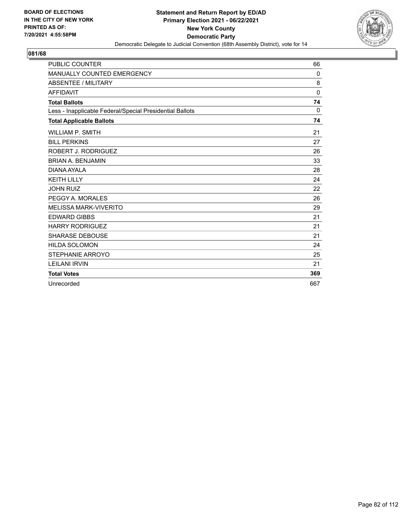

| <b>PUBLIC COUNTER</b>                                    | 66           |
|----------------------------------------------------------|--------------|
| MANUALLY COUNTED EMERGENCY                               | 0            |
| <b>ABSENTEE / MILITARY</b>                               | 8            |
| <b>AFFIDAVIT</b>                                         | $\mathbf{0}$ |
| <b>Total Ballots</b>                                     | 74           |
| Less - Inapplicable Federal/Special Presidential Ballots | $\Omega$     |
| <b>Total Applicable Ballots</b>                          | 74           |
| <b>WILLIAM P. SMITH</b>                                  | 21           |
| <b>BILL PERKINS</b>                                      | 27           |
| ROBERT J. RODRIGUEZ                                      | 26           |
| <b>BRIAN A. BENJAMIN</b>                                 | 33           |
| DIANA AYAI A                                             | 28           |
| <b>KEITH LILLY</b>                                       | 24           |
| <b>JOHN RUIZ</b>                                         | 22           |
| PEGGY A. MORALES                                         | 26           |
| <b>MELISSA MARK-VIVERITO</b>                             | 29           |
| <b>EDWARD GIBBS</b>                                      | 21           |
| <b>HARRY RODRIGUEZ</b>                                   | 21           |
| <b>SHARASE DEBOUSE</b>                                   | 21           |
| <b>HILDA SOLOMON</b>                                     | 24           |
| <b>STEPHANIE ARROYO</b>                                  | 25           |
| <b>LEILANI IRVIN</b>                                     | 21           |
| <b>Total Votes</b>                                       | 369          |
| Unrecorded                                               | 667          |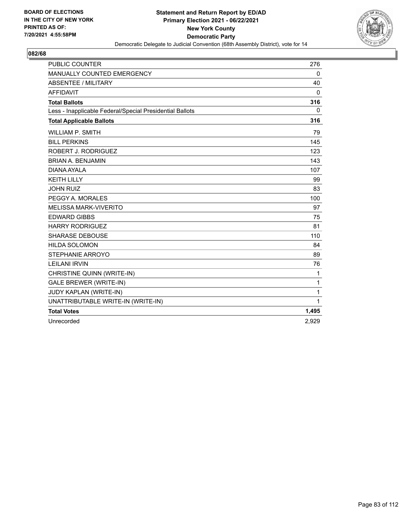

| <b>PUBLIC COUNTER</b>                                    | 276      |
|----------------------------------------------------------|----------|
| MANUALLY COUNTED EMERGENCY                               | 0        |
| <b>ABSENTEE / MILITARY</b>                               | 40       |
| <b>AFFIDAVIT</b>                                         | $\Omega$ |
| <b>Total Ballots</b>                                     | 316      |
| Less - Inapplicable Federal/Special Presidential Ballots | $\Omega$ |
| <b>Total Applicable Ballots</b>                          | 316      |
| <b>WILLIAM P. SMITH</b>                                  | 79       |
| <b>BILL PERKINS</b>                                      | 145      |
| ROBERT J. RODRIGUEZ                                      | 123      |
| <b>BRIAN A. BENJAMIN</b>                                 | 143      |
| DIANA AYALA                                              | 107      |
| <b>KEITH LILLY</b>                                       | 99       |
| <b>JOHN RUIZ</b>                                         | 83       |
| PEGGY A. MORALES                                         | 100      |
| <b>MELISSA MARK-VIVERITO</b>                             | 97       |
| <b>EDWARD GIBBS</b>                                      | 75       |
| <b>HARRY RODRIGUEZ</b>                                   | 81       |
| <b>SHARASE DEBOUSE</b>                                   | 110      |
| <b>HILDA SOLOMON</b>                                     | 84       |
| STEPHANIE ARROYO                                         | 89       |
| <b>LEILANI IRVIN</b>                                     | 76       |
| CHRISTINE QUINN (WRITE-IN)                               | 1        |
| <b>GALE BREWER (WRITE-IN)</b>                            | 1        |
| JUDY KAPLAN (WRITE-IN)                                   | 1        |
| UNATTRIBUTABLE WRITE-IN (WRITE-IN)                       | 1        |
| <b>Total Votes</b>                                       | 1,495    |
| Unrecorded                                               | 2,929    |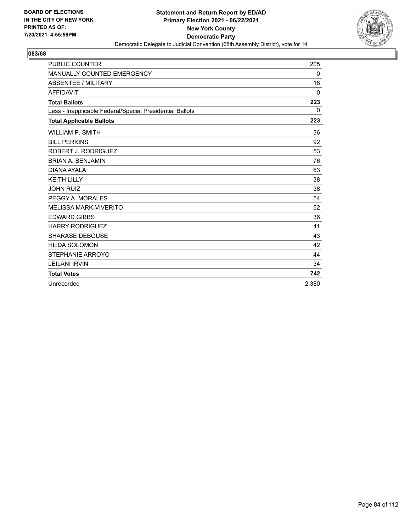

| <b>PUBLIC COUNTER</b>                                    | 205      |
|----------------------------------------------------------|----------|
| MANUALLY COUNTED EMERGENCY                               | 0        |
| <b>ABSENTEE / MILITARY</b>                               | 18       |
| <b>AFFIDAVIT</b>                                         | $\Omega$ |
| <b>Total Ballots</b>                                     | 223      |
| Less - Inapplicable Federal/Special Presidential Ballots | $\Omega$ |
| <b>Total Applicable Ballots</b>                          | 223      |
| <b>WILLIAM P. SMITH</b>                                  | 36       |
| <b>BILL PERKINS</b>                                      | 92       |
| ROBERT J. RODRIGUEZ                                      | 53       |
| <b>BRIAN A. BENJAMIN</b>                                 | 76       |
| DIANA AYAI A                                             | 63       |
| <b>KEITH LILLY</b>                                       | 38       |
| <b>JOHN RUIZ</b>                                         | 38       |
| PEGGY A. MORALES                                         | 54       |
| <b>MELISSA MARK-VIVERITO</b>                             | 52       |
| <b>EDWARD GIBBS</b>                                      | 36       |
| <b>HARRY RODRIGUEZ</b>                                   | 41       |
| <b>SHARASE DEBOUSE</b>                                   | 43       |
| <b>HILDA SOLOMON</b>                                     | 42       |
| STEPHANIE ARROYO                                         | 44       |
| <b>LEILANI IRVIN</b>                                     | 34       |
| <b>Total Votes</b>                                       | 742      |
| Unrecorded                                               | 2.380    |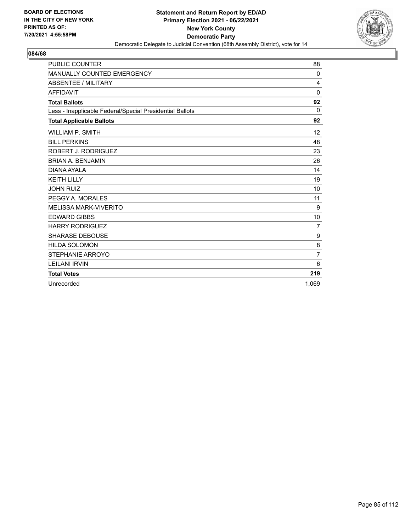

| <b>PUBLIC COUNTER</b>                                    | 88               |
|----------------------------------------------------------|------------------|
| MANUALLY COUNTED EMERGENCY                               | 0                |
| ABSENTEE / MILITARY                                      | 4                |
| <b>AFFIDAVIT</b>                                         | $\mathbf 0$      |
| <b>Total Ballots</b>                                     | 92               |
| Less - Inapplicable Federal/Special Presidential Ballots | 0                |
| <b>Total Applicable Ballots</b>                          | 92               |
| <b>WILLIAM P. SMITH</b>                                  | 12               |
| <b>BILL PERKINS</b>                                      | 48               |
| ROBERT J. RODRIGUEZ                                      | 23               |
| <b>BRIAN A. BENJAMIN</b>                                 | 26               |
| DIANA AYALA                                              | 14               |
| <b>KEITH LILLY</b>                                       | 19               |
| <b>JOHN RUIZ</b>                                         | 10               |
| PEGGY A. MORALES                                         | 11               |
| <b>MELISSA MARK-VIVERITO</b>                             | 9                |
| <b>EDWARD GIBBS</b>                                      | 10               |
| <b>HARRY RODRIGUEZ</b>                                   | $\overline{7}$   |
| <b>SHARASE DEBOUSE</b>                                   | $\boldsymbol{9}$ |
| <b>HILDA SOLOMON</b>                                     | 8                |
| STEPHANIE ARROYO                                         | $\overline{7}$   |
| <b>LEILANI IRVIN</b>                                     | 6                |
| <b>Total Votes</b>                                       | 219              |
| Unrecorded                                               | 1.069            |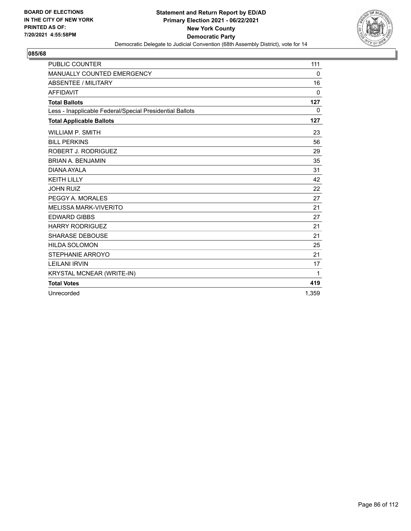

| <b>PUBLIC COUNTER</b>                                    | 111         |
|----------------------------------------------------------|-------------|
| MANUALLY COUNTED EMERGENCY                               | 0           |
| <b>ABSENTEE / MILITARY</b>                               | 16          |
| <b>AFFIDAVIT</b>                                         | $\Omega$    |
| <b>Total Ballots</b>                                     | 127         |
| Less - Inapplicable Federal/Special Presidential Ballots | $\mathbf 0$ |
| <b>Total Applicable Ballots</b>                          | 127         |
| <b>WILLIAM P. SMITH</b>                                  | 23          |
| <b>BILL PERKINS</b>                                      | 56          |
| ROBERT J. RODRIGUEZ                                      | 29          |
| <b>BRIAN A. BENJAMIN</b>                                 | 35          |
| DIANA AYALA                                              | 31          |
| <b>KEITH LILLY</b>                                       | 42          |
| <b>JOHN RUIZ</b>                                         | 22          |
| PEGGY A. MORALES                                         | 27          |
| <b>MELISSA MARK-VIVERITO</b>                             | 21          |
| <b>EDWARD GIBBS</b>                                      | 27          |
| <b>HARRY RODRIGUEZ</b>                                   | 21          |
| <b>SHARASE DEBOUSE</b>                                   | 21          |
| <b>HILDA SOLOMON</b>                                     | 25          |
| STEPHANIE ARROYO                                         | 21          |
| <b>LEILANI IRVIN</b>                                     | 17          |
| <b>KRYSTAL MCNEAR (WRITE-IN)</b>                         | 1           |
| <b>Total Votes</b>                                       | 419         |
| Unrecorded                                               | 1.359       |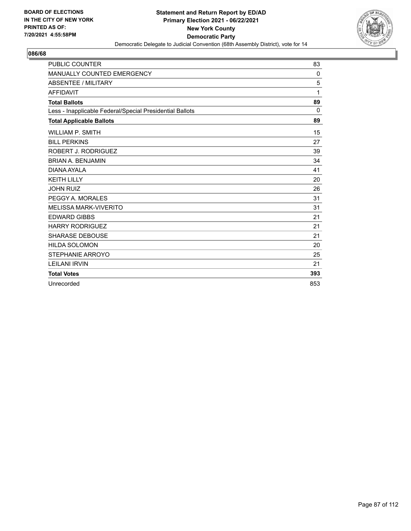

| <b>PUBLIC COUNTER</b>                                    | 83       |
|----------------------------------------------------------|----------|
| MANUALLY COUNTED EMERGENCY                               | 0        |
| ABSENTEE / MILITARY                                      | 5        |
| <b>AFFIDAVIT</b>                                         | 1        |
| <b>Total Ballots</b>                                     | 89       |
| Less - Inapplicable Federal/Special Presidential Ballots | $\Omega$ |
| <b>Total Applicable Ballots</b>                          | 89       |
| <b>WILLIAM P. SMITH</b>                                  | 15       |
| <b>BILL PERKINS</b>                                      | 27       |
| ROBERT J. RODRIGUEZ                                      | 39       |
| <b>BRIAN A. BENJAMIN</b>                                 | 34       |
| DIANA AYALA                                              | 41       |
| <b>KEITH LILLY</b>                                       | 20       |
| <b>JOHN RUIZ</b>                                         | 26       |
| PEGGY A. MORALES                                         | 31       |
| <b>MELISSA MARK-VIVERITO</b>                             | 31       |
| <b>EDWARD GIBBS</b>                                      | 21       |
| <b>HARRY RODRIGUEZ</b>                                   | 21       |
| <b>SHARASE DEBOUSE</b>                                   | 21       |
| <b>HILDA SOLOMON</b>                                     | 20       |
| STEPHANIE ARROYO                                         | 25       |
| <b>LEILANI IRVIN</b>                                     | 21       |
| <b>Total Votes</b>                                       | 393      |
| Unrecorded                                               | 853      |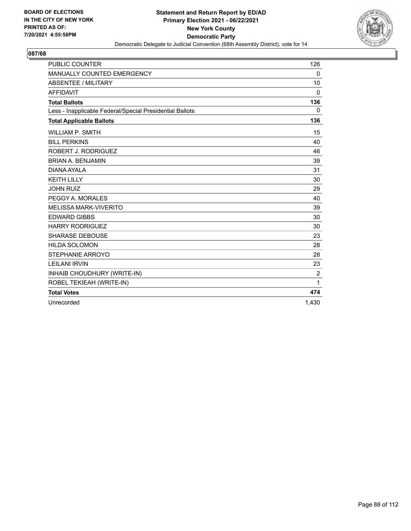

| <b>PUBLIC COUNTER</b>                                    | 126      |
|----------------------------------------------------------|----------|
| <b>MANUALLY COUNTED EMERGENCY</b>                        | 0        |
| ABSENTEE / MILITARY                                      | 10       |
| <b>AFFIDAVIT</b>                                         | 0        |
| <b>Total Ballots</b>                                     | 136      |
| Less - Inapplicable Federal/Special Presidential Ballots | $\Omega$ |
| <b>Total Applicable Ballots</b>                          | 136      |
| <b>WILLIAM P. SMITH</b>                                  | 15       |
| <b>BILL PERKINS</b>                                      | 40       |
| ROBERT J. RODRIGUEZ                                      | 46       |
| <b>BRIAN A. BENJAMIN</b>                                 | 39       |
| DIANA AYALA                                              | 31       |
| <b>KEITH LILLY</b>                                       | 30       |
| <b>JOHN RUIZ</b>                                         | 29       |
| PEGGY A. MORALES                                         | 40       |
| <b>MELISSA MARK-VIVERITO</b>                             | 39       |
| <b>EDWARD GIBBS</b>                                      | 30       |
| <b>HARRY RODRIGUEZ</b>                                   | 30       |
| <b>SHARASE DEBOUSE</b>                                   | 23       |
| <b>HILDA SOLOMON</b>                                     | 28       |
| <b>STEPHANIE ARROYO</b>                                  | 28       |
| <b>LEILANI IRVIN</b>                                     | 23       |
| INHAIB CHOUDHURY (WRITE-IN)                              | 2        |
| ROBEL TEKIEAH (WRITE-IN)                                 | 1        |
| <b>Total Votes</b>                                       | 474      |
| Unrecorded                                               | 1,430    |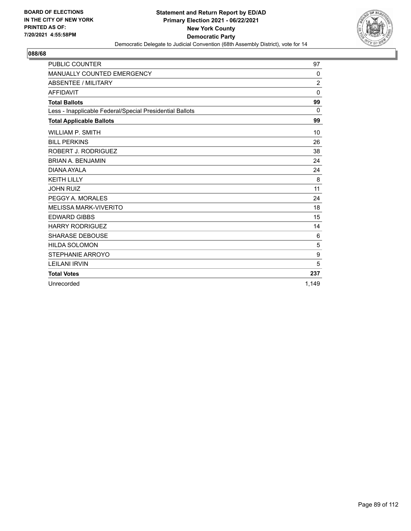

| <b>PUBLIC COUNTER</b>                                    | 97             |
|----------------------------------------------------------|----------------|
| MANUALLY COUNTED EMERGENCY                               | 0              |
| ABSENTEE / MILITARY                                      | $\overline{2}$ |
| <b>AFFIDAVIT</b>                                         | $\mathbf 0$    |
| <b>Total Ballots</b>                                     | 99             |
| Less - Inapplicable Federal/Special Presidential Ballots | 0              |
| <b>Total Applicable Ballots</b>                          | 99             |
| <b>WILLIAM P. SMITH</b>                                  | 10             |
| <b>BILL PERKINS</b>                                      | 26             |
| ROBERT J. RODRIGUEZ                                      | 38             |
| <b>BRIAN A. BENJAMIN</b>                                 | 24             |
| DIANA AYALA                                              | 24             |
| <b>KEITH LILLY</b>                                       | 8              |
| <b>JOHN RUIZ</b>                                         | 11             |
| PEGGY A. MORALES                                         | 24             |
| <b>MELISSA MARK-VIVERITO</b>                             | 18             |
| <b>EDWARD GIBBS</b>                                      | 15             |
| <b>HARRY RODRIGUEZ</b>                                   | 14             |
| <b>SHARASE DEBOUSE</b>                                   | 6              |
| <b>HILDA SOLOMON</b>                                     | 5              |
| STEPHANIE ARROYO                                         | 9              |
| <b>LEILANI IRVIN</b>                                     | 5              |
| <b>Total Votes</b>                                       | 237            |
| Unrecorded                                               | 1.149          |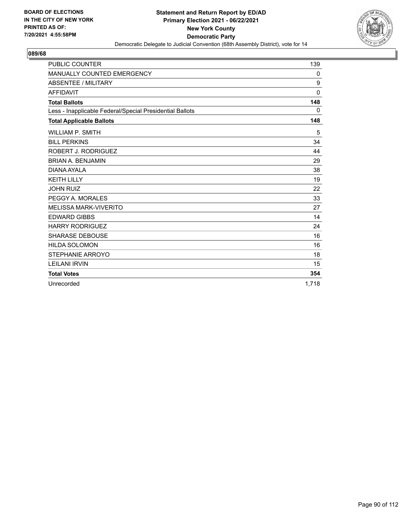

| <b>PUBLIC COUNTER</b>                                    | 139      |
|----------------------------------------------------------|----------|
| MANUALLY COUNTED EMERGENCY                               | 0        |
| ABSENTEE / MILITARY                                      | 9        |
| <b>AFFIDAVIT</b>                                         | $\Omega$ |
| <b>Total Ballots</b>                                     | 148      |
| Less - Inapplicable Federal/Special Presidential Ballots | $\Omega$ |
| <b>Total Applicable Ballots</b>                          | 148      |
| <b>WILLIAM P. SMITH</b>                                  | 5        |
| <b>BILL PERKINS</b>                                      | 34       |
| ROBERT J. RODRIGUEZ                                      | 44       |
| <b>BRIAN A. BENJAMIN</b>                                 | 29       |
| DIANA AYAI A                                             | 38       |
| <b>KEITH LILLY</b>                                       | 19       |
| <b>JOHN RUIZ</b>                                         | 22       |
| PEGGY A. MORALES                                         | 33       |
| <b>MELISSA MARK-VIVERITO</b>                             | 27       |
| <b>EDWARD GIBBS</b>                                      | 14       |
| <b>HARRY RODRIGUEZ</b>                                   | 24       |
| <b>SHARASE DEBOUSE</b>                                   | 16       |
| <b>HILDA SOLOMON</b>                                     | 16       |
| STEPHANIE ARROYO                                         | 18       |
| <b>LEILANI IRVIN</b>                                     | 15       |
| <b>Total Votes</b>                                       | 354      |
| Unrecorded                                               | 1.718    |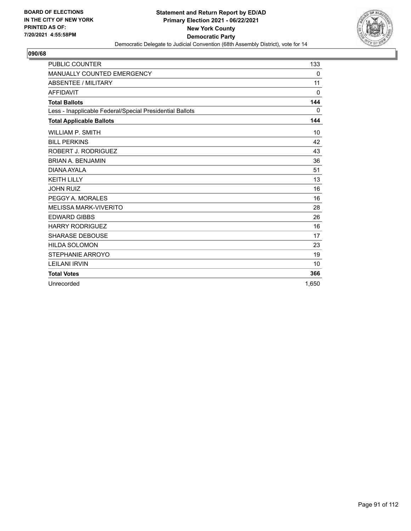

| <b>PUBLIC COUNTER</b>                                    | 133          |
|----------------------------------------------------------|--------------|
| <b>MANUALLY COUNTED EMERGENCY</b>                        | 0            |
| <b>ABSENTEE / MILITARY</b>                               | 11           |
| <b>AFFIDAVIT</b>                                         | $\mathbf{0}$ |
| <b>Total Ballots</b>                                     | 144          |
| Less - Inapplicable Federal/Special Presidential Ballots | $\Omega$     |
| <b>Total Applicable Ballots</b>                          | 144          |
| <b>WILLIAM P. SMITH</b>                                  | 10           |
| <b>BILL PERKINS</b>                                      | 42           |
| ROBERT J. RODRIGUEZ                                      | 43           |
| <b>BRIAN A. BENJAMIN</b>                                 | 36           |
| DIANA AYALA                                              | 51           |
| <b>KEITH LILLY</b>                                       | 13           |
| <b>JOHN RUIZ</b>                                         | 16           |
| PEGGY A. MORALES                                         | 16           |
| <b>MELISSA MARK-VIVERITO</b>                             | 28           |
| <b>EDWARD GIBBS</b>                                      | 26           |
| <b>HARRY RODRIGUEZ</b>                                   | 16           |
| <b>SHARASE DEBOUSE</b>                                   | 17           |
| <b>HILDA SOLOMON</b>                                     | 23           |
| STEPHANIE ARROYO                                         | 19           |
| <b>LEILANI IRVIN</b>                                     | 10           |
| <b>Total Votes</b>                                       | 366          |
| Unrecorded                                               | 1.650        |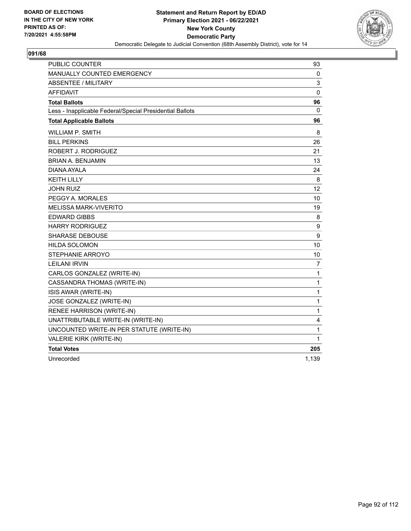

| <b>PUBLIC COUNTER</b>                                    | 93             |
|----------------------------------------------------------|----------------|
| MANUALLY COUNTED EMERGENCY                               | 0              |
| ABSENTEE / MILITARY                                      | 3              |
| <b>AFFIDAVIT</b>                                         | $\mathbf 0$    |
| <b>Total Ballots</b>                                     | 96             |
| Less - Inapplicable Federal/Special Presidential Ballots | $\mathbf{0}$   |
| <b>Total Applicable Ballots</b>                          | 96             |
| <b>WILLIAM P. SMITH</b>                                  | 8              |
| <b>BILL PERKINS</b>                                      | 26             |
| ROBERT J. RODRIGUEZ                                      | 21             |
| <b>BRIAN A. BENJAMIN</b>                                 | 13             |
| DIANA AYALA                                              | 24             |
| <b>KEITH LILLY</b>                                       | 8              |
| <b>JOHN RUIZ</b>                                         | 12             |
| PEGGY A. MORALES                                         | 10             |
| <b>MELISSA MARK-VIVERITO</b>                             | 19             |
| <b>EDWARD GIBBS</b>                                      | 8              |
| <b>HARRY RODRIGUEZ</b>                                   | 9              |
| <b>SHARASE DEBOUSE</b>                                   | 9              |
| <b>HILDA SOLOMON</b>                                     | 10             |
| <b>STEPHANIE ARROYO</b>                                  | 10             |
| <b>LEILANI IRVIN</b>                                     | $\overline{7}$ |
| CARLOS GONZALEZ (WRITE-IN)                               | 1              |
| CASSANDRA THOMAS (WRITE-IN)                              | 1              |
| ISIS AWAR (WRITE-IN)                                     | 1              |
| JOSE GONZALEZ (WRITE-IN)                                 | 1              |
| RENEE HARRISON (WRITE-IN)                                | 1              |
| UNATTRIBUTABLE WRITE-IN (WRITE-IN)                       | 4              |
| UNCOUNTED WRITE-IN PER STATUTE (WRITE-IN)                | 1              |
| VALERIE KIRK (WRITE-IN)                                  | 1              |
| <b>Total Votes</b>                                       | 205            |
| Unrecorded                                               | 1.139          |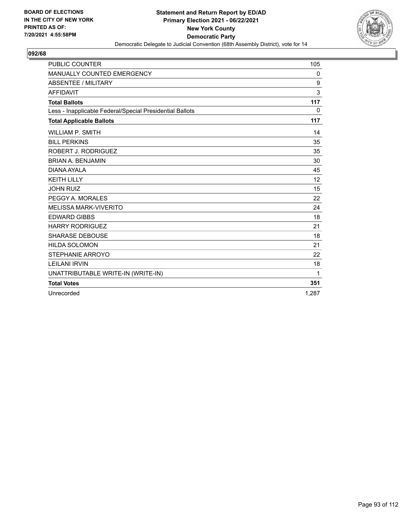

| <b>PUBLIC COUNTER</b>                                    | 105   |
|----------------------------------------------------------|-------|
| MANUALLY COUNTED EMERGENCY                               | 0     |
| <b>ABSENTEE / MILITARY</b>                               | 9     |
| <b>AFFIDAVIT</b>                                         | 3     |
| <b>Total Ballots</b>                                     | 117   |
| Less - Inapplicable Federal/Special Presidential Ballots | 0     |
| <b>Total Applicable Ballots</b>                          | 117   |
| <b>WILLIAM P. SMITH</b>                                  | 14    |
| <b>BILL PERKINS</b>                                      | 35    |
| ROBERT J. RODRIGUEZ                                      | 35    |
| <b>BRIAN A. BENJAMIN</b>                                 | 30    |
| DIANA AYALA                                              | 45    |
| <b>KEITH LILLY</b>                                       | 12    |
| <b>JOHN RUIZ</b>                                         | 15    |
| PEGGY A. MORALES                                         | 22    |
| <b>MELISSA MARK-VIVERITO</b>                             | 24    |
| <b>EDWARD GIBBS</b>                                      | 18    |
| <b>HARRY RODRIGUEZ</b>                                   | 21    |
| <b>SHARASE DEBOUSE</b>                                   | 18    |
| <b>HILDA SOLOMON</b>                                     | 21    |
| STEPHANIE ARROYO                                         | 22    |
| <b>LEILANI IRVIN</b>                                     | 18    |
| UNATTRIBUTABLE WRITE-IN (WRITE-IN)                       | 1     |
| <b>Total Votes</b>                                       | 351   |
| Unrecorded                                               | 1.287 |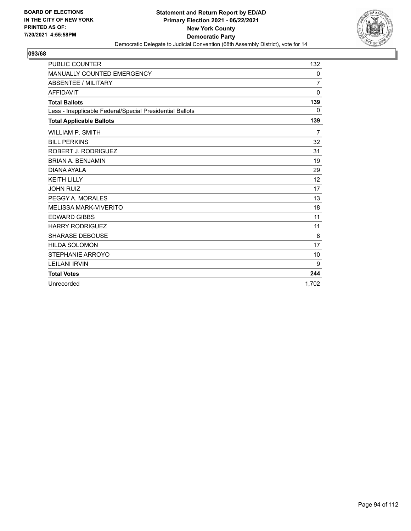

| <b>PUBLIC COUNTER</b>                                    | 132            |
|----------------------------------------------------------|----------------|
| MANUALLY COUNTED EMERGENCY                               | 0              |
| <b>ABSENTEE / MILITARY</b>                               | $\overline{7}$ |
| <b>AFFIDAVIT</b>                                         | $\Omega$       |
| <b>Total Ballots</b>                                     | 139            |
| Less - Inapplicable Federal/Special Presidential Ballots | $\Omega$       |
| <b>Total Applicable Ballots</b>                          | 139            |
| <b>WILLIAM P. SMITH</b>                                  | $\overline{7}$ |
| <b>BILL PERKINS</b>                                      | 32             |
| ROBERT J. RODRIGUEZ                                      | 31             |
| <b>BRIAN A. BENJAMIN</b>                                 | 19             |
| DIANA AYAI A                                             | 29             |
| <b>KEITH LILLY</b>                                       | 12             |
| <b>JOHN RUIZ</b>                                         | 17             |
| PEGGY A. MORALES                                         | 13             |
| <b>MELISSA MARK-VIVERITO</b>                             | 18             |
| <b>EDWARD GIBBS</b>                                      | 11             |
| <b>HARRY RODRIGUEZ</b>                                   | 11             |
| <b>SHARASE DEBOUSE</b>                                   | 8              |
| <b>HILDA SOLOMON</b>                                     | 17             |
| STEPHANIE ARROYO                                         | 10             |
| <b>LEILANI IRVIN</b>                                     | 9              |
| <b>Total Votes</b>                                       | 244            |
| Unrecorded                                               | 1.702          |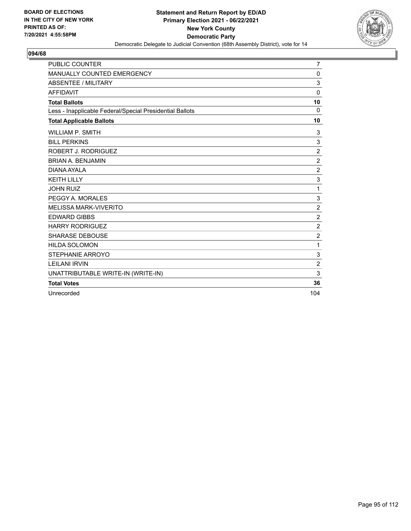

| PUBLIC COUNTER                                           | 7                |
|----------------------------------------------------------|------------------|
| MANUALLY COUNTED EMERGENCY                               | 0                |
| <b>ABSENTEE / MILITARY</b>                               | $\mathsf 3$      |
| <b>AFFIDAVIT</b>                                         | 0                |
| <b>Total Ballots</b>                                     | 10               |
| Less - Inapplicable Federal/Special Presidential Ballots | $\Omega$         |
| <b>Total Applicable Ballots</b>                          | 10               |
| <b>WILLIAM P. SMITH</b>                                  | 3                |
| <b>BILL PERKINS</b>                                      | $\mathsf 3$      |
| ROBERT J. RODRIGUEZ                                      | $\boldsymbol{2}$ |
| <b>BRIAN A. BENJAMIN</b>                                 | $\overline{c}$   |
| DIANA AYALA                                              | $\overline{c}$   |
| <b>KEITH LILLY</b>                                       | $\mathsf 3$      |
| <b>JOHN RUIZ</b>                                         | 1                |
| PEGGY A. MORALES                                         | $\mathsf 3$      |
| <b>MELISSA MARK-VIVERITO</b>                             | $\overline{2}$   |
| <b>EDWARD GIBBS</b>                                      | $\overline{c}$   |
| <b>HARRY RODRIGUEZ</b>                                   | $\overline{2}$   |
| <b>SHARASE DEBOUSE</b>                                   | $\overline{c}$   |
| <b>HILDA SOLOMON</b>                                     | 1                |
| STEPHANIE ARROYO                                         | 3                |
| <b>LEILANI IRVIN</b>                                     | $\overline{c}$   |
| UNATTRIBUTABLE WRITE-IN (WRITE-IN)                       | 3                |
| <b>Total Votes</b>                                       | 36               |
| Unrecorded                                               | 104              |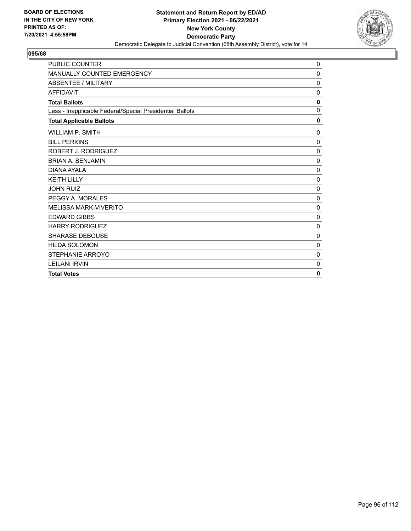

| <b>PUBLIC COUNTER</b>                                    | 0            |
|----------------------------------------------------------|--------------|
| MANUALLY COUNTED EMERGENCY                               | 0            |
| ABSENTEE / MILITARY                                      | $\mathbf 0$  |
| <b>AFFIDAVIT</b>                                         | 0            |
| <b>Total Ballots</b>                                     | 0            |
| Less - Inapplicable Federal/Special Presidential Ballots | $\Omega$     |
| <b>Total Applicable Ballots</b>                          | $\mathbf{0}$ |
| <b>WILLIAM P. SMITH</b>                                  | 0            |
| <b>BILL PERKINS</b>                                      | $\mathbf 0$  |
| ROBERT J. RODRIGUEZ                                      | $\mathbf 0$  |
| <b>BRIAN A. BENJAMIN</b>                                 | 0            |
| DIANA AYALA                                              | 0            |
| <b>KFITH I II I Y</b>                                    | $\mathbf 0$  |
| <b>JOHN RUIZ</b>                                         | 0            |
| PEGGY A. MORALES                                         | 0            |
| <b>MELISSA MARK-VIVERITO</b>                             | 0            |
| <b>EDWARD GIBBS</b>                                      | $\mathbf 0$  |
| <b>HARRY RODRIGUEZ</b>                                   | $\mathbf 0$  |
| <b>SHARASE DEBOUSE</b>                                   | 0            |
| <b>HILDA SOLOMON</b>                                     | 0            |
| STEPHANIE ARROYO                                         | 0            |
| <b>LEILANI IRVIN</b>                                     | 0            |
| <b>Total Votes</b>                                       | 0            |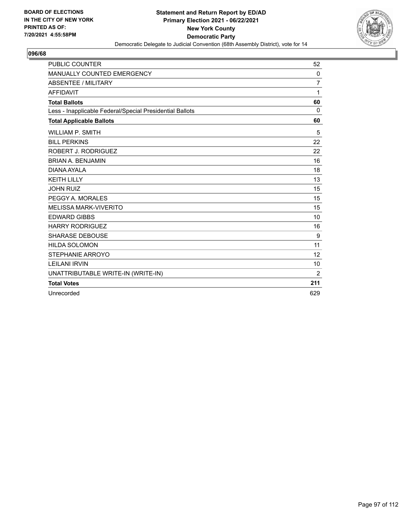

| <b>PUBLIC COUNTER</b>                                    | 52             |
|----------------------------------------------------------|----------------|
| MANUALLY COUNTED EMERGENCY                               | $\Omega$       |
| ABSENTEE / MILITARY                                      | $\overline{7}$ |
| <b>AFFIDAVIT</b>                                         | 1              |
| <b>Total Ballots</b>                                     | 60             |
| Less - Inapplicable Federal/Special Presidential Ballots | $\Omega$       |
| <b>Total Applicable Ballots</b>                          | 60             |
| WILLIAM P. SMITH                                         | 5              |
| <b>BILL PERKINS</b>                                      | 22             |
| ROBERT J. RODRIGUEZ                                      | 22             |
| <b>BRIAN A. BENJAMIN</b>                                 | 16             |
| DIANA AYALA                                              | 18             |
| <b>KEITH LILLY</b>                                       | 13             |
| <b>JOHN RUIZ</b>                                         | 15             |
| PEGGY A. MORALES                                         | 15             |
| <b>MELISSA MARK-VIVERITO</b>                             | 15             |
| <b>EDWARD GIBBS</b>                                      | 10             |
| <b>HARRY RODRIGUEZ</b>                                   | 16             |
| <b>SHARASE DEBOUSE</b>                                   | 9              |
| <b>HILDA SOLOMON</b>                                     | 11             |
| STEPHANIE ARROYO                                         | 12             |
| <b>LEILANI IRVIN</b>                                     | 10             |
| UNATTRIBUTABLE WRITE-IN (WRITE-IN)                       | 2              |
| <b>Total Votes</b>                                       | 211            |
| Unrecorded                                               | 629            |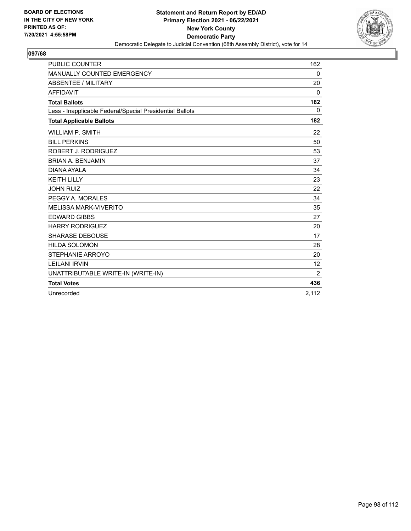

| <b>PUBLIC COUNTER</b>                                    | 162   |
|----------------------------------------------------------|-------|
| MANUALLY COUNTED EMERGENCY                               | 0     |
| <b>ABSENTEE / MILITARY</b>                               | 20    |
| <b>AFFIDAVIT</b>                                         | 0     |
| <b>Total Ballots</b>                                     | 182   |
| Less - Inapplicable Federal/Special Presidential Ballots | 0     |
| <b>Total Applicable Ballots</b>                          | 182   |
| <b>WILLIAM P. SMITH</b>                                  | 22    |
| <b>BILL PERKINS</b>                                      | 50    |
| ROBERT J. RODRIGUEZ                                      | 53    |
| <b>BRIAN A. BENJAMIN</b>                                 | 37    |
| DIANA AYAI A                                             | 34    |
| <b>KEITH LILLY</b>                                       | 23    |
| <b>JOHN RUIZ</b>                                         | 22    |
| PEGGY A. MORALES                                         | 34    |
| <b>MELISSA MARK-VIVERITO</b>                             | 35    |
| <b>EDWARD GIBBS</b>                                      | 27    |
| <b>HARRY RODRIGUEZ</b>                                   | 20    |
| <b>SHARASE DEBOUSE</b>                                   | 17    |
| <b>HILDA SOLOMON</b>                                     | 28    |
| STEPHANIE ARROYO                                         | 20    |
| <b>LEILANI IRVIN</b>                                     | 12    |
| UNATTRIBUTABLE WRITE-IN (WRITE-IN)                       | 2     |
| <b>Total Votes</b>                                       | 436   |
| Unrecorded                                               | 2.112 |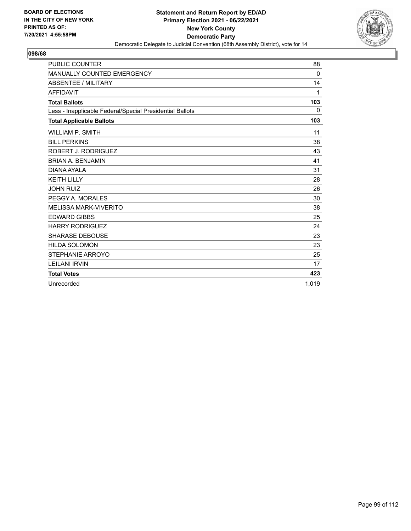

| <b>PUBLIC COUNTER</b>                                    | 88       |
|----------------------------------------------------------|----------|
| MANUALLY COUNTED EMERGENCY                               | 0        |
| ABSENTEE / MILITARY                                      | 14       |
| <b>AFFIDAVIT</b>                                         | 1        |
| <b>Total Ballots</b>                                     | 103      |
| Less - Inapplicable Federal/Special Presidential Ballots | $\Omega$ |
| <b>Total Applicable Ballots</b>                          | 103      |
| <b>WILLIAM P. SMITH</b>                                  | 11       |
| <b>BILL PERKINS</b>                                      | 38       |
| ROBERT J. RODRIGUEZ                                      | 43       |
| <b>BRIAN A. BENJAMIN</b>                                 | 41       |
| DIANA AYAI A                                             | 31       |
| <b>KEITH LILLY</b>                                       | 28       |
| <b>JOHN RUIZ</b>                                         | 26       |
| PEGGY A. MORALES                                         | 30       |
| <b>MELISSA MARK-VIVERITO</b>                             | 38       |
| <b>EDWARD GIBBS</b>                                      | 25       |
| <b>HARRY RODRIGUEZ</b>                                   | 24       |
| <b>SHARASE DEBOUSE</b>                                   | 23       |
| <b>HILDA SOLOMON</b>                                     | 23       |
| STEPHANIE ARROYO                                         | 25       |
| <b>LEILANI IRVIN</b>                                     | 17       |
| <b>Total Votes</b>                                       | 423      |
| Unrecorded                                               | 1.019    |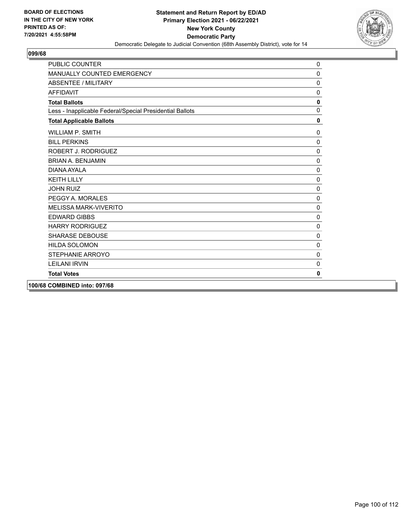

| <b>PUBLIC COUNTER</b>                                    | 0            |
|----------------------------------------------------------|--------------|
| MANUALLY COUNTED EMERGENCY                               | 0            |
| ABSENTEE / MILITARY                                      | $\Omega$     |
| AFFIDAVIT                                                | $\mathbf{0}$ |
| <b>Total Ballots</b>                                     | $\mathbf 0$  |
| Less - Inapplicable Federal/Special Presidential Ballots | $\Omega$     |
| <b>Total Applicable Ballots</b>                          | $\mathbf 0$  |
| <b>WILLIAM P. SMITH</b>                                  | $\mathbf{0}$ |
| <b>BILL PERKINS</b>                                      | $\mathbf 0$  |
| ROBERT J. RODRIGUEZ                                      | $\pmb{0}$    |
| <b>BRIAN A. BENJAMIN</b>                                 | $\mathbf 0$  |
| DIANA AYAI A                                             | 0            |
| <b>KFITH I II I Y</b>                                    | $\mathbf 0$  |
| <b>JOHN RUIZ</b>                                         | $\mathbf 0$  |
| PEGGY A. MORALES                                         | $\Omega$     |
| <b>MELISSA MARK-VIVERITO</b>                             | 0            |
| <b>EDWARD GIBBS</b>                                      | $\mathbf 0$  |
| <b>HARRY RODRIGUEZ</b>                                   | 0            |
| <b>SHARASE DEBOUSE</b>                                   | $\Omega$     |
| <b>HILDA SOLOMON</b>                                     | 0            |
| STEPHANIE ARROYO                                         | $\mathbf{0}$ |
| <b>LEILANI IRVIN</b>                                     | $\mathbf{0}$ |
| <b>Total Votes</b>                                       | 0            |
| 100/68 COMBINED into: 097/68                             |              |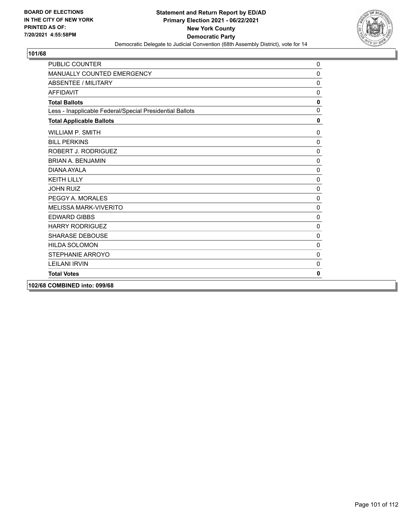

| <b>PUBLIC COUNTER</b>                                    | $\mathbf{0}$ |
|----------------------------------------------------------|--------------|
| MANUALLY COUNTED EMERGENCY                               | 0            |
| <b>ABSENTEE / MILITARY</b>                               | $\Omega$     |
| AFFIDAVIT                                                | $\mathbf{0}$ |
| <b>Total Ballots</b>                                     | $\mathbf 0$  |
| Less - Inapplicable Federal/Special Presidential Ballots | $\Omega$     |
| <b>Total Applicable Ballots</b>                          | $\mathbf 0$  |
| <b>WILLIAM P. SMITH</b>                                  | 0            |
| <b>BILL PERKINS</b>                                      | 0            |
| ROBERT J. RODRIGUEZ                                      | $\pmb{0}$    |
| <b>BRIAN A. BENJAMIN</b>                                 | $\mathbf 0$  |
| DIANA AYAI A                                             | 0            |
| <b>KFITH I II I Y</b>                                    | $\mathbf 0$  |
| <b>JOHN RUIZ</b>                                         | $\Omega$     |
| PEGGY A. MORALES                                         | $\Omega$     |
| <b>MELISSA MARK-VIVERITO</b>                             | $\mathbf 0$  |
| <b>EDWARD GIBBS</b>                                      | $\Omega$     |
| <b>HARRY RODRIGUEZ</b>                                   | $\mathbf 0$  |
| <b>SHARASE DEBOUSE</b>                                   | 0            |
| <b>HILDA SOLOMON</b>                                     | $\mathbf{0}$ |
| STEPHANIE ARROYO                                         | $\Omega$     |
| <b>LEILANI IRVIN</b>                                     | $\mathbf{0}$ |
| <b>Total Votes</b>                                       | 0            |
| 102/68 COMBINED into: 099/68                             |              |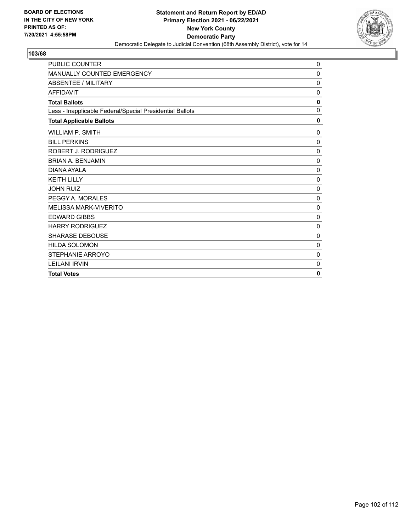

| <b>PUBLIC COUNTER</b>                                    | 0            |
|----------------------------------------------------------|--------------|
| MANUALLY COUNTED EMERGENCY                               | $\Omega$     |
| ABSENTEE / MILITARY                                      | $\mathbf 0$  |
| <b>AFFIDAVIT</b>                                         | 0            |
| <b>Total Ballots</b>                                     | $\mathbf 0$  |
| Less - Inapplicable Federal/Special Presidential Ballots | $\Omega$     |
| <b>Total Applicable Ballots</b>                          | $\mathbf{0}$ |
| <b>WILLIAM P. SMITH</b>                                  | 0            |
| <b>BILL PERKINS</b>                                      | $\mathbf 0$  |
| ROBERT J. RODRIGUEZ                                      | $\Omega$     |
| <b>BRIAN A. BENJAMIN</b>                                 | 0            |
| DIANA AYALA                                              | 0            |
| <b>KEITH LILLY</b>                                       | 0            |
| <b>JOHN RUIZ</b>                                         | $\mathbf 0$  |
| PEGGY A. MORALES                                         | $\Omega$     |
| <b>MELISSA MARK-VIVERITO</b>                             | 0            |
| <b>EDWARD GIBBS</b>                                      | 0            |
| <b>HARRY RODRIGUEZ</b>                                   | 0            |
| <b>SHARASE DEBOUSE</b>                                   | $\Omega$     |
| <b>HILDA SOLOMON</b>                                     | $\Omega$     |
| STEPHANIE ARROYO                                         | 0            |
| <b>LEILANI IRVIN</b>                                     | 0            |
| <b>Total Votes</b>                                       | $\mathbf{0}$ |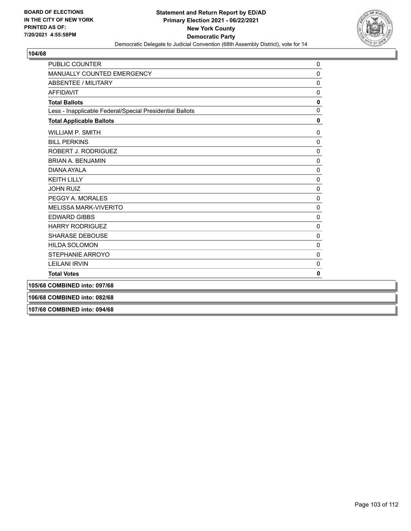

| <b>PUBLIC COUNTER</b>                                    | 0              |
|----------------------------------------------------------|----------------|
| MANUALLY COUNTED EMERGENCY                               | 0              |
| <b>ABSENTEE / MILITARY</b>                               | $\pmb{0}$      |
| <b>AFFIDAVIT</b>                                         | $\mathbf 0$    |
| <b>Total Ballots</b>                                     | $\mathbf 0$    |
| Less - Inapplicable Federal/Special Presidential Ballots | $\overline{0}$ |
| <b>Total Applicable Ballots</b>                          | 0              |
| <b>WILLIAM P. SMITH</b>                                  | 0              |
| <b>BILL PERKINS</b>                                      | 0              |
| ROBERT J. RODRIGUEZ                                      | 0              |
| <b>BRIAN A. BENJAMIN</b>                                 | 0              |
| DIANA AYALA                                              | 0              |
| <b>KEITH LILLY</b>                                       | 0              |
| <b>JOHN RUIZ</b>                                         | 0              |
| PEGGY A. MORALES                                         | $\mathbf 0$    |
| <b>MELISSA MARK-VIVERITO</b>                             | $\mathbf{0}$   |
| <b>EDWARD GIBBS</b>                                      | 0              |
| <b>HARRY RODRIGUEZ</b>                                   | 0              |
| SHARASE DEBOUSE                                          | $\mathbf{0}$   |
| <b>HILDA SOLOMON</b>                                     | 0              |
| STEPHANIE ARROYO                                         | $\mathbf{0}$   |
| <b>LEILANI IRVIN</b>                                     | 0              |
| <b>Total Votes</b>                                       | 0              |
| 105/68 COMBINED into: 097/68                             |                |
| 106/68 COMBINED into: 082/68                             |                |
| 107/68 COMBINED into: 094/68                             |                |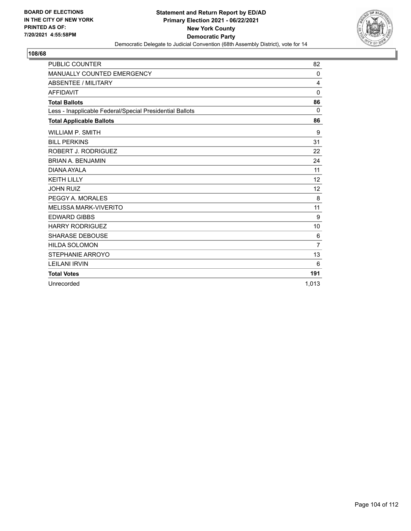

| <b>PUBLIC COUNTER</b>                                    | 82             |
|----------------------------------------------------------|----------------|
| MANUALLY COUNTED EMERGENCY                               | 0              |
| ABSENTEE / MILITARY                                      | $\overline{4}$ |
| <b>AFFIDAVIT</b>                                         | $\mathbf 0$    |
| <b>Total Ballots</b>                                     | 86             |
| Less - Inapplicable Federal/Special Presidential Ballots | 0              |
| <b>Total Applicable Ballots</b>                          | 86             |
| <b>WILLIAM P. SMITH</b>                                  | 9              |
| <b>BILL PERKINS</b>                                      | 31             |
| ROBERT J. RODRIGUEZ                                      | 22             |
| <b>BRIAN A. BENJAMIN</b>                                 | 24             |
| DIANA AYALA                                              | 11             |
| <b>KEITH LILLY</b>                                       | 12             |
| <b>JOHN RUIZ</b>                                         | 12             |
| PEGGY A. MORALES                                         | 8              |
| <b>MELISSA MARK-VIVERITO</b>                             | 11             |
| <b>EDWARD GIBBS</b>                                      | 9              |
| <b>HARRY RODRIGUEZ</b>                                   | 10             |
| <b>SHARASE DEBOUSE</b>                                   | 6              |
| <b>HILDA SOLOMON</b>                                     | $\overline{7}$ |
| STEPHANIE ARROYO                                         | 13             |
| <b>LEILANI IRVIN</b>                                     | 6              |
| <b>Total Votes</b>                                       | 191            |
| Unrecorded                                               | 1.013          |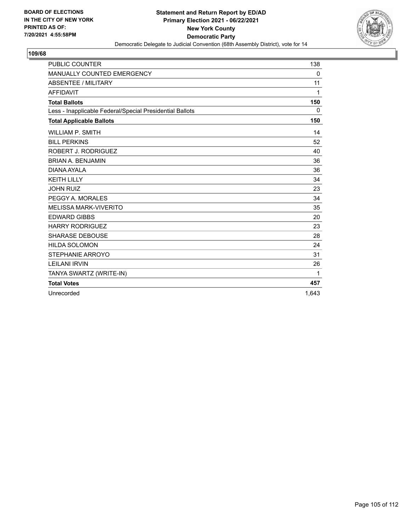

| <b>PUBLIC COUNTER</b>                                    | 138   |
|----------------------------------------------------------|-------|
| MANUALLY COUNTED EMERGENCY                               | 0     |
| ABSENTEE / MILITARY                                      | 11    |
| <b>AFFIDAVIT</b>                                         | 1     |
| <b>Total Ballots</b>                                     | 150   |
| Less - Inapplicable Federal/Special Presidential Ballots | 0     |
| <b>Total Applicable Ballots</b>                          | 150   |
| <b>WILLIAM P. SMITH</b>                                  | 14    |
| <b>BILL PERKINS</b>                                      | 52    |
| ROBERT J. RODRIGUEZ                                      | 40    |
| <b>BRIAN A. BENJAMIN</b>                                 | 36    |
| DIANA AYALA                                              | 36    |
| <b>KEITH LILLY</b>                                       | 34    |
| <b>JOHN RUIZ</b>                                         | 23    |
| PEGGY A. MORALES                                         | 34    |
| <b>MELISSA MARK-VIVERITO</b>                             | 35    |
| <b>EDWARD GIBBS</b>                                      | 20    |
| <b>HARRY RODRIGUEZ</b>                                   | 23    |
| <b>SHARASE DEBOUSE</b>                                   | 28    |
| <b>HILDA SOLOMON</b>                                     | 24    |
| STEPHANIE ARROYO                                         | 31    |
| <b>LEILANI IRVIN</b>                                     | 26    |
| TANYA SWARTZ (WRITE-IN)                                  | 1     |
| <b>Total Votes</b>                                       | 457   |
| Unrecorded                                               | 1.643 |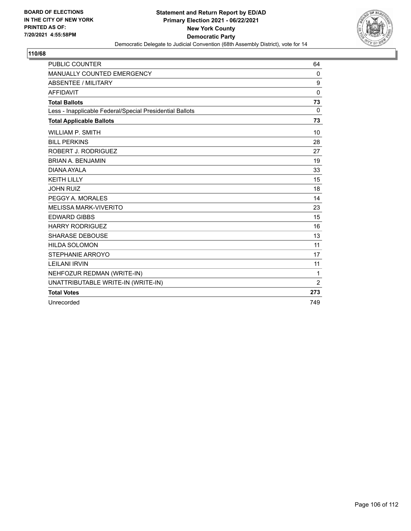

| <b>PUBLIC COUNTER</b>                                    | 64             |
|----------------------------------------------------------|----------------|
| MANUALLY COUNTED EMERGENCY                               | 0              |
| ABSENTEE / MILITARY                                      | 9              |
| <b>AFFIDAVIT</b>                                         | $\mathbf{0}$   |
| <b>Total Ballots</b>                                     | 73             |
| Less - Inapplicable Federal/Special Presidential Ballots | $\Omega$       |
| <b>Total Applicable Ballots</b>                          | 73             |
| <b>WILLIAM P. SMITH</b>                                  | 10             |
| <b>BILL PERKINS</b>                                      | 28             |
| ROBERT J. RODRIGUEZ                                      | 27             |
| <b>BRIAN A. BENJAMIN</b>                                 | 19             |
| DIANA AYALA                                              | 33             |
| <b>KEITH LILLY</b>                                       | 15             |
| <b>JOHN RUIZ</b>                                         | 18             |
| PEGGY A. MORALES                                         | 14             |
| <b>MELISSA MARK-VIVERITO</b>                             | 23             |
| <b>EDWARD GIBBS</b>                                      | 15             |
| <b>HARRY RODRIGUEZ</b>                                   | 16             |
| <b>SHARASE DEBOUSE</b>                                   | 13             |
| <b>HILDA SOLOMON</b>                                     | 11             |
| <b>STEPHANIE ARROYO</b>                                  | 17             |
| <b>LEILANI IRVIN</b>                                     | 11             |
| NEHFOZUR REDMAN (WRITE-IN)                               | 1              |
| UNATTRIBUTABLE WRITE-IN (WRITE-IN)                       | $\overline{2}$ |
| <b>Total Votes</b>                                       | 273            |
| Unrecorded                                               | 749            |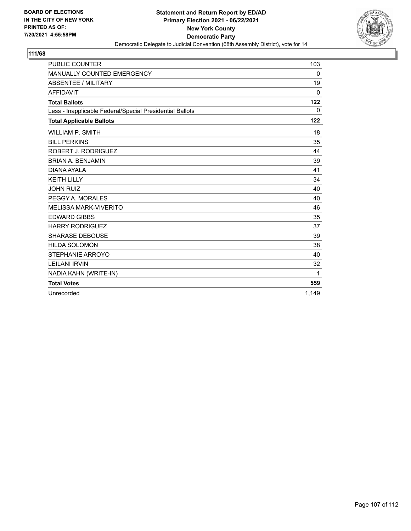

| <b>PUBLIC COUNTER</b>                                    | 103      |
|----------------------------------------------------------|----------|
| MANUALLY COUNTED EMERGENCY                               | 0        |
| <b>ABSENTEE / MILITARY</b>                               | 19       |
| <b>AFFIDAVIT</b>                                         | $\Omega$ |
| <b>Total Ballots</b>                                     | 122      |
| Less - Inapplicable Federal/Special Presidential Ballots | 0        |
| <b>Total Applicable Ballots</b>                          | 122      |
| <b>WILLIAM P. SMITH</b>                                  | 18       |
| <b>BILL PERKINS</b>                                      | 35       |
| ROBERT J. RODRIGUEZ                                      | 44       |
| <b>BRIAN A. BENJAMIN</b>                                 | 39       |
| DIANA AYALA                                              | 41       |
| <b>KEITH LILLY</b>                                       | 34       |
| <b>JOHN RUIZ</b>                                         | 40       |
| PEGGY A. MORALES                                         | 40       |
| <b>MELISSA MARK-VIVERITO</b>                             | 46       |
| <b>EDWARD GIBBS</b>                                      | 35       |
| <b>HARRY RODRIGUEZ</b>                                   | 37       |
| <b>SHARASE DEBOUSE</b>                                   | 39       |
| <b>HILDA SOLOMON</b>                                     | 38       |
| STEPHANIE ARROYO                                         | 40       |
| <b>LEILANI IRVIN</b>                                     | 32       |
| NADIA KAHN (WRITE-IN)                                    | 1        |
| <b>Total Votes</b>                                       | 559      |
| Unrecorded                                               | 1.149    |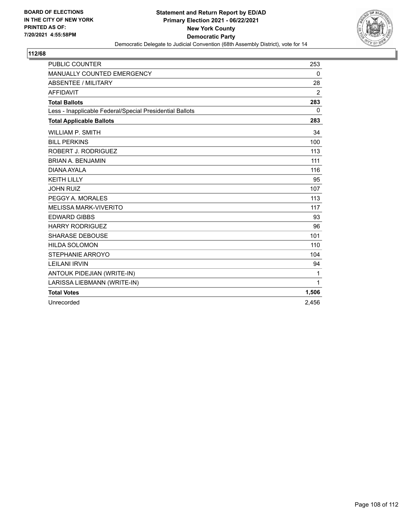

| <b>PUBLIC COUNTER</b>                                    | 253      |
|----------------------------------------------------------|----------|
| MANUALLY COUNTED EMERGENCY                               | 0        |
| ABSENTEE / MILITARY                                      | 28       |
| <b>AFFIDAVIT</b>                                         | 2        |
| <b>Total Ballots</b>                                     | 283      |
| Less - Inapplicable Federal/Special Presidential Ballots | $\Omega$ |
| <b>Total Applicable Ballots</b>                          | 283      |
| <b>WILLIAM P. SMITH</b>                                  | 34       |
| <b>BILL PERKINS</b>                                      | 100      |
| ROBERT J. RODRIGUEZ                                      | 113      |
| <b>BRIAN A. BENJAMIN</b>                                 | 111      |
| DIANA AYALA                                              | 116      |
| <b>KEITH LILLY</b>                                       | 95       |
| <b>JOHN RUIZ</b>                                         | 107      |
| PEGGY A. MORALES                                         | 113      |
| <b>MELISSA MARK-VIVERITO</b>                             | 117      |
| <b>EDWARD GIBBS</b>                                      | 93       |
| <b>HARRY RODRIGUEZ</b>                                   | 96       |
| <b>SHARASE DEBOUSE</b>                                   | 101      |
| <b>HILDA SOLOMON</b>                                     | 110      |
| <b>STEPHANIE ARROYO</b>                                  | 104      |
| <b>LEILANI IRVIN</b>                                     | 94       |
| ANTOUK PIDEJIAN (WRITE-IN)                               | 1        |
| LARISSA LIEBMANN (WRITE-IN)                              | 1        |
| <b>Total Votes</b>                                       | 1,506    |
| Unrecorded                                               | 2,456    |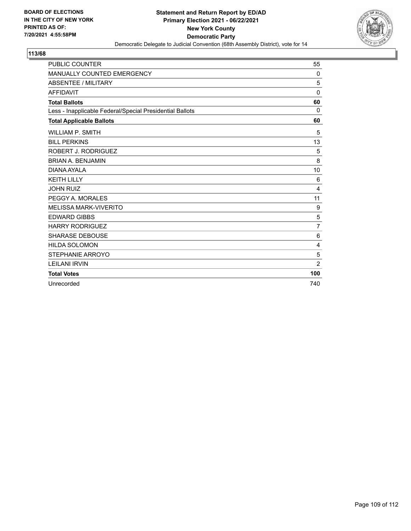

## **113/68**

| <b>PUBLIC COUNTER</b>                                    | 55             |
|----------------------------------------------------------|----------------|
| <b>MANUALLY COUNTED EMERGENCY</b>                        | 0              |
| <b>ABSENTEE / MILITARY</b>                               | 5              |
| <b>AFFIDAVIT</b>                                         | 0              |
| <b>Total Ballots</b>                                     | 60             |
| Less - Inapplicable Federal/Special Presidential Ballots | $\Omega$       |
| <b>Total Applicable Ballots</b>                          | 60             |
| <b>WILLIAM P. SMITH</b>                                  | 5              |
| <b>BILL PERKINS</b>                                      | 13             |
| ROBERT J. RODRIGUEZ                                      | 5              |
| <b>BRIAN A. BENJAMIN</b>                                 | 8              |
| DIANA AYALA                                              | 10             |
| <b>KEITH LILLY</b>                                       | 6              |
| <b>JOHN RUIZ</b>                                         | 4              |
| PEGGY A. MORALES                                         | 11             |
| <b>MELISSA MARK-VIVERITO</b>                             | 9              |
| <b>EDWARD GIBBS</b>                                      | 5              |
| <b>HARRY RODRIGUEZ</b>                                   | $\overline{7}$ |
| <b>SHARASE DEBOUSE</b>                                   | 6              |
| <b>HILDA SOLOMON</b>                                     | 4              |
| STEPHANIE ARROYO                                         | 5              |
| <b>LEILANI IRVIN</b>                                     | $\overline{2}$ |
| <b>Total Votes</b>                                       | 100            |
| Unrecorded                                               | 740            |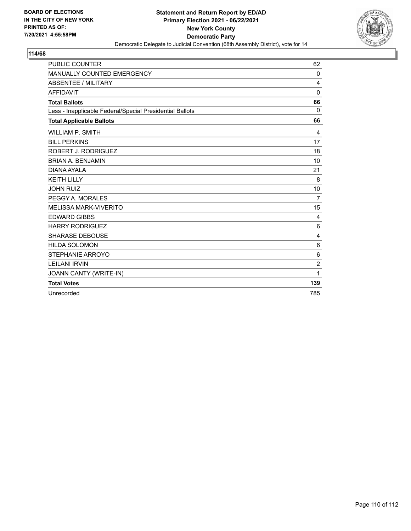

## **114/68**

| <b>PUBLIC COUNTER</b>                                    | 62             |
|----------------------------------------------------------|----------------|
| MANUALLY COUNTED EMERGENCY                               | $\Omega$       |
| ABSENTEE / MILITARY                                      | 4              |
| <b>AFFIDAVIT</b>                                         | 0              |
| <b>Total Ballots</b>                                     | 66             |
| Less - Inapplicable Federal/Special Presidential Ballots | $\Omega$       |
| <b>Total Applicable Ballots</b>                          | 66             |
| <b>WILLIAM P. SMITH</b>                                  | 4              |
| <b>BILL PERKINS</b>                                      | 17             |
| ROBERT J. RODRIGUEZ                                      | 18             |
| <b>BRIAN A. BENJAMIN</b>                                 | 10             |
| DIANA AYALA                                              | 21             |
| <b>KEITH LILLY</b>                                       | 8              |
| <b>JOHN RUIZ</b>                                         | 10             |
| PEGGY A. MORALES                                         | $\overline{7}$ |
| <b>MELISSA MARK-VIVERITO</b>                             | 15             |
| <b>EDWARD GIBBS</b>                                      | 4              |
| <b>HARRY RODRIGUEZ</b>                                   | 6              |
| <b>SHARASE DEBOUSE</b>                                   | $\overline{4}$ |
| <b>HILDA SOLOMON</b>                                     | 6              |
| STEPHANIE ARROYO                                         | 6              |
| <b>LEILANI IRVIN</b>                                     | $\overline{2}$ |
| JOANN CANTY (WRITE-IN)                                   | 1              |
| <b>Total Votes</b>                                       | 139            |
| Unrecorded                                               | 785            |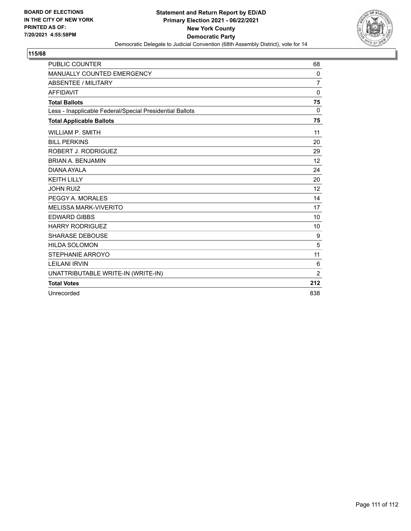

## **115/68**

| <b>PUBLIC COUNTER</b>                                    | 68             |
|----------------------------------------------------------|----------------|
| <b>MANUALLY COUNTED EMERGENCY</b>                        | 0              |
| ABSENTEE / MILITARY                                      | $\overline{7}$ |
| <b>AFFIDAVIT</b>                                         | 0              |
| <b>Total Ballots</b>                                     | 75             |
| Less - Inapplicable Federal/Special Presidential Ballots | 0              |
| <b>Total Applicable Ballots</b>                          | 75             |
| <b>WILLIAM P. SMITH</b>                                  | 11             |
| <b>BILL PERKINS</b>                                      | 20             |
| <b>ROBERT J. RODRIGUEZ</b>                               | 29             |
| <b>BRIAN A. BENJAMIN</b>                                 | 12             |
| DIANA AYALA                                              | 24             |
| <b>KEITH LILLY</b>                                       | 20             |
| <b>JOHN RUIZ</b>                                         | 12             |
| PEGGY A. MORALES                                         | 14             |
| <b>MELISSA MARK-VIVERITO</b>                             | 17             |
| <b>EDWARD GIBBS</b>                                      | 10             |
| <b>HARRY RODRIGUEZ</b>                                   | 10             |
| <b>SHARASE DEBOUSE</b>                                   | 9              |
| <b>HILDA SOLOMON</b>                                     | 5              |
| STEPHANIE ARROYO                                         | 11             |
| <b>LEILANI IRVIN</b>                                     | 6              |
| UNATTRIBUTABLE WRITE-IN (WRITE-IN)                       | 2              |
| <b>Total Votes</b>                                       | 212            |
| Unrecorded                                               | 838            |